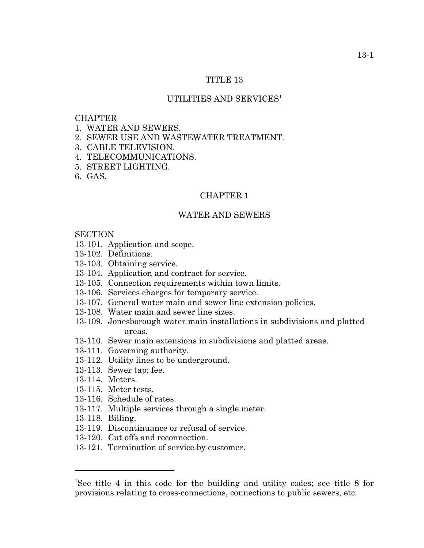# TITLE 13

## UTILITIES AND SERVICES<sup>1</sup>

### **CHAPTER**

- 1. WATER AND SEWERS.
- 2. SEWER USE AND WASTEWATER TREATMENT.
- 3. CABLE TELEVISION.
- 4. TELECOMMUNICATIONS.
- 5. STREET LIGHTING.
- 6. GAS.

## CHAPTER 1

#### WATER AND SEWERS

#### **SECTION**

- 13-101. Application and scope.
- 13-102. Definitions.
- 13-103. Obtaining service.
- 13-104. Application and contract for service.
- 13-105. Connection requirements within town limits.
- 13-106. Services charges for temporary service.
- 13-107. General water main and sewer line extension policies.
- 13-108. Water main and sewer line sizes.
- 13-109. Jonesborough water main installations in subdivisions and platted areas.
- 13-110. Sewer main extensions in subdivisions and platted areas.
- 13-111. Governing authority.
- 13-112. Utility lines to be underground.
- 13-113. Sewer tap; fee.
- 13-114. Meters.
- 13-115. Meter tests.
- 13-116. Schedule of rates.
- 13-117. Multiple services through a single meter.
- 13-118. Billing.
- 13-119. Discontinuance or refusal of service.
- 13-120. Cut offs and reconnection.
- 13-121. Termination of service by customer.

<sup>1</sup> See title 4 in this code for the building and utility codes; see title 8 for provisions relating to cross-connections, connections to public sewers, etc.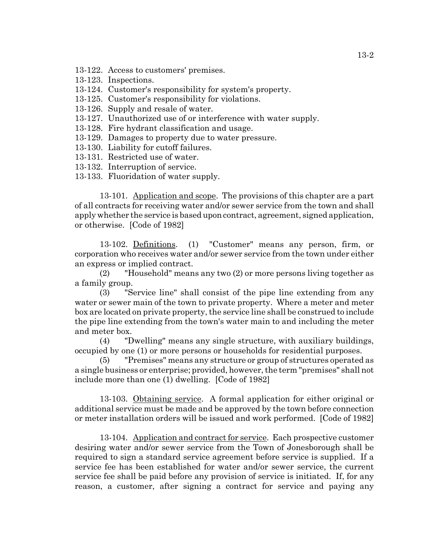- 13-122. Access to customers' premises.
- 13-123. Inspections.
- 13-124. Customer's responsibility for system's property.
- 13-125. Customer's responsibility for violations.
- 13-126. Supply and resale of water.
- 13-127. Unauthorized use of or interference with water supply.
- 13-128. Fire hydrant classification and usage.
- 13-129. Damages to property due to water pressure.
- 13-130. Liability for cutoff failures.
- 13-131. Restricted use of water.
- 13-132. Interruption of service.
- 13-133. Fluoridation of water supply.

13-101. Application and scope. The provisions of this chapter are a part of all contracts for receiving water and/or sewer service from the town and shall apply whether the service is based upon contract, agreement, signed application, or otherwise. [Code of 1982]

13-102. Definitions. (1) "Customer" means any person, firm, or corporation who receives water and/or sewer service from the town under either an express or implied contract.

(2) "Household" means any two (2) or more persons living together as a family group.

(3) "Service line" shall consist of the pipe line extending from any water or sewer main of the town to private property. Where a meter and meter box are located on private property, the service line shall be construed to include the pipe line extending from the town's water main to and including the meter and meter box.

(4) "Dwelling" means any single structure, with auxiliary buildings, occupied by one (1) or more persons or households for residential purposes.

(5) "Premises" means any structure or group of structures operated as a single business or enterprise; provided, however, the term "premises" shall not include more than one (1) dwelling. [Code of 1982]

13-103. Obtaining service. A formal application for either original or additional service must be made and be approved by the town before connection or meter installation orders will be issued and work performed. [Code of 1982]

13-104. Application and contract for service. Each prospective customer desiring water and/or sewer service from the Town of Jonesborough shall be required to sign a standard service agreement before service is supplied. If a service fee has been established for water and/or sewer service, the current service fee shall be paid before any provision of service is initiated. If, for any reason, a customer, after signing a contract for service and paying any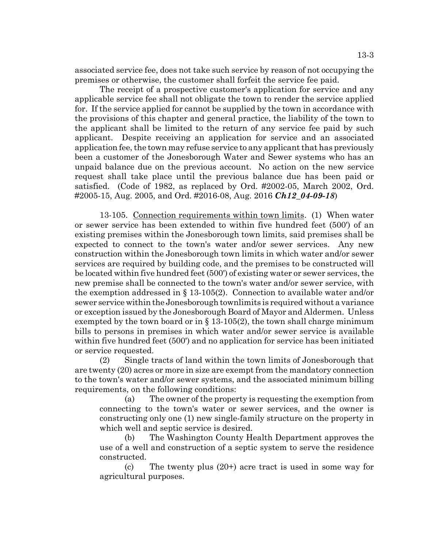associated service fee, does not take such service by reason of not occupying the premises or otherwise, the customer shall forfeit the service fee paid.

The receipt of a prospective customer's application for service and any applicable service fee shall not obligate the town to render the service applied for. If the service applied for cannot be supplied by the town in accordance with the provisions of this chapter and general practice, the liability of the town to the applicant shall be limited to the return of any service fee paid by such applicant. Despite receiving an application for service and an associated application fee, the town may refuse service to any applicant that has previously been a customer of the Jonesborough Water and Sewer systems who has an unpaid balance due on the previous account. No action on the new service request shall take place until the previous balance due has been paid or satisfied. (Code of 1982, as replaced by Ord. #2002-05, March 2002, Ord. #2005-15, Aug. 2005, and Ord. #2016-08, Aug. 2016 *Ch12\_04-09-18*)

13-105. Connection requirements within town limits. (1) When water or sewer service has been extended to within five hundred feet (500') of an existing premises within the Jonesborough town limits, said premises shall be expected to connect to the town's water and/or sewer services. Any new construction within the Jonesborough town limits in which water and/or sewer services are required by building code, and the premises to be constructed will be located within five hundred feet (500') of existing water or sewer services, the new premise shall be connected to the town's water and/or sewer service, with the exemption addressed in § 13-105(2). Connection to available water and/or sewer service within the Jonesborough townlimits is required without a variance or exception issued by the Jonesborough Board of Mayor and Aldermen. Unless exempted by the town board or in  $\S$  13-105(2), the town shall charge minimum bills to persons in premises in which water and/or sewer service is available within five hundred feet (500') and no application for service has been initiated or service requested.

(2) Single tracts of land within the town limits of Jonesborough that are twenty (20) acres or more in size are exempt from the mandatory connection to the town's water and/or sewer systems, and the associated minimum billing requirements, on the following conditions:

(a) The owner of the property is requesting the exemption from connecting to the town's water or sewer services, and the owner is constructing only one (1) new single-family structure on the property in which well and septic service is desired.

(b) The Washington County Health Department approves the use of a well and construction of a septic system to serve the residence constructed.

(c) The twenty plus (20+) acre tract is used in some way for agricultural purposes.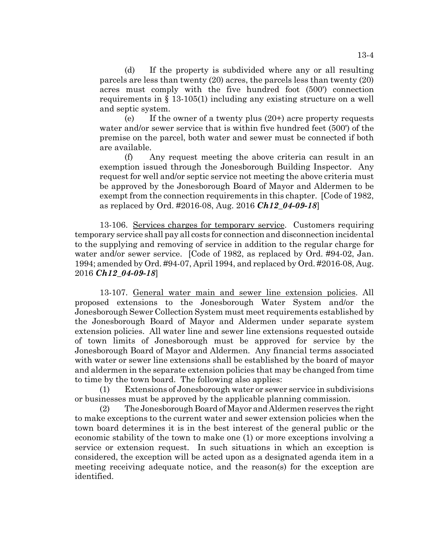(d) If the property is subdivided where any or all resulting parcels are less than twenty (20) acres, the parcels less than twenty (20) acres must comply with the five hundred foot (500') connection requirements in § 13-105(1) including any existing structure on a well and septic system.

(e) If the owner of a twenty plus (20+) acre property requests water and/or sewer service that is within five hundred feet (500') of the premise on the parcel, both water and sewer must be connected if both are available.

(f) Any request meeting the above criteria can result in an exemption issued through the Jonesborough Building Inspector. Any request for well and/or septic service not meeting the above criteria must be approved by the Jonesborough Board of Mayor and Aldermen to be exempt from the connection requirements in this chapter. [Code of 1982, as replaced by Ord. #2016-08, Aug. 2016 *Ch12\_04-09-18*]

13-106. Services charges for temporary service. Customers requiring temporary service shall pay all costs for connection and disconnection incidental to the supplying and removing of service in addition to the regular charge for water and/or sewer service. [Code of 1982, as replaced by Ord. #94-02, Jan. 1994; amended by Ord. #94-07, April 1994, and replaced by Ord. #2016-08, Aug. 2016 *Ch12\_04-09-18*]

13-107. General water main and sewer line extension policies. All proposed extensions to the Jonesborough Water System and/or the Jonesborough Sewer Collection System must meet requirements established by the Jonesborough Board of Mayor and Aldermen under separate system extension policies. All water line and sewer line extensions requested outside of town limits of Jonesborough must be approved for service by the Jonesborough Board of Mayor and Aldermen. Any financial terms associated with water or sewer line extensions shall be established by the board of mayor and aldermen in the separate extension policies that may be changed from time to time by the town board. The following also applies:

(1) Extensions of Jonesborough water or sewer service in subdivisions or businesses must be approved by the applicable planning commission.

(2) The Jonesborough Board of Mayor and Aldermen reserves the right to make exceptions to the current water and sewer extension policies when the town board determines it is in the best interest of the general public or the economic stability of the town to make one (1) or more exceptions involving a service or extension request. In such situations in which an exception is considered, the exception will be acted upon as a designated agenda item in a meeting receiving adequate notice, and the reason(s) for the exception are identified.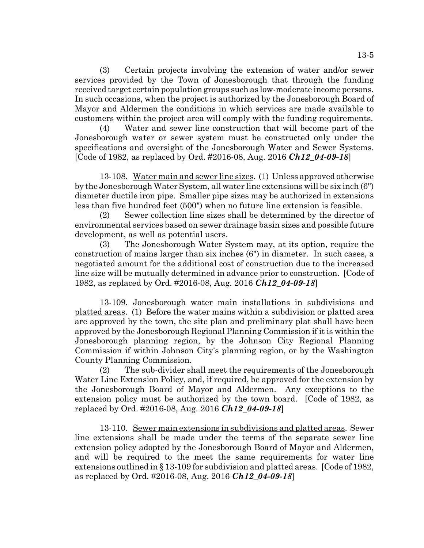(3) Certain projects involving the extension of water and/or sewer services provided by the Town of Jonesborough that through the funding received target certain population groups such as low-moderate income persons. In such occasions, when the project is authorized by the Jonesborough Board of Mayor and Aldermen the conditions in which services are made available to customers within the project area will comply with the funding requirements.

(4) Water and sewer line construction that will become part of the Jonesborough water or sewer system must be constructed only under the specifications and oversight of the Jonesborough Water and Sewer Systems. [Code of 1982, as replaced by Ord. #2016-08, Aug. 2016 *Ch12\_04-09-18*]

13-108. Water main and sewer line sizes. (1) Unless approved otherwise by the Jonesborough Water System, all water line extensions will be six inch (6") diameter ductile iron pipe. Smaller pipe sizes may be authorized in extensions less than five hundred feet (500") when no future line extension is feasible.

(2) Sewer collection line sizes shall be determined by the director of environmental services based on sewer drainage basin sizes and possible future development, as well as potential users.

(3) The Jonesborough Water System may, at its option, require the construction of mains larger than six inches (6") in diameter. In such cases, a negotiated amount for the additional cost of construction due to the increased line size will be mutually determined in advance prior to construction. [Code of 1982, as replaced by Ord. #2016-08, Aug. 2016 *Ch12\_04-09-18*]

13-109. Jonesborough water main installations in subdivisions and platted areas. (1) Before the water mains within a subdivision or platted area are approved by the town, the site plan and preliminary plat shall have been approved by the Jonesborough Regional Planning Commission if it is within the Jonesborough planning region, by the Johnson City Regional Planning Commission if within Johnson City's planning region, or by the Washington County Planning Commission.

(2) The sub-divider shall meet the requirements of the Jonesborough Water Line Extension Policy, and, if required, be approved for the extension by the Jonesborough Board of Mayor and Aldermen. Any exceptions to the extension policy must be authorized by the town board. [Code of 1982, as replaced by Ord. #2016-08, Aug. 2016 *Ch12\_04-09-18*]

13-110. Sewer main extensions in subdivisions and platted areas. Sewer line extensions shall be made under the terms of the separate sewer line extension policy adopted by the Jonesborough Board of Mayor and Aldermen, and will be required to the meet the same requirements for water line extensions outlined in § 13-109 for subdivision and platted areas. [Code of 1982, as replaced by Ord. #2016-08, Aug. 2016 *Ch12\_04-09-18*]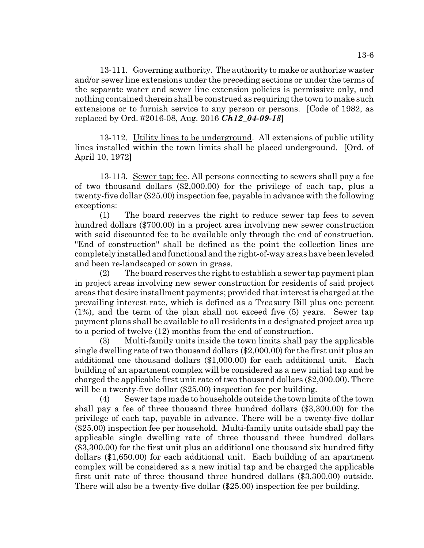13-111. Governing authority. The authority to make or authorize waster and/or sewer line extensions under the preceding sections or under the terms of the separate water and sewer line extension policies is permissive only, and nothing contained therein shall be construed as requiring the town to make such extensions or to furnish service to any person or persons. [Code of 1982, as replaced by Ord. #2016-08, Aug. 2016 *Ch12\_04-09-18*]

13-112. Utility lines to be underground. All extensions of public utility lines installed within the town limits shall be placed underground. [Ord. of April 10, 1972]

13-113. Sewer tap; fee. All persons connecting to sewers shall pay a fee of two thousand dollars (\$2,000.00) for the privilege of each tap, plus a twenty-five dollar (\$25.00) inspection fee, payable in advance with the following exceptions:

(1) The board reserves the right to reduce sewer tap fees to seven hundred dollars (\$700.00) in a project area involving new sewer construction with said discounted fee to be available only through the end of construction. "End of construction" shall be defined as the point the collection lines are completely installed and functional and the right-of-way areas have been leveled and been re-landscaped or sown in grass.

(2) The board reserves the right to establish a sewer tap payment plan in project areas involving new sewer construction for residents of said project areas that desire installment payments; provided that interest is charged at the prevailing interest rate, which is defined as a Treasury Bill plus one percent (1%), and the term of the plan shall not exceed five (5) years. Sewer tap payment plans shall be available to all residents in a designated project area up to a period of twelve (12) months from the end of construction.

(3) Multi-family units inside the town limits shall pay the applicable single dwelling rate of two thousand dollars (\$2,000.00) for the first unit plus an additional one thousand dollars (\$1,000.00) for each additional unit. Each building of an apartment complex will be considered as a new initial tap and be charged the applicable first unit rate of two thousand dollars (\$2,000.00). There will be a twenty-five dollar (\$25.00) inspection fee per building.

(4) Sewer taps made to households outside the town limits of the town shall pay a fee of three thousand three hundred dollars (\$3,300.00) for the privilege of each tap, payable in advance. There will be a twenty-five dollar (\$25.00) inspection fee per household. Multi-family units outside shall pay the applicable single dwelling rate of three thousand three hundred dollars (\$3,300.00) for the first unit plus an additional one thousand six hundred fifty dollars (\$1,650.00) for each additional unit. Each building of an apartment complex will be considered as a new initial tap and be charged the applicable first unit rate of three thousand three hundred dollars (\$3,300.00) outside. There will also be a twenty-five dollar (\$25.00) inspection fee per building.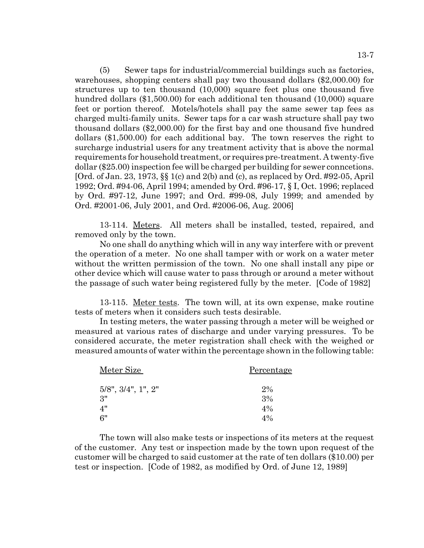(5) Sewer taps for industrial/commercial buildings such as factories, warehouses, shopping centers shall pay two thousand dollars (\$2,000.00) for structures up to ten thousand (10,000) square feet plus one thousand five hundred dollars (\$1,500.00) for each additional ten thousand (10,000) square feet or portion thereof. Motels/hotels shall pay the same sewer tap fees as charged multi-family units. Sewer taps for a car wash structure shall pay two thousand dollars (\$2,000.00) for the first bay and one thousand five hundred dollars (\$1,500.00) for each additional bay. The town reserves the right to surcharge industrial users for any treatment activity that is above the normal

requirements for household treatment, or requires pre-treatment. A twenty-five dollar (\$25.00) inspection fee will be charged per building for sewer conncetions. [Ord. of Jan. 23, 1973, §§ 1(c) and 2(b) and (c), as replaced by Ord. #92-05, April 1992; Ord. #94-06, April 1994; amended by Ord. #96-17, § I, Oct. 1996; replaced by Ord. #97-12, June 1997; and Ord. #99-08, July 1999; and amended by Ord. #2001-06, July 2001, and Ord. #2006-06, Aug. 2006]

13-114. Meters. All meters shall be installed, tested, repaired, and removed only by the town.

No one shall do anything which will in any way interfere with or prevent the operation of a meter. No one shall tamper with or work on a water meter without the written permission of the town. No one shall install any pipe or other device which will cause water to pass through or around a meter without the passage of such water being registered fully by the meter. [Code of 1982]

13-115. Meter tests. The town will, at its own expense, make routine tests of meters when it considers such tests desirable.

In testing meters, the water passing through a meter will be weighed or measured at various rates of discharge and under varying pressures. To be considered accurate, the meter registration shall check with the weighed or measured amounts of water within the percentage shown in the following table:

| Meter Size                     | Percentage |
|--------------------------------|------------|
| $5/8$ ", $3/4$ ", $1$ ", $2$ " | 2%         |
| 3"                             | 3%         |
| 4"                             | $4\%$      |
| 6"                             | 4%         |

The town will also make tests or inspections of its meters at the request of the customer. Any test or inspection made by the town upon request of the customer will be charged to said customer at the rate of ten dollars (\$10.00) per test or inspection. [Code of 1982, as modified by Ord. of June 12, 1989]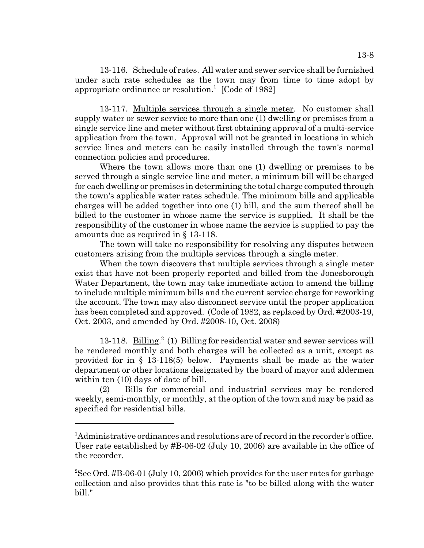13-116. Schedule of rates. All water and sewer service shall be furnished under such rate schedules as the town may from time to time adopt by appropriate ordinance or resolution.<sup>1</sup> [Code of 1982]

13-117. Multiple services through a single meter. No customer shall supply water or sewer service to more than one (1) dwelling or premises from a single service line and meter without first obtaining approval of a multi-service application from the town. Approval will not be granted in locations in which service lines and meters can be easily installed through the town's normal connection policies and procedures.

Where the town allows more than one (1) dwelling or premises to be served through a single service line and meter, a minimum bill will be charged for each dwelling or premises in determining the total charge computed through the town's applicable water rates schedule. The minimum bills and applicable charges will be added together into one (1) bill, and the sum thereof shall be billed to the customer in whose name the service is supplied. It shall be the responsibility of the customer in whose name the service is supplied to pay the amounts due as required in § 13-118.

The town will take no responsibility for resolving any disputes between customers arising from the multiple services through a single meter.

When the town discovers that multiple services through a single meter exist that have not been properly reported and billed from the Jonesborough Water Department, the town may take immediate action to amend the billing to include multiple minimum bills and the current service charge for reworking the account. The town may also disconnect service until the proper application has been completed and approved. (Code of 1982, as replaced by Ord. #2003-19, Oct. 2003, and amended by Ord. #2008-10, Oct. 2008)

13-118. Billing.<sup>2</sup> (1) Billing for residential water and sewer services will be rendered monthly and both charges will be collected as a unit, except as provided for in § 13-118(5) below. Payments shall be made at the water department or other locations designated by the board of mayor and aldermen within ten (10) days of date of bill.

(2) Bills for commercial and industrial services may be rendered weekly, semi-monthly, or monthly, at the option of the town and may be paid as specified for residential bills.

<sup>&</sup>lt;sup>1</sup>Administrative ordinances and resolutions are of record in the recorder's office. User rate established by #B-06-02 (July 10, 2006) are available in the office of the recorder.

<sup>&</sup>lt;sup>2</sup>See Ord. #B-06-01 (July 10, 2006) which provides for the user rates for garbage collection and also provides that this rate is "to be billed along with the water bill."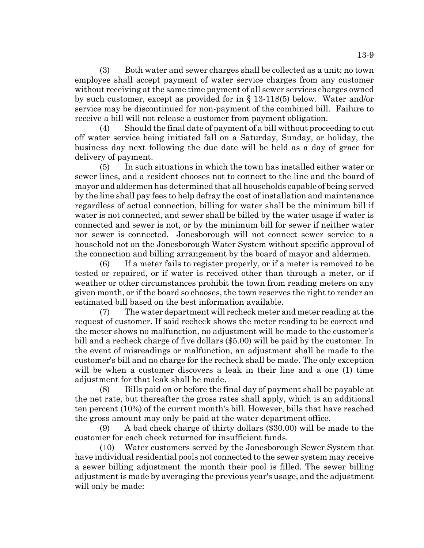(3) Both water and sewer charges shall be collected as a unit; no town employee shall accept payment of water service charges from any customer without receiving at the same time payment of all sewer services charges owned by such customer, except as provided for in § 13-118(5) below. Water and/or service may be discontinued for non-payment of the combined bill. Failure to receive a bill will not release a customer from payment obligation.

(4) Should the final date of payment of a bill without proceeding to cut off water service being initiated fall on a Saturday, Sunday, or holiday, the business day next following the due date will be held as a day of grace for delivery of payment.

(5) In such situations in which the town has installed either water or sewer lines, and a resident chooses not to connect to the line and the board of mayor and aldermen has determined that all households capable of being served by the line shall pay fees to help defray the cost of installation and maintenance regardless of actual connection, billing for water shall be the minimum bill if water is not connected, and sewer shall be billed by the water usage if water is connected and sewer is not, or by the minimum bill for sewer if neither water nor sewer is connected. Jonesborough will not connect sewer service to a household not on the Jonesborough Water System without specific approval of the connection and billing arrangement by the board of mayor and aldermen.

(6) If a meter fails to register properly, or if a meter is removed to be tested or repaired, or if water is received other than through a meter, or if weather or other circumstances prohibit the town from reading meters on any given month, or if the board so chooses, the town reserves the right to render an estimated bill based on the best information available.

(7) The water department will recheck meter and meter reading at the request of customer. If said recheck shows the meter reading to be correct and the meter shows no malfunction, no adjustment will be made to the customer's bill and a recheck charge of five dollars (\$5.00) will be paid by the customer. In the event of misreadings or malfunction, an adjustment shall be made to the customer's bill and no charge for the recheck shall be made. The only exception will be when a customer discovers a leak in their line and a one (1) time adjustment for that leak shall be made.

(8) Bills paid on or before the final day of payment shall be payable at the net rate, but thereafter the gross rates shall apply, which is an additional ten percent (10%) of the current month's bill. However, bills that have reached the gross amount may only be paid at the water department office.

(9) A bad check charge of thirty dollars (\$30.00) will be made to the customer for each check returned for insufficient funds.

(10) Water customers served by the Jonesborough Sewer System that have individual residential pools not connected to the sewer system may receive a sewer billing adjustment the month their pool is filled. The sewer billing adjustment is made by averaging the previous year's usage, and the adjustment will only be made: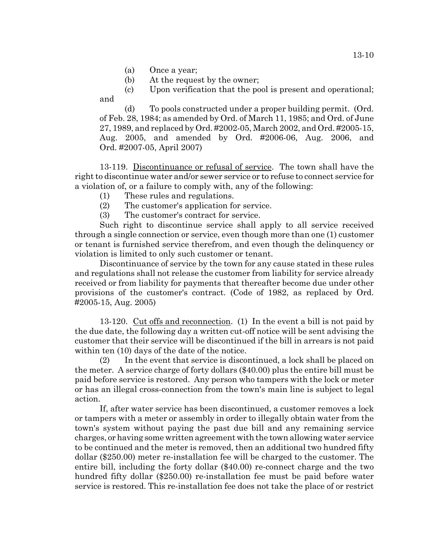(a) Once a year;

(b) At the request by the owner;

(c) Upon verification that the pool is present and operational; and

(d) To pools constructed under a proper building permit. (Ord. of Feb. 28, 1984; as amended by Ord. of March 11, 1985; and Ord. of June 27, 1989, and replaced by Ord. #2002-05, March 2002, and Ord. #2005-15, Aug. 2005, and amended by Ord. #2006-06, Aug. 2006, and Ord. #2007-05, April 2007)

13-119. Discontinuance or refusal of service. The town shall have the right to discontinue water and/or sewer service or to refuse to connect service for a violation of, or a failure to comply with, any of the following:

- (1) These rules and regulations.
- (2) The customer's application for service.
- (3) The customer's contract for service.

Such right to discontinue service shall apply to all service received through a single connection or service, even though more than one (1) customer or tenant is furnished service therefrom, and even though the delinquency or violation is limited to only such customer or tenant.

Discontinuance of service by the town for any cause stated in these rules and regulations shall not release the customer from liability for service already received or from liability for payments that thereafter become due under other provisions of the customer's contract. (Code of 1982, as replaced by Ord. #2005-15, Aug. 2005)

13-120. Cut offs and reconnection. (1) In the event a bill is not paid by the due date, the following day a written cut-off notice will be sent advising the customer that their service will be discontinued if the bill in arrears is not paid within ten (10) days of the date of the notice.

(2) In the event that service is discontinued, a lock shall be placed on the meter. A service charge of forty dollars (\$40.00) plus the entire bill must be paid before service is restored. Any person who tampers with the lock or meter or has an illegal cross-connection from the town's main line is subject to legal action.

If, after water service has been discontinued, a customer removes a lock or tampers with a meter or assembly in order to illegally obtain water from the town's system without paying the past due bill and any remaining service charges, or having some written agreement with the town allowing water service to be continued and the meter is removed, then an additional two hundred fifty dollar (\$250.00) meter re-installation fee will be charged to the customer. The entire bill, including the forty dollar (\$40.00) re-connect charge and the two hundred fifty dollar (\$250.00) re-installation fee must be paid before water service is restored. This re-installation fee does not take the place of or restrict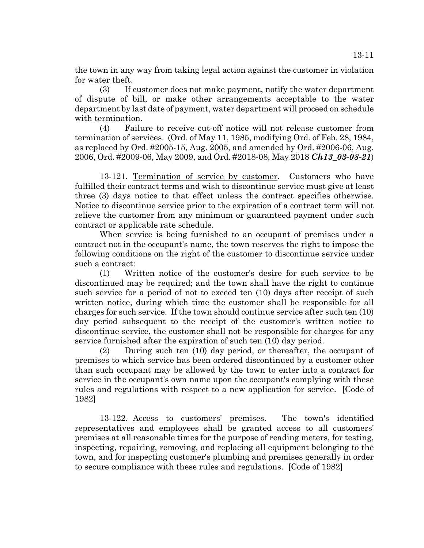the town in any way from taking legal action against the customer in violation for water theft.

(3) If customer does not make payment, notify the water department of dispute of bill, or make other arrangements acceptable to the water department by last date of payment, water department will proceed on schedule with termination.

(4) Failure to receive cut-off notice will not release customer from termination of services. (Ord. of May 11, 1985, modifying Ord. of Feb. 28, 1984, as replaced by Ord. #2005-15, Aug. 2005, and amended by Ord. #2006-06, Aug. 2006, Ord. #2009-06, May 2009, and Ord. #2018-08, May 2018 *Ch13\_03-08-21*)

13-121. Termination of service by customer. Customers who have fulfilled their contract terms and wish to discontinue service must give at least three (3) days notice to that effect unless the contract specifies otherwise. Notice to discontinue service prior to the expiration of a contract term will not relieve the customer from any minimum or guaranteed payment under such contract or applicable rate schedule.

When service is being furnished to an occupant of premises under a contract not in the occupant's name, the town reserves the right to impose the following conditions on the right of the customer to discontinue service under such a contract:

(1) Written notice of the customer's desire for such service to be discontinued may be required; and the town shall have the right to continue such service for a period of not to exceed ten (10) days after receipt of such written notice, during which time the customer shall be responsible for all charges for such service. If the town should continue service after such ten (10) day period subsequent to the receipt of the customer's written notice to discontinue service, the customer shall not be responsible for charges for any service furnished after the expiration of such ten (10) day period.

(2) During such ten (10) day period, or thereafter, the occupant of premises to which service has been ordered discontinued by a customer other than such occupant may be allowed by the town to enter into a contract for service in the occupant's own name upon the occupant's complying with these rules and regulations with respect to a new application for service. [Code of 1982]

13-122. Access to customers' premises. The town's identified representatives and employees shall be granted access to all customers' premises at all reasonable times for the purpose of reading meters, for testing, inspecting, repairing, removing, and replacing all equipment belonging to the town, and for inspecting customer's plumbing and premises generally in order to secure compliance with these rules and regulations. [Code of 1982]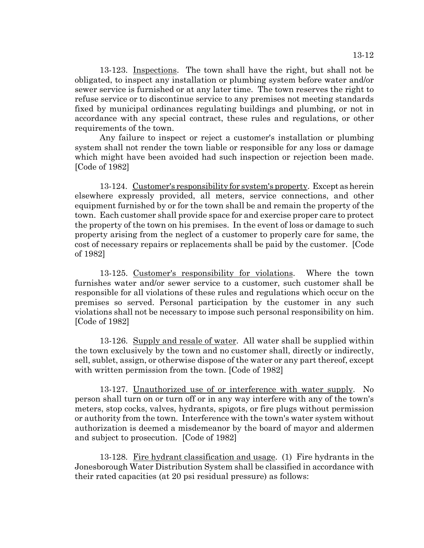13-123. Inspections. The town shall have the right, but shall not be obligated, to inspect any installation or plumbing system before water and/or sewer service is furnished or at any later time. The town reserves the right to refuse service or to discontinue service to any premises not meeting standards fixed by municipal ordinances regulating buildings and plumbing, or not in accordance with any special contract, these rules and regulations, or other requirements of the town.

Any failure to inspect or reject a customer's installation or plumbing system shall not render the town liable or responsible for any loss or damage which might have been avoided had such inspection or rejection been made. [Code of 1982]

13-124. Customer's responsibility for system's property. Except as herein elsewhere expressly provided, all meters, service connections, and other equipment furnished by or for the town shall be and remain the property of the town. Each customer shall provide space for and exercise proper care to protect the property of the town on his premises. In the event of loss or damage to such property arising from the neglect of a customer to properly care for same, the cost of necessary repairs or replacements shall be paid by the customer. [Code of 1982]

13-125. Customer's responsibility for violations. Where the town furnishes water and/or sewer service to a customer, such customer shall be responsible for all violations of these rules and regulations which occur on the premises so served. Personal participation by the customer in any such violations shall not be necessary to impose such personal responsibility on him. [Code of 1982]

13-126. Supply and resale of water. All water shall be supplied within the town exclusively by the town and no customer shall, directly or indirectly, sell, sublet, assign, or otherwise dispose of the water or any part thereof, except with written permission from the town. [Code of 1982]

13-127. Unauthorized use of or interference with water supply. No person shall turn on or turn off or in any way interfere with any of the town's meters, stop cocks, valves, hydrants, spigots, or fire plugs without permission or authority from the town. Interference with the town's water system without authorization is deemed a misdemeanor by the board of mayor and aldermen and subject to prosecution. [Code of 1982]

13-128. Fire hydrant classification and usage. (1) Fire hydrants in the Jonesborough Water Distribution System shall be classified in accordance with their rated capacities (at 20 psi residual pressure) as follows: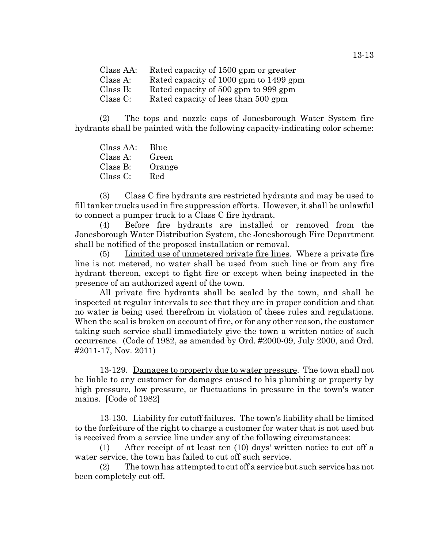Class AA: Rated capacity of 1500 gpm or greater Class A: Rated capacity of 1000 gpm to 1499 gpm Class B: Rated capacity of 500 gpm to 999 gpm Class C: Rated capacity of less than 500 gpm

(2) The tops and nozzle caps of Jonesborough Water System fire hydrants shall be painted with the following capacity-indicating color scheme:

Class AA: Blue Class A: Green Class B: Orange Class C: Red

(3) Class C fire hydrants are restricted hydrants and may be used to fill tanker trucks used in fire suppression efforts. However, it shall be unlawful to connect a pumper truck to a Class C fire hydrant.

(4) Before fire hydrants are installed or removed from the Jonesborough Water Distribution System, the Jonesborough Fire Department shall be notified of the proposed installation or removal.

(5) Limited use of unmetered private fire lines. Where a private fire line is not metered, no water shall be used from such line or from any fire hydrant thereon, except to fight fire or except when being inspected in the presence of an authorized agent of the town.

All private fire hydrants shall be sealed by the town, and shall be inspected at regular intervals to see that they are in proper condition and that no water is being used therefrom in violation of these rules and regulations. When the seal is broken on account of fire, or for any other reason, the customer taking such service shall immediately give the town a written notice of such occurrence. (Code of 1982, as amended by Ord. #2000-09, July 2000, and Ord. #2011-17, Nov. 2011)

13-129. Damages to property due to water pressure. The town shall not be liable to any customer for damages caused to his plumbing or property by high pressure, low pressure, or fluctuations in pressure in the town's water mains. [Code of 1982]

13-130. Liability for cutoff failures. The town's liability shall be limited to the forfeiture of the right to charge a customer for water that is not used but is received from a service line under any of the following circumstances:

(1) After receipt of at least ten (10) days' written notice to cut off a water service, the town has failed to cut off such service.

(2) The town has attempted to cut off a service but such service has not been completely cut off.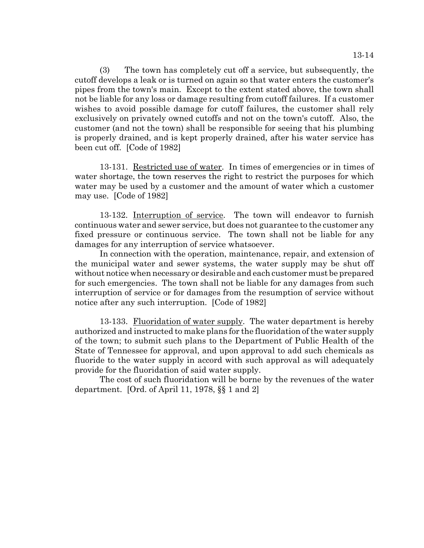(3) The town has completely cut off a service, but subsequently, the cutoff develops a leak or is turned on again so that water enters the customer's pipes from the town's main. Except to the extent stated above, the town shall not be liable for any loss or damage resulting from cutoff failures. If a customer wishes to avoid possible damage for cutoff failures, the customer shall rely exclusively on privately owned cutoffs and not on the town's cutoff. Also, the customer (and not the town) shall be responsible for seeing that his plumbing is properly drained, and is kept properly drained, after his water service has been cut off. [Code of 1982]

13-131. Restricted use of water. In times of emergencies or in times of water shortage, the town reserves the right to restrict the purposes for which water may be used by a customer and the amount of water which a customer may use. [Code of 1982]

13-132. Interruption of service. The town will endeavor to furnish continuous water and sewer service, but does not guarantee to the customer any fixed pressure or continuous service. The town shall not be liable for any damages for any interruption of service whatsoever.

In connection with the operation, maintenance, repair, and extension of the municipal water and sewer systems, the water supply may be shut off without notice when necessary or desirable and each customer must be prepared for such emergencies. The town shall not be liable for any damages from such interruption of service or for damages from the resumption of service without notice after any such interruption. [Code of 1982]

13-133. Fluoridation of water supply. The water department is hereby authorized and instructed to make plans for the fluoridation of the water supply of the town; to submit such plans to the Department of Public Health of the State of Tennessee for approval, and upon approval to add such chemicals as fluoride to the water supply in accord with such approval as will adequately provide for the fluoridation of said water supply.

The cost of such fluoridation will be borne by the revenues of the water department. [Ord. of April 11, 1978, §§ 1 and 2]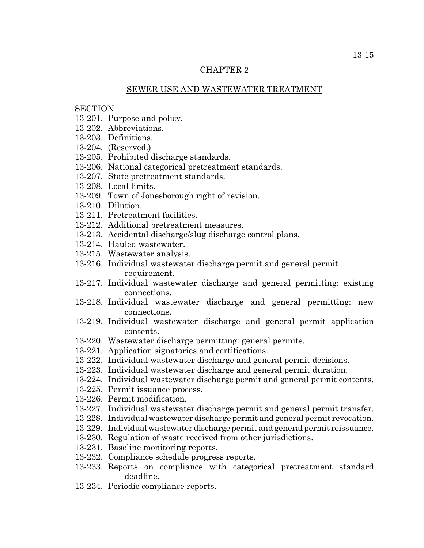### CHAPTER 2

### SEWER USE AND WASTEWATER TREATMENT

### **SECTION**

- 13-201. Purpose and policy.
- 13-202. Abbreviations.
- 13-203. Definitions.
- 13-204. (Reserved.)
- 13-205. Prohibited discharge standards.
- 13-206. National categorical pretreatment standards.
- 13-207. State pretreatment standards.
- 13-208. Local limits.
- 13-209. Town of Jonesborough right of revision.
- 13-210. Dilution.
- 13-211. Pretreatment facilities.
- 13-212. Additional pretreatment measures.
- 13-213. Accidental discharge/slug discharge control plans.
- 13-214. Hauled wastewater.
- 13-215. Wastewater analysis.
- 13-216. Individual wastewater discharge permit and general permit requirement.
- 13-217. Individual wastewater discharge and general permitting: existing connections.
- 13-218. Individual wastewater discharge and general permitting: new connections.
- 13-219. Individual wastewater discharge and general permit application contents.
- 13-220. Wastewater discharge permitting: general permits.
- 13-221. Application signatories and certifications.
- 13-222. Individual wastewater discharge and general permit decisions.
- 13-223. Individual wastewater discharge and general permit duration.
- 13-224. Individual wastewater discharge permit and general permit contents.
- 13-225. Permit issuance process.
- 13-226. Permit modification.
- 13-227. Individual wastewater discharge permit and general permit transfer.
- 13-228. Individual wastewater discharge permit and general permit revocation.
- 13-229. Individual wastewater discharge permit and general permit reissuance.
- 13-230. Regulation of waste received from other jurisdictions.
- 13-231. Baseline monitoring reports.
- 13-232. Compliance schedule progress reports.
- 13-233. Reports on compliance with categorical pretreatment standard deadline.
- 13-234. Periodic compliance reports.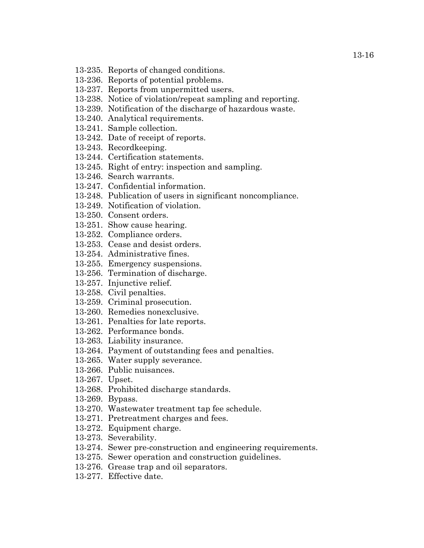- 13-235. Reports of changed conditions.
- 13-236. Reports of potential problems.
- 13-237. Reports from unpermitted users.
- 13-238. Notice of violation/repeat sampling and reporting.
- 13-239. Notification of the discharge of hazardous waste.
- 13-240. Analytical requirements.
- 13-241. Sample collection.
- 13-242. Date of receipt of reports.
- 13-243. Recordkeeping.
- 13-244. Certification statements.
- 13-245. Right of entry: inspection and sampling.
- 13-246. Search warrants.
- 13-247. Confidential information.
- 13-248. Publication of users in significant noncompliance.
- 13-249. Notification of violation.
- 13-250. Consent orders.
- 13-251. Show cause hearing.
- 13-252. Compliance orders.
- 13-253. Cease and desist orders.
- 13-254. Administrative fines.
- 13-255. Emergency suspensions.
- 13-256. Termination of discharge.
- 13-257. Injunctive relief.
- 13-258. Civil penalties.
- 13-259. Criminal prosecution.
- 13-260. Remedies nonexclusive.
- 13-261. Penalties for late reports.
- 13-262. Performance bonds.
- 13-263. Liability insurance.
- 13-264. Payment of outstanding fees and penalties.
- 13-265. Water supply severance.
- 13-266. Public nuisances.
- 13-267. Upset.
- 13-268. Prohibited discharge standards.
- 13-269. Bypass.
- 13-270. Wastewater treatment tap fee schedule.
- 13-271. Pretreatment charges and fees.
- 13-272. Equipment charge.
- 13-273. Severability.
- 13-274. Sewer pre-construction and engineering requirements.
- 13-275. Sewer operation and construction guidelines.
- 13-276. Grease trap and oil separators.
- 13-277. Effective date.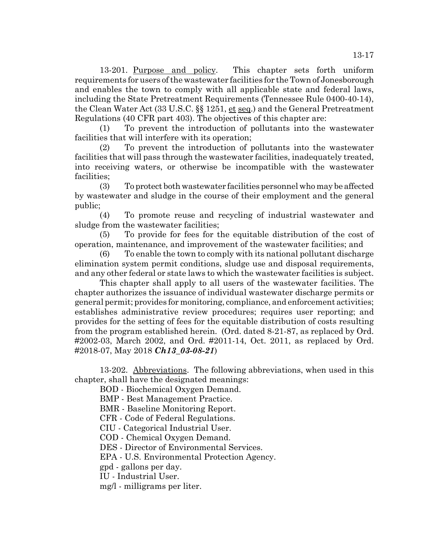13-201. Purpose and policy. This chapter sets forth uniform requirements for users of the wastewater facilities for the Town of Jonesborough and enables the town to comply with all applicable state and federal laws, including the State Pretreatment Requirements (Tennessee Rule 0400-40-14), the Clean Water Act (33 U.S.C. §§ 1251, et seq.) and the General Pretreatment Regulations (40 CFR part 403). The objectives of this chapter are:

(1) To prevent the introduction of pollutants into the wastewater facilities that will interfere with its operation;

(2) To prevent the introduction of pollutants into the wastewater facilities that will pass through the wastewater facilities, inadequately treated, into receiving waters, or otherwise be incompatible with the wastewater facilities;

(3) To protect both wastewater facilities personnel who may be affected by wastewater and sludge in the course of their employment and the general public;

(4) To promote reuse and recycling of industrial wastewater and sludge from the wastewater facilities;

(5) To provide for fees for the equitable distribution of the cost of operation, maintenance, and improvement of the wastewater facilities; and

(6) To enable the town to comply with its national pollutant discharge elimination system permit conditions, sludge use and disposal requirements, and any other federal or state laws to which the wastewater facilities is subject.

This chapter shall apply to all users of the wastewater facilities. The chapter authorizes the issuance of individual wastewater discharge permits or general permit; provides for monitoring, compliance, and enforcement activities; establishes administrative review procedures; requires user reporting; and provides for the setting of fees for the equitable distribution of costs resulting from the program established herein. (Ord. dated 8-21-87, as replaced by Ord. #2002-03, March 2002, and Ord. #2011-14, Oct. 2011, as replaced by Ord. #2018-07, May 2018 *Ch13\_03-08-21*)

13-202. Abbreviations. The following abbreviations, when used in this chapter, shall have the designated meanings:

BOD - Biochemical Oxygen Demand.

BMP - Best Management Practice.

BMR - Baseline Monitoring Report.

CFR - Code of Federal Regulations.

CIU - Categorical Industrial User.

COD - Chemical Oxygen Demand.

DES - Director of Environmental Services.

EPA - U.S. Environmental Protection Agency.

gpd - gallons per day.

IU - Industrial User.

mg/l - milligrams per liter.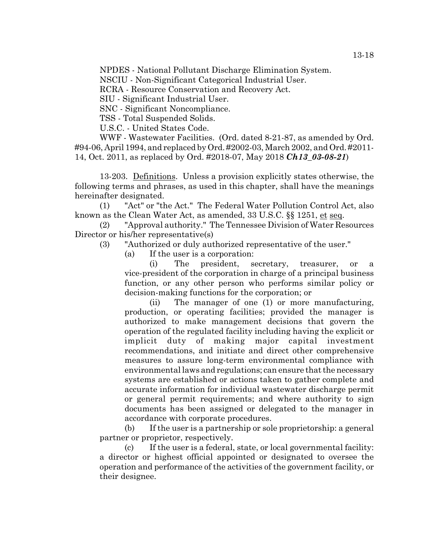NPDES - National Pollutant Discharge Elimination System.

NSCIU - Non-Significant Categorical Industrial User.

RCRA - Resource Conservation and Recovery Act.

SIU - Significant Industrial User.

SNC - Significant Noncompliance.

TSS - Total Suspended Solids.

U.S.C. - United States Code.

WWF - Wastewater Facilities. (Ord. dated 8-21-87, as amended by Ord. #94-06, April 1994, and replaced by Ord. #2002-03, March 2002, and Ord. #2011- 14, Oct. 2011, as replaced by Ord. #2018-07, May 2018 *Ch13\_03-08-21*)

13-203. Definitions. Unless a provision explicitly states otherwise, the following terms and phrases, as used in this chapter, shall have the meanings hereinafter designated.

(1) "Act" or "the Act." The Federal Water Pollution Control Act, also known as the Clean Water Act, as amended, 33 U.S.C. §§ 1251, et seq.

(2) "Approval authority." The Tennessee Division of Water Resources Director or his/her representative(s)

- (3) "Authorized or duly authorized representative of the user."
	- (a) If the user is a corporation:

(i) The president, secretary, treasurer, or a vice-president of the corporation in charge of a principal business function, or any other person who performs similar policy or decision-making functions for the corporation; or

(ii) The manager of one (1) or more manufacturing, production, or operating facilities; provided the manager is authorized to make management decisions that govern the operation of the regulated facility including having the explicit or implicit duty of making major capital investment recommendations, and initiate and direct other comprehensive measures to assure long-term environmental compliance with environmental laws and regulations; can ensure that the necessary systems are established or actions taken to gather complete and accurate information for individual wastewater discharge permit or general permit requirements; and where authority to sign documents has been assigned or delegated to the manager in accordance with corporate procedures.

(b) If the user is a partnership or sole proprietorship: a general partner or proprietor, respectively.

(c) If the user is a federal, state, or local governmental facility: a director or highest official appointed or designated to oversee the operation and performance of the activities of the government facility, or their designee.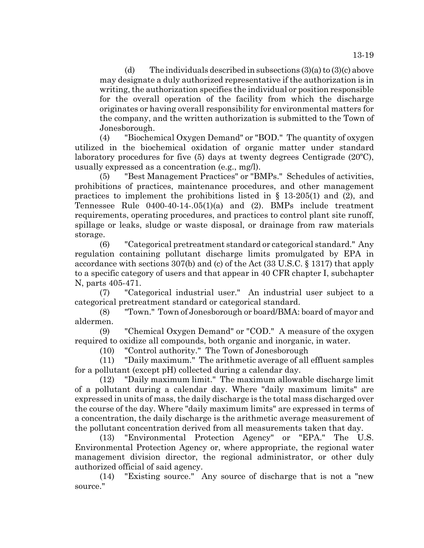13-19

(d) The individuals described in subsections (3)(a) to (3)(c) above may designate a duly authorized representative if the authorization is in writing, the authorization specifies the individual or position responsible for the overall operation of the facility from which the discharge originates or having overall responsibility for environmental matters for the company, and the written authorization is submitted to the Town of Jonesborough.

(4) "Biochemical Oxygen Demand" or "BOD." The quantity of oxygen utilized in the biochemical oxidation of organic matter under standard laboratory procedures for five (5) days at twenty degrees Centigrade (20ºC), usually expressed as a concentration (e.g., mg/l).

(5) "Best Management Practices" or "BMPs." Schedules of activities, prohibitions of practices, maintenance procedures, and other management practices to implement the prohibitions listed in § 13-205(1) and (2), and Tennessee Rule 0400-40-14-.05(1)(a) and (2). BMPs include treatment requirements, operating procedures, and practices to control plant site runoff, spillage or leaks, sludge or waste disposal, or drainage from raw materials storage.

(6) "Categorical pretreatment standard or categorical standard." Any regulation containing pollutant discharge limits promulgated by EPA in accordance with sections 307(b) and (c) of the Act (33 U.S.C. § 1317) that apply to a specific category of users and that appear in 40 CFR chapter I, subchapter N, parts 405-471.

(7) "Categorical industrial user." An industrial user subject to a categorical pretreatment standard or categorical standard.

(8) "Town." Town of Jonesborough or board/BMA: board of mayor and aldermen.

(9) "Chemical Oxygen Demand" or "COD." A measure of the oxygen required to oxidize all compounds, both organic and inorganic, in water.

(10) "Control authority." The Town of Jonesborough

(11) "Daily maximum." The arithmetic average of all effluent samples for a pollutant (except pH) collected during a calendar day.

(12) "Daily maximum limit." The maximum allowable discharge limit of a pollutant during a calendar day. Where "daily maximum limits" are expressed in units of mass, the daily discharge is the total mass discharged over the course of the day. Where "daily maximum limits" are expressed in terms of a concentration, the daily discharge is the arithmetic average measurement of the pollutant concentration derived from all measurements taken that day.

(13) "Environmental Protection Agency" or "EPA." The U.S. Environmental Protection Agency or, where appropriate, the regional water management division director, the regional administrator, or other duly authorized official of said agency.

(14) "Existing source." Any source of discharge that is not a "new source."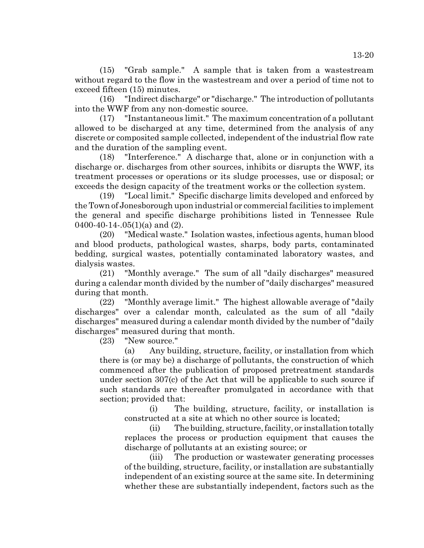(15) "Grab sample." A sample that is taken from a wastestream without regard to the flow in the wastestream and over a period of time not to exceed fifteen (15) minutes.

(16) "Indirect discharge" or "discharge." The introduction of pollutants into the WWF from any non-domestic source.

(17) "Instantaneous limit." The maximum concentration of a pollutant allowed to be discharged at any time, determined from the analysis of any discrete or composited sample collected, independent of the industrial flow rate and the duration of the sampling event.

(18) "Interference." A discharge that, alone or in conjunction with a discharge or. discharges from other sources, inhibits or disrupts the WWF, its treatment processes or operations or its sludge processes, use or disposal; or exceeds the design capacity of the treatment works or the collection system.

(19) "Local limit." Specific discharge limits developed and enforced by the Town of Jonesborough upon industrial or commercial facilities to implement the general and specific discharge prohibitions listed in Tennessee Rule 0400-40-14-.05 $(1)(a)$  and  $(2)$ .

(20) "Medical waste." Isolation wastes, infectious agents, human blood and blood products, pathological wastes, sharps, body parts, contaminated bedding, surgical wastes, potentially contaminated laboratory wastes, and dialysis wastes.

(21) "Monthly average." The sum of all "daily discharges" measured during a calendar month divided by the number of "daily discharges" measured during that month.

(22) "Monthly average limit." The highest allowable average of "daily discharges" over a calendar month, calculated as the sum of all "daily discharges" measured during a calendar month divided by the number of "daily discharges" measured during that month.

(23) "New source."

(a) Any building, structure, facility, or installation from which there is (or may be) a discharge of pollutants, the construction of which commenced after the publication of proposed pretreatment standards under section 307(c) of the Act that will be applicable to such source if such standards are thereafter promulgated in accordance with that section; provided that:

(i) The building, structure, facility, or installation is constructed at a site at which no other source is located;

(ii) The building, structure, facility, or installation totally replaces the process or production equipment that causes the discharge of pollutants at an existing source; or

(iii) The production or wastewater generating processes of the building, structure, facility, or installation are substantially independent of an existing source at the same site. In determining whether these are substantially independent, factors such as the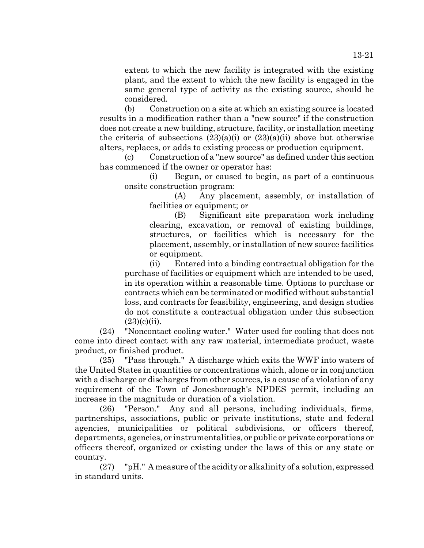extent to which the new facility is integrated with the existing plant, and the extent to which the new facility is engaged in the same general type of activity as the existing source, should be considered.

(b) Construction on a site at which an existing source is located results in a modification rather than a "new source" if the construction does not create a new building, structure, facility, or installation meeting the criteria of subsections  $(23)(a)(i)$  or  $(23)(a)(ii)$  above but otherwise alters, replaces, or adds to existing process or production equipment.

Construction of a "new source" as defined under this section has commenced if the owner or operator has:

(i) Begun, or caused to begin, as part of a continuous onsite construction program:

(A) Any placement, assembly, or installation of facilities or equipment; or

(B) Significant site preparation work including clearing, excavation, or removal of existing buildings, structures, or facilities which is necessary for the placement, assembly, or installation of new source facilities or equipment.

(ii) Entered into a binding contractual obligation for the purchase of facilities or equipment which are intended to be used, in its operation within a reasonable time. Options to purchase or contracts which can be terminated or modified without substantial loss, and contracts for feasibility, engineering, and design studies do not constitute a contractual obligation under this subsection  $(23)(c)(ii)$ .

(24) "Noncontact cooling water." Water used for cooling that does not come into direct contact with any raw material, intermediate product, waste product, or finished product.

(25) "Pass through." A discharge which exits the WWF into waters of the United States in quantities or concentrations which, alone or in conjunction with a discharge or discharges from other sources, is a cause of a violation of any requirement of the Town of Jonesborough's NPDES permit, including an increase in the magnitude or duration of a violation.

(26) "Person." Any and all persons, including individuals, firms, partnerships, associations, public or private institutions, state and federal agencies, municipalities or political subdivisions, or officers thereof, departments, agencies, or instrumentalities, or public or private corporations or officers thereof, organized or existing under the laws of this or any state or country.

(27) "pH." A measure of the acidity or alkalinity of a solution, expressed in standard units.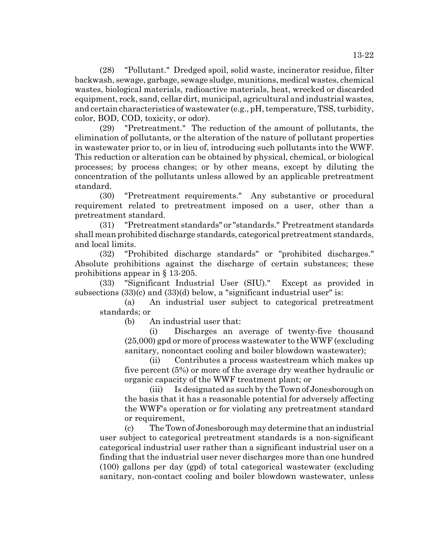13-22

(28) "Pollutant." Dredged spoil, solid waste, incinerator residue, filter backwash, sewage, garbage, sewage sludge, munitions, medical wastes, chemical wastes, biological materials, radioactive materials, heat, wrecked or discarded equipment, rock, sand, cellar dirt, municipal, agricultural and industrial wastes, and certain characteristics of wastewater (e.g., pH, temperature, TSS, turbidity, color, BOD, COD, toxicity, or odor).

(29) "Pretreatment." The reduction of the amount of pollutants, the elimination of pollutants, or the alteration of the nature of pollutant properties in wastewater prior to, or in lieu of, introducing such pollutants into the WWF. This reduction or alteration can be obtained by physical, chemical, or biological processes; by process changes; or by other means, except by diluting the concentration of the pollutants unless allowed by an applicable pretreatment standard.

(30) "Pretreatment requirements." Any substantive or procedural requirement related to pretreatment imposed on a user, other than a pretreatment standard.

(31) "Pretreatment standards" or "standards." Pretreatment standards shall mean prohibited discharge standards, categorical pretreatment standards, and local limits.

(32) "Prohibited discharge standards" or "prohibited discharges." Absolute prohibitions against the discharge of certain substances; these prohibitions appear in § 13-205.

(33) "Significant Industrial User (SIU)." Except as provided in subsections (33)(c) and (33)(d) below, a "significant industrial user" is:

(a) An industrial user subject to categorical pretreatment standards; or

(b) An industrial user that:

(i) Discharges an average of twenty-five thousand (25,000) gpd or more of process wastewater to the WWF (excluding sanitary, noncontact cooling and boiler blowdown wastewater);

(ii) Contributes a process wastestream which makes up five percent (5%) or more of the average dry weather hydraulic or organic capacity of the WWF treatment plant; or

(iii) Is designated as such by the Town of Jonesborough on the basis that it has a reasonable potential for adversely affecting the WWF's operation or for violating any pretreatment standard or requirement,

(c) The Town of Jonesborough may determine that an industrial user subject to categorical pretreatment standards is a non-significant categorical industrial user rather than a significant industrial user on a finding that the industrial user never discharges more than one hundred (100) gallons per day (gpd) of total categorical wastewater (excluding sanitary, non-contact cooling and boiler blowdown wastewater, unless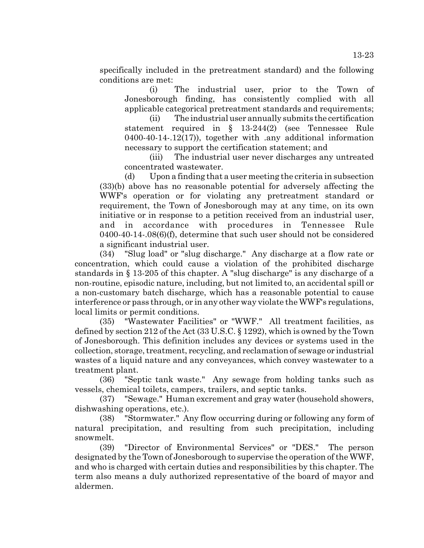specifically included in the pretreatment standard) and the following conditions are met:

(i) The industrial user, prior to the Town of Jonesborough finding, has consistently complied with all applicable categorical pretreatment standards and requirements;

(ii) The industrial user annually submits the certification statement required in § 13-244(2) (see Tennessee Rule 0400-40-14-.12(17)), together with .any additional information necessary to support the certification statement; and

(iii) The industrial user never discharges any untreated concentrated wastewater.

(d) Upon a finding that a user meeting the criteria in subsection (33)(b) above has no reasonable potential for adversely affecting the WWF's operation or for violating any pretreatment standard or requirement, the Town of Jonesborough may at any time, on its own initiative or in response to a petition received from an industrial user, and in accordance with procedures in Tennessee Rule 0400-40-14-.08(6)(f), determine that such user should not be considered a significant industrial user.

(34) "Slug load" or "slug discharge." Any discharge at a flow rate or concentration, which could cause a violation of the prohibited discharge standards in § 13-205 of this chapter. A "slug discharge" is any discharge of a non-routine, episodic nature, including, but not limited to, an accidental spill or a non-customary batch discharge, which has a reasonable potential to cause interference or pass through, or in any other way violate the WWF's regulations, local limits or permit conditions.

(35) "Wastewater Facilities" or "WWF." All treatment facilities, as defined by section 212 of the Act (33 U.S.C. § 1292), which is owned by the Town of Jonesborough. This definition includes any devices or systems used in the collection, storage, treatment, recycling, and reclamation of sewage or industrial wastes of a liquid nature and any conveyances, which convey wastewater to a treatment plant.

(36) "Septic tank waste." Any sewage from holding tanks such as vessels, chemical toilets, campers, trailers, and septic tanks.

(37) "Sewage." Human excrement and gray water (household showers, dishwashing operations, etc.).

(38) "Stormwater." Any flow occurring during or following any form of natural precipitation, and resulting from such precipitation, including snowmelt.

(39) "Director of Environmental Services" or "DES." The person designated by the Town of Jonesborough to supervise the operation of the WWF, and who is charged with certain duties and responsibilities by this chapter. The term also means a duly authorized representative of the board of mayor and aldermen.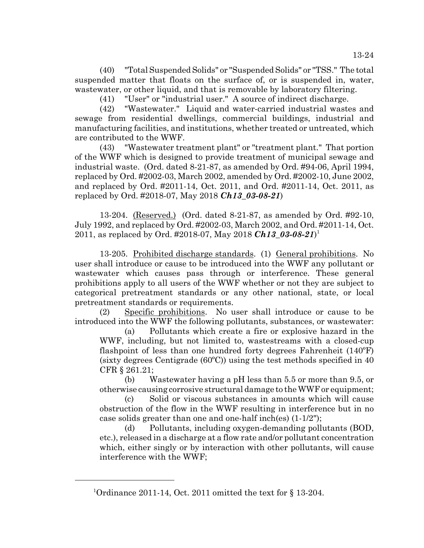(40) "Total Suspended Solids" or "Suspended Solids" or "TSS." The total suspended matter that floats on the surface of, or is suspended in, water, wastewater, or other liquid, and that is removable by laboratory filtering.

(41) "User" or "industrial user." A source of indirect discharge.

(42) "Wastewater." Liquid and water-carried industrial wastes and sewage from residential dwellings, commercial buildings, industrial and manufacturing facilities, and institutions, whether treated or untreated, which are contributed to the WWF.

(43) "Wastewater treatment plant" or "treatment plant." That portion of the WWF which is designed to provide treatment of municipal sewage and industrial waste. (Ord. dated 8-21-87, as amended by Ord. #94-06, April 1994, replaced by Ord. #2002-03, March 2002, amended by Ord. #2002-10, June 2002, and replaced by Ord. #2011-14, Oct. 2011, and Ord. #2011-14, Oct. 2011, as replaced by Ord. #2018-07, May 2018 *Ch13\_03-08-21*)

13-204. (Reserved.) (Ord. dated 8-21-87, as amended by Ord. #92-10, July 1992, and replaced by Ord. #2002-03, March 2002, and Ord. #2011-14, Oct. 2011, as replaced by Ord. #2018-07, May 2018 *Ch13\_03-08-21*) 1

13-205. <u>Prohibited discharge standards</u>. (1) <u>General prohibitions</u>. No user shall introduce or cause to be introduced into the WWF any pollutant or wastewater which causes pass through or interference. These general prohibitions apply to all users of the WWF whether or not they are subject to categorical pretreatment standards or any other national, state, or local pretreatment standards or requirements.

(2) Specific prohibitions. No user shall introduce or cause to be introduced into the WWF the following pollutants, substances, or wastewater:

(a) Pollutants which create a fire or explosive hazard in the WWF, including, but not limited to, wastestreams with a closed-cup flashpoint of less than one hundred forty degrees Fahrenheit (140ºF) (sixty degrees Centigrade (60ºC)) using the test methods specified in 40 CFR § 261.21;

(b) Wastewater having a pH less than 5.5 or more than 9.5, or otherwise causing corrosive structural damage to the WWF or equipment;

(c) Solid or viscous substances in amounts which will cause obstruction of the flow in the WWF resulting in interference but in no case solids greater than one and one-half inch(es) (1-1/2");

(d) Pollutants, including oxygen-demanding pollutants (BOD, etc.), released in a discharge at a flow rate and/or pollutant concentration which, either singly or by interaction with other pollutants, will cause interference with the WWF;

<sup>1</sup> Ordinance 2011-14, Oct. 2011 omitted the text for § 13-204.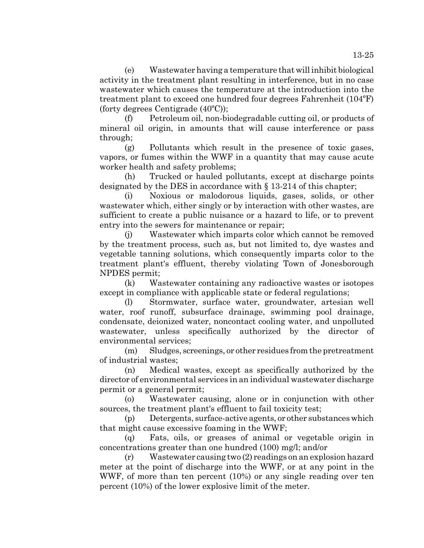(e) Wastewater having a temperature that will inhibit biological activity in the treatment plant resulting in interference, but in no case wastewater which causes the temperature at the introduction into the treatment plant to exceed one hundred four degrees Fahrenheit (104ºF) (forty degrees Centigrade (40ºC));

(f) Petroleum oil, non-biodegradable cutting oil, or products of mineral oil origin, in amounts that will cause interference or pass through;

(g) Pollutants which result in the presence of toxic gases, vapors, or fumes within the WWF in a quantity that may cause acute worker health and safety problems;

(h) Trucked or hauled pollutants, except at discharge points designated by the DES in accordance with § 13-214 of this chapter;

(i) Noxious or malodorous liquids, gases, solids, or other wastewater which, either singly or by interaction with other wastes, are sufficient to create a public nuisance or a hazard to life, or to prevent entry into the sewers for maintenance or repair;

(j) Wastewater which imparts color which cannot be removed by the treatment process, such as, but not limited to, dye wastes and vegetable tanning solutions, which consequently imparts color to the treatment plant's effluent, thereby violating Town of Jonesborough NPDES permit;

(k) Wastewater containing any radioactive wastes or isotopes except in compliance with applicable state or federal regulations;

Stormwater, surface water, groundwater, artesian well water, roof runoff, subsurface drainage, swimming pool drainage, condensate, deionized water, noncontact cooling water, and unpolluted wastewater, unless specifically authorized by the director of environmental services;

(m) Sludges, screenings, or other residues from the pretreatment of industrial wastes;

(n) Medical wastes, except as specifically authorized by the director of environmental services in an individual wastewater discharge permit or a general permit;

(o) Wastewater causing, alone or in conjunction with other sources, the treatment plant's effluent to fail toxicity test;

(p) Detergents, surface-active agents, or other substances which that might cause excessive foaming in the WWF;

(q) Fats, oils, or greases of animal or vegetable origin in concentrations greater than one hundred (100) mg/l; and/or

(r) Wastewater causing two (2) readings on an explosion hazard meter at the point of discharge into the WWF, or at any point in the WWF, of more than ten percent (10%) or any single reading over ten percent (10%) of the lower explosive limit of the meter.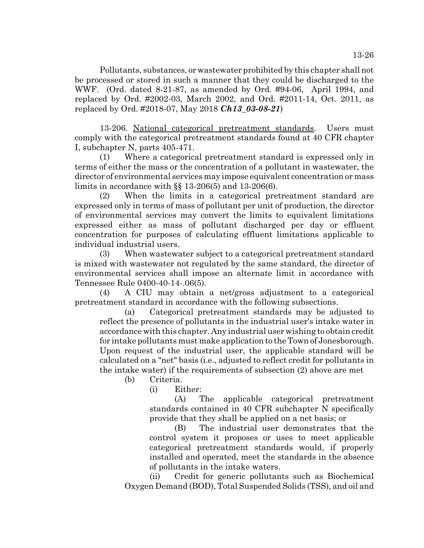Pollutants, substances, or wastewater prohibited by this chapter shall not be processed or stored in such a manner that they could be discharged to the WWF. (Ord. dated 8-21-87, as amended by Ord. #94-06, April 1994, and replaced by Ord. #2002-03, March 2002, and Ord. #2011-14, Oct. 2011, as replaced by Ord. #2018-07, May 2018 *Ch13\_03-08-21*)

13-206. National categorical pretreatment standards. Users must comply with the categorical pretreatment standards found at 40 CFR chapter I, subchapter N, parts 405-471.

(1) Where a categorical pretreatment standard is expressed only in terms of either the mass or the concentration of a pollutant in wastewater, the director of environmental services may impose equivalent concentration or mass limits in accordance with §§ 13-206(5) and 13-206(6).

(2) When the limits in a categorical pretreatment standard are expressed only in terms of mass of pollutant per unit of production, the director of environmental services may convert the limits to equivalent limitations expressed either as mass of pollutant discharged per day or effluent concentration for purposes of calculating effluent limitations applicable to individual industrial users.

(3) When wastewater subject to a categorical pretreatment standard is mixed with wastewater not regulated by the same standard, the director of environmental services shall impose an alternate limit in accordance with Tennessee Rule 0400-40-14-.06(5).

(4) A CIU may obtain a net/gross adjustment to a categorical pretreatment standard in accordance with the following subsections.

(a) Categorical pretreatment standards may be adjusted to reflect the presence of pollutants in the industrial user's intake water in accordance with this chapter. Any industrial user wishing to obtain credit for intake pollutants must make application to the Town of Jonesborough. Upon request of the industrial user, the applicable standard will be calculated on a "net" basis (i.e., adjusted to reflect credit for pollutants in the intake water) if the requirements of subsection (2) above are met

(b) Criteria.

(i) Either:

(A) The applicable categorical pretreatment standards contained in 40 CFR subchapter N specifically provide that they shall be applied on a net basis; or

(B) The industrial user demonstrates that the control system it proposes or uses to meet applicable categorical pretreatment standards would, if properly installed and operated, meet the standards in the absence of pollutants in the intake waters.

(ii) Credit for generic pollutants such as Biochemical Oxygen Demand (BOD), Total Suspended Solids (TSS), and oil and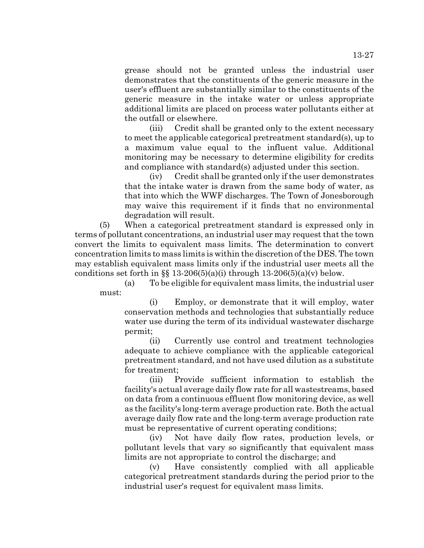grease should not be granted unless the industrial user demonstrates that the constituents of the generic measure in the user's effluent are substantially similar to the constituents of the generic measure in the intake water or unless appropriate additional limits are placed on process water pollutants either at the outfall or elsewhere.

(iii) Credit shall be granted only to the extent necessary to meet the applicable categorical pretreatment standard(s), up to a maximum value equal to the influent value. Additional monitoring may be necessary to determine eligibility for credits and compliance with standard(s) adjusted under this section.

(iv) Credit shall be granted only if the user demonstrates that the intake water is drawn from the same body of water, as that into which the WWF discharges. The Town of Jonesborough may waive this requirement if it finds that no environmental degradation will result.

(5) When a categorical pretreatment standard is expressed only in terms of pollutant concentrations, an industrial user may request that the town convert the limits to equivalent mass limits. The determination to convert concentration limits to mass limits is within the discretion of the DES. The town may establish equivalent mass limits only if the industrial user meets all the conditions set forth in §§ 13-206(5)(a)(i) through  $13-206(5)(a)(v)$  below.

(a) To be eligible for equivalent mass limits, the industrial user must:

(i) Employ, or demonstrate that it will employ, water conservation methods and technologies that substantially reduce water use during the term of its individual wastewater discharge permit;

(ii) Currently use control and treatment technologies adequate to achieve compliance with the applicable categorical pretreatment standard, and not have used dilution as a substitute for treatment;

(iii) Provide sufficient information to establish the facility's actual average daily flow rate for all wastestreams, based on data from a continuous effluent flow monitoring device, as well as the facility's long-term average production rate. Both the actual average daily flow rate and the long-term average production rate must be representative of current operating conditions;

(iv) Not have daily flow rates, production levels, or pollutant levels that vary so significantly that equivalent mass limits are not appropriate to control the discharge; and

(v) Have consistently complied with all applicable categorical pretreatment standards during the period prior to the industrial user's request for equivalent mass limits.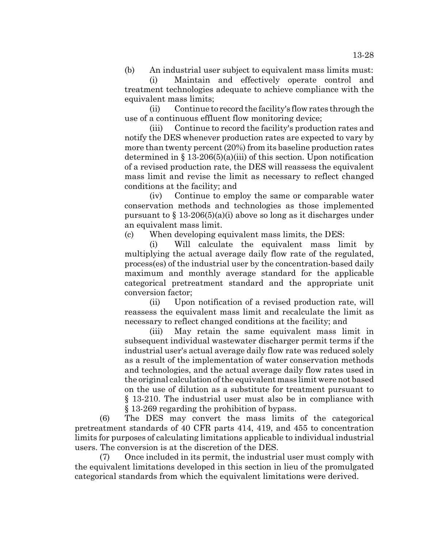(b) An industrial user subject to equivalent mass limits must:

(i) Maintain and effectively operate control and treatment technologies adequate to achieve compliance with the equivalent mass limits;

(ii) Continue to record the facility's flow rates through the use of a continuous effluent flow monitoring device;

(iii) Continue to record the facility's production rates and notify the DES whenever production rates are expected to vary by more than twenty percent (20%) from its baseline production rates determined in  $\S 13-206(5)(a)(iii)$  of this section. Upon notification of a revised production rate, the DES will reassess the equivalent mass limit and revise the limit as necessary to reflect changed conditions at the facility; and

(iv) Continue to employ the same or comparable water conservation methods and technologies as those implemented pursuant to  $\S 13-206(5)(a)(i)$  above so long as it discharges under an equivalent mass limit.

(c) When developing equivalent mass limits, the DES:

(i) Will calculate the equivalent mass limit by multiplying the actual average daily flow rate of the regulated, process(es) of the industrial user by the concentration-based daily maximum and monthly average standard for the applicable categorical pretreatment standard and the appropriate unit conversion factor;

(ii) Upon notification of a revised production rate, will reassess the equivalent mass limit and recalculate the limit as necessary to reflect changed conditions at the facility; and

(iii) May retain the same equivalent mass limit in subsequent individual wastewater discharger permit terms if the industrial user's actual average daily flow rate was reduced solely as a result of the implementation of water conservation methods and technologies, and the actual average daily flow rates used in the original calculation of the equivalent mass limit were not based on the use of dilution as a substitute for treatment pursuant to § 13-210. The industrial user must also be in compliance with § 13-269 regarding the prohibition of bypass.

(6) The DES may convert the mass limits of the categorical pretreatment standards of 40 CFR parts 414, 419, and 455 to concentration limits for purposes of calculating limitations applicable to individual industrial users. The conversion is at the discretion of the DES.

(7) Once included in its permit, the industrial user must comply with the equivalent limitations developed in this section in lieu of the promulgated categorical standards from which the equivalent limitations were derived.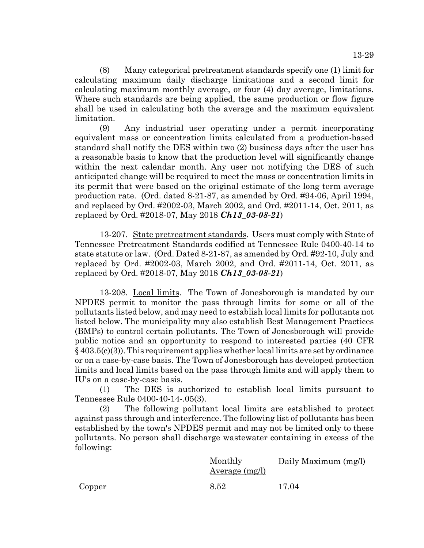13-29

(8) Many categorical pretreatment standards specify one (1) limit for calculating maximum daily discharge limitations and a second limit for calculating maximum monthly average, or four (4) day average, limitations. Where such standards are being applied, the same production or flow figure shall be used in calculating both the average and the maximum equivalent limitation.

(9) Any industrial user operating under a permit incorporating equivalent mass or concentration limits calculated from a production-based standard shall notify the DES within two (2) business days after the user has a reasonable basis to know that the production level will significantly change within the next calendar month. Any user not notifying the DES of such anticipated change will be required to meet the mass or concentration limits in its permit that were based on the original estimate of the long term average production rate. (Ord. dated 8-21-87, as amended by Ord. #94-06, April 1994, and replaced by Ord. #2002-03, March 2002, and Ord. #2011-14, Oct. 2011, as replaced by Ord. #2018-07, May 2018 *Ch13\_03-08-21*)

13-207. State pretreatment standards. Users must comply with State of Tennessee Pretreatment Standards codified at Tennessee Rule 0400-40-14 to state statute or law. (Ord. Dated 8-21-87, as amended by Ord. #92-10, July and replaced by Ord. #2002-03, March 2002, and Ord. #2011-14, Oct. 2011, as replaced by Ord. #2018-07, May 2018 *Ch13\_03-08-21*)

13-208. Local limits. The Town of Jonesborough is mandated by our NPDES permit to monitor the pass through limits for some or all of the pollutants listed below, and may need to establish local limits for pollutants not listed below. The municipality may also establish Best Management Practices (BMPs) to control certain pollutants. The Town of Jonesborough will provide public notice and an opportunity to respond to interested parties (40 CFR  $\S$  403.5(c)(3)). This requirement applies whether local limits are set by ordinance or on a case-by-case basis. The Town of Jonesborough has developed protection limits and local limits based on the pass through limits and will apply them to IU's on a case-by-case basis.

(1) The DES is authorized to establish local limits pursuant to Tennessee Rule 0400-40-14-.05(3).

(2) The following pollutant local limits are established to protect against pass through and interference. The following list of pollutants has been established by the town's NPDES permit and may not be limited only to these pollutants. No person shall discharge wastewater containing in excess of the following:

|        | Monthly<br>Average (mg/l) | Daily Maximum (mg/l) |
|--------|---------------------------|----------------------|
| Copper | 8.52                      | 17.04                |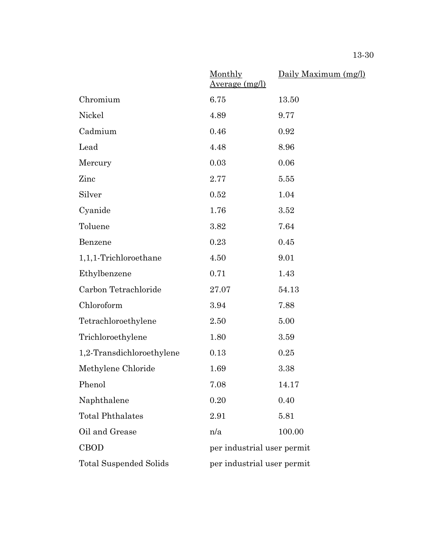|                               | Monthly<br><u>Average (mg/l)</u> | Daily Maximum (mg/l)       |  |
|-------------------------------|----------------------------------|----------------------------|--|
| Chromium                      | 6.75                             | 13.50                      |  |
| Nickel                        | 4.89                             | 9.77                       |  |
| Cadmium                       | 0.46                             | 0.92                       |  |
| Lead                          | 4.48                             | 8.96                       |  |
| Mercury                       | 0.03                             | 0.06                       |  |
| Zinc                          | 2.77                             | 5.55                       |  |
| Silver                        | 0.52                             | 1.04                       |  |
| Cyanide                       | 1.76                             | 3.52                       |  |
| Toluene                       | 3.82                             | 7.64                       |  |
| Benzene                       | 0.23                             | 0.45                       |  |
| 1,1,1-Trichloroethane         | 4.50                             | 9.01                       |  |
| Ethylbenzene                  | 0.71                             | 1.43                       |  |
| Carbon Tetrachloride          | 27.07                            | 54.13                      |  |
| Chloroform                    | 3.94                             | 7.88                       |  |
| Tetrachloroethylene           | 2.50                             | 5.00                       |  |
| Trichloroethylene             | 1.80                             | 3.59                       |  |
| 1,2-Transdichloroethylene     | 0.13                             | 0.25                       |  |
| Methylene Chloride            | 1.69                             | 3.38                       |  |
| Phenol                        | 7.08                             | 14.17                      |  |
| Naphthalene                   | 0.20                             | 0.40                       |  |
| <b>Total Phthalates</b>       | 2.91                             | 5.81                       |  |
| Oil and Grease                | n/a                              | 100.00                     |  |
| <b>CBOD</b>                   |                                  | per industrial user permit |  |
| <b>Total Suspended Solids</b> |                                  | per industrial user permit |  |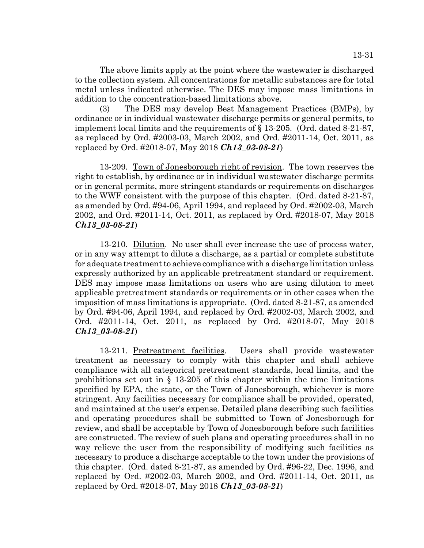The above limits apply at the point where the wastewater is discharged to the collection system. All concentrations for metallic substances are for total metal unless indicated otherwise. The DES may impose mass limitations in addition to the concentration-based limitations above.

(3) The DES may develop Best Management Practices (BMPs), by ordinance or in individual wastewater discharge permits or general permits, to implement local limits and the requirements of § 13-205. (Ord. dated 8-21-87, as replaced by Ord. #2003-03, March 2002, and Ord. #2011-14, Oct. 2011, as replaced by Ord. #2018-07, May 2018 *Ch13\_03-08-21*)

13-209. Town of Jonesborough right of revision. The town reserves the right to establish, by ordinance or in individual wastewater discharge permits or in general permits, more stringent standards or requirements on discharges to the WWF consistent with the purpose of this chapter. (Ord. dated 8-21-87, as amended by Ord. #94-06, April 1994, and replaced by Ord. #2002-03, March 2002, and Ord. #2011-14, Oct. 2011, as replaced by Ord. #2018-07, May 2018 *Ch13\_03-08-21*)

13-210. Dilution. No user shall ever increase the use of process water, or in any way attempt to dilute a discharge, as a partial or complete substitute for adequate treatment to achieve compliance with a discharge limitation unless expressly authorized by an applicable pretreatment standard or requirement. DES may impose mass limitations on users who are using dilution to meet applicable pretreatment standards or requirements or in other cases when the imposition of mass limitations is appropriate. (Ord. dated 8-21-87, as amended by Ord. #94-06, April 1994, and replaced by Ord. #2002-03, March 2002, and Ord. #2011-14, Oct. 2011, as replaced by Ord. #2018-07, May 2018 *Ch13\_03-08-21*)

13-211. Pretreatment facilities. Users shall provide wastewater treatment as necessary to comply with this chapter and shall achieve compliance with all categorical pretreatment standards, local limits, and the prohibitions set out in § 13-205 of this chapter within the time limitations specified by EPA, the state, or the Town of Jonesborough, whichever is more stringent. Any facilities necessary for compliance shall be provided, operated, and maintained at the user's expense. Detailed plans describing such facilities and operating procedures shall be submitted to Town of Jonesborough for review, and shall be acceptable by Town of Jonesborough before such facilities are constructed. The review of such plans and operating procedures shall in no way relieve the user from the responsibility of modifying such facilities as necessary to produce a discharge acceptable to the town under the provisions of this chapter. (Ord. dated 8-21-87, as amended by Ord. #96-22, Dec. 1996, and replaced by Ord. #2002-03, March 2002, and Ord. #2011-14, Oct. 2011, as replaced by Ord. #2018-07, May 2018 *Ch13\_03-08-21*)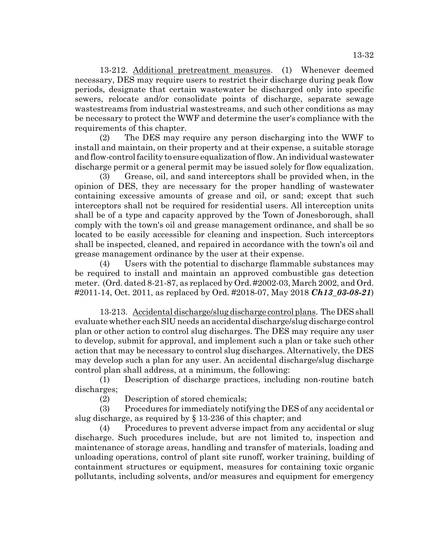13-212. Additional pretreatment measures. (1) Whenever deemed necessary, DES may require users to restrict their discharge during peak flow periods, designate that certain wastewater be discharged only into specific sewers, relocate and/or consolidate points of discharge, separate sewage wastestreams from industrial wastestreams, and such other conditions as may be necessary to protect the WWF and determine the user's compliance with the requirements of this chapter.

(2) The DES may require any person discharging into the WWF to install and maintain, on their property and at their expense, a suitable storage and flow-control facility to ensure equalization of flow. An individual wastewater discharge permit or a general permit may be issued solely for flow equalization.

(3) Grease, oil, and sand interceptors shall be provided when, in the opinion of DES, they are necessary for the proper handling of wastewater containing excessive amounts of grease and oil, or sand; except that such interceptors shall not be required for residential users. All interception units shall be of a type and capacity approved by the Town of Jonesborough, shall comply with the town's oil and grease management ordinance, and shall be so located to be easily accessible for cleaning and inspection. Such interceptors shall be inspected, cleaned, and repaired in accordance with the town's oil and grease management ordinance by the user at their expense.

(4) Users with the potential to discharge flammable substances may be required to install and maintain an approved combustible gas detection meter. (Ord. dated 8-21-87, as replaced by Ord. #2002-03, March 2002, and Ord. #2011-14, Oct. 2011, as replaced by Ord. #2018-07, May 2018 *Ch13\_03-08-21*)

13-213. Accidental discharge/slug discharge control plans. The DES shall evaluate whether each SlU needs an accidental discharge/slug discharge control plan or other action to control slug discharges. The DES may require any user to develop, submit for approval, and implement such a plan or take such other action that may be necessary to control slug discharges. Alternatively, the DES may develop such a plan for any user. An accidental discharge/slug discharge control plan shall address, at a minimum, the following:

(1) Description of discharge practices, including non-routine batch discharges;

(2) Description of stored chemicals;

(3) Procedures for immediately notifying the DES of any accidental or slug discharge, as required by § 13-236 of this chapter; and

(4) Procedures to prevent adverse impact from any accidental or slug discharge. Such procedures include, but are not limited to, inspection and maintenance of storage areas, handling and transfer of materials, loading and unloading operations, control of plant site runoff, worker training, building of containment structures or equipment, measures for containing toxic organic pollutants, including solvents, and/or measures and equipment for emergency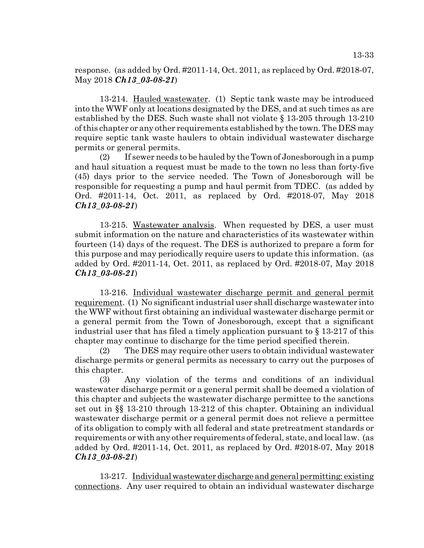response. (as added by Ord. #2011-14, Oct. 2011, as replaced by Ord. #2018-07, May 2018 *Ch13\_03-08-21*)

13-214. Hauled wastewater. (1) Septic tank waste may be introduced into the WWF only at locations designated by the DES, and at such times as are established by the DES. Such waste shall not violate § 13-205 through 13-210 of this chapter or any other requirements established by the town. The DES may require septic tank waste haulers to obtain individual wastewater discharge permits or general permits.

(2) If sewer needs to be hauled by the Town of Jonesborough in a pump and haul situation a request must be made to the town no less than forty-five (45) days prior to the service needed. The Town of Jonesborough will be responsible for requesting a pump and haul permit from TDEC. (as added by Ord. #2011-14, Oct. 2011, as replaced by Ord. #2018-07, May 2018 *Ch13\_03-08-21*)

13-215. Wastewater analysis. When requested by DES, a user must submit information on the nature and characteristics of its wastewater within fourteen (14) days of the request. The DES is authorized to prepare a form for this purpose and may periodically require users to update this information. (as added by Ord. #2011-14, Oct. 2011, as replaced by Ord. #2018-07, May 2018 *Ch13\_03-08-21*)

13-216. Individual wastewater discharge permit and general permit requirement. (1) No significant industrial user shall discharge wastewater into the WWF without first obtaining an individual wastewater discharge permit or a general permit from the Town of Jonesborough, except that a significant industrial user that has filed a timely application pursuant to § 13-217 of this chapter may continue to discharge for the time period specified therein.

(2) The DES may require other users to obtain individual wastewater discharge permits or general permits as necessary to carry out the purposes of this chapter.

(3) Any violation of the terms and conditions of an individual wastewater discharge permit or a general permit shall be deemed a violation of this chapter and subjects the wastewater discharge permittee to the sanctions set out in §§ 13-210 through 13-212 of this chapter. Obtaining an individual wastewater discharge permit or a general permit does not relieve a permittee of its obligation to comply with all federal and state pretreatment standards or requirements or with any other requirements of federal, state, and local law. (as added by Ord. #2011-14, Oct. 2011, as replaced by Ord. #2018-07, May 2018 *Ch13\_03-08-21*)

13-217. Individual wastewater discharge and general permitting: existing connections. Any user required to obtain an individual wastewater discharge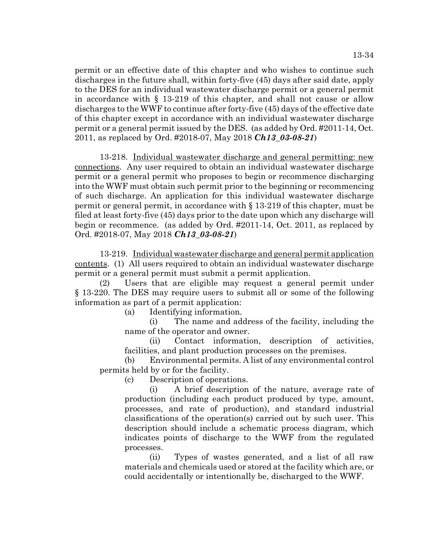permit or an effective date of this chapter and who wishes to continue such discharges in the future shall, within forty-five (45) days after said date, apply to the DES for an individual wastewater discharge permit or a general permit in accordance with § 13-219 of this chapter, and shall not cause or allow discharges to the WWF to continue after forty-five (45) days of the effective date of this chapter except in accordance with an individual wastewater discharge permit or a general permit issued by the DES. (as added by Ord. #2011-14, Oct. 2011, as replaced by Ord. #2018-07, May 2018 *Ch13\_03-08-21*)

13-218. Individual wastewater discharge and general permitting: new connections. Any user required to obtain an individual wastewater discharge permit or a general permit who proposes to begin or recommence discharging into the WWF must obtain such permit prior to the beginning or recommencing of such discharge. An application for this individual wastewater discharge permit or general permit, in accordance with § 13-219 of this chapter, must be filed at least forty-five (45) days prior to the date upon which any discharge will begin or recommence. (as added by Ord. #2011-14, Oct. 2011, as replaced by Ord. #2018-07, May 2018 *Ch13\_03-08-21*)

13-219. Individual wastewater discharge and general permit application contents. (1) All users required to obtain an individual wastewater discharge permit or a general permit must submit a permit application.

(2) Users that are eligible may request a general permit under § 13-220. The DES may require users to submit all or some of the following information as part of a permit application:

(a) Identifying information.

(i) The name and address of the facility, including the name of the operator and owner.

(ii) Contact information, description of activities, facilities, and plant production processes on the premises.

(b) Environmental permits. A list of any environmental control permits held by or for the facility.

(c) Description of operations.

(i) A brief description of the nature, average rate of production (including each product produced by type, amount, processes, and rate of production), and standard industrial classifications of the operation(s) carried out by such user. This description should include a schematic process diagram, which indicates points of discharge to the WWF from the regulated processes.

(ii) Types of wastes generated, and a list of all raw materials and chemicals used or stored at the facility which are, or could accidentally or intentionally be, discharged to the WWF.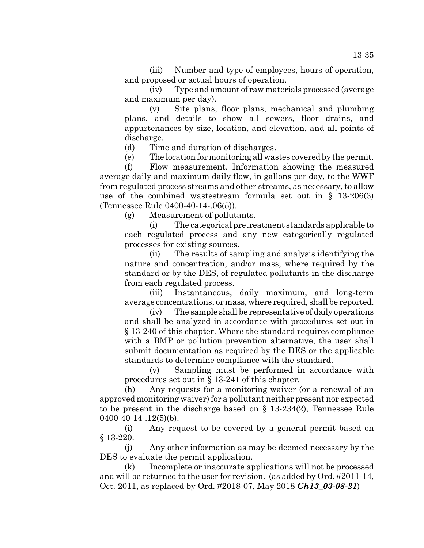(iii) Number and type of employees, hours of operation, and proposed or actual hours of operation.

(iv) Type and amount of raw materials processed (average and maximum per day).

(v) Site plans, floor plans, mechanical and plumbing plans, and details to show all sewers, floor drains, and appurtenances by size, location, and elevation, and all points of discharge.

(d) Time and duration of discharges.

(e) The location for monitoring all wastes covered by the permit.

(f) Flow measurement. Information showing the measured average daily and maximum daily flow, in gallons per day, to the WWF from regulated process streams and other streams, as necessary, to allow use of the combined wastestream formula set out in § 13-206(3) (Tennessee Rule 0400-40-14-.06(5)).

(g) Measurement of pollutants.

(i) The categorical pretreatment standards applicable to each regulated process and any new categorically regulated processes for existing sources.

(ii) The results of sampling and analysis identifying the nature and concentration, and/or mass, where required by the standard or by the DES, of regulated pollutants in the discharge from each regulated process.

(iii) Instantaneous, daily maximum, and long-term average concentrations, or mass, where required, shall be reported.

(iv) The sample shall be representative of daily operations and shall be analyzed in accordance with procedures set out in § 13-240 of this chapter. Where the standard requires compliance with a BMP or pollution prevention alternative, the user shall submit documentation as required by the DES or the applicable standards to determine compliance with the standard.

(v) Sampling must be performed in accordance with procedures set out in § 13-241 of this chapter.

(h) Any requests for a monitoring waiver (or a renewal of an approved monitoring waiver) for a pollutant neither present nor expected to be present in the discharge based on § 13-234(2), Tennessee Rule  $0400-40-14-.12(5)(b)$ .

(i) Any request to be covered by a general permit based on § 13-220.

(j) Any other information as may be deemed necessary by the DES to evaluate the permit application.

(k) Incomplete or inaccurate applications will not be processed and will be returned to the user for revision. (as added by Ord. #2011-14, Oct. 2011, as replaced by Ord. #2018-07, May 2018 *Ch13\_03-08-21*)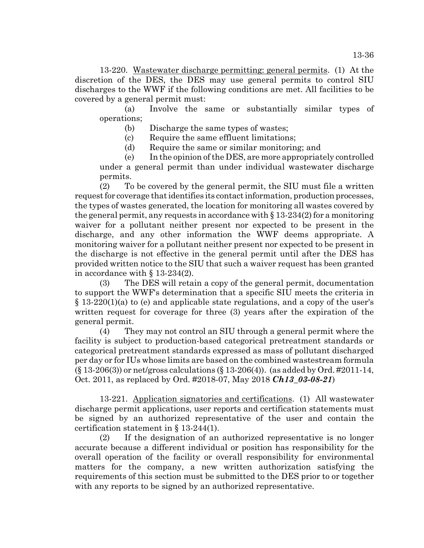13-36

13-220. Wastewater discharge permitting: general permits. (1) At the discretion of the DES, the DES may use general permits to control SIU discharges to the WWF if the following conditions are met. All facilities to be covered by a general permit must:

(a) Involve the same or substantially similar types of operations;

(b) Discharge the same types of wastes;

(c) Require the same effluent limitations;

(d) Require the same or similar monitoring; and

(e) In the opinion of the DES, are more appropriately controlled under a general permit than under individual wastewater discharge

permits. (2) To be covered by the general permit, the SIU must file a written request for coverage that identifies its contact information, production processes, the types of wastes generated, the location for monitoring all wastes covered by the general permit, any requests in accordance with  $\S 13-234(2)$  for a monitoring waiver for a pollutant neither present nor expected to be present in the discharge, and any other information the WWF deems appropriate. A monitoring waiver for a pollutant neither present nor expected to be present in the discharge is not effective in the general permit until after the DES has provided written notice to the SIU that such a waiver request has been granted in accordance with § 13-234(2).

(3) The DES will retain a copy of the general permit, documentation to support the WWF's determination that a specific SIU meets the criteria in  $\S 13-220(1)(a)$  to (e) and applicable state regulations, and a copy of the user's written request for coverage for three (3) years after the expiration of the general permit.

(4) They may not control an SIU through a general permit where the facility is subject to production-based categorical pretreatment standards or categorical pretreatment standards expressed as mass of pollutant discharged per day or for IUs whose limits are based on the combined wastestream formula  $($   $($   $\{$  13-206(3)) or net/gross calculations ( $\{$  13-206(4)). (as added by Ord. #2011-14, Oct. 2011, as replaced by Ord. #2018-07, May 2018 *Ch13\_03-08-21*)

13-221. Application signatories and certifications. (1) All wastewater discharge permit applications, user reports and certification statements must be signed by an authorized representative of the user and contain the certification statement in § 13-244(1).

(2) If the designation of an authorized representative is no longer accurate because a different individual or position has responsibility for the overall operation of the facility or overall responsibility for environmental matters for the company, a new written authorization satisfying the requirements of this section must be submitted to the DES prior to or together with any reports to be signed by an authorized representative.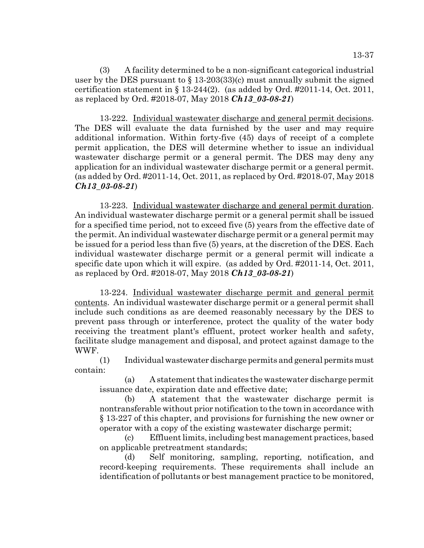(3) A facility determined to be a non-significant categorical industrial user by the DES pursuant to  $\S$  13-203(33)(c) must annually submit the signed certification statement in  $\S 13-244(2)$ . (as added by Ord. #2011-14, Oct. 2011, as replaced by Ord. #2018-07, May 2018 *Ch13\_03-08-21*)

13-222. Individual wastewater discharge and general permit decisions. The DES will evaluate the data furnished by the user and may require additional information. Within forty-five (45) days of receipt of a complete permit application, the DES will determine whether to issue an individual wastewater discharge permit or a general permit. The DES may deny any application for an individual wastewater discharge permit or a general permit. (as added by Ord. #2011-14, Oct. 2011, as replaced by Ord. #2018-07, May 2018 *Ch13\_03-08-21*)

13-223. Individual wastewater discharge and general permit duration. An individual wastewater discharge permit or a general permit shall be issued for a specified time period, not to exceed five (5) years from the effective date of the permit. An individual wastewater discharge permit or a general permit may be issued for a period less than five (5) years, at the discretion of the DES. Each individual wastewater discharge permit or a general permit will indicate a specific date upon which it will expire. (as added by Ord. #2011-14, Oct. 2011, as replaced by Ord. #2018-07, May 2018 *Ch13\_03-08-21*)

13-224. Individual wastewater discharge permit and general permit contents. An individual wastewater discharge permit or a general permit shall include such conditions as are deemed reasonably necessary by the DES to prevent pass through or interference, protect the quality of the water body receiving the treatment plant's effluent, protect worker health and safety, facilitate sludge management and disposal, and protect against damage to the WWF.

(1) Individual wastewater discharge permits and general permits must contain:

(a) A statement that indicates the wastewater discharge permit issuance date, expiration date and effective date;

(b) A statement that the wastewater discharge permit is nontransferable without prior notification to the town in accordance with § 13-227 of this chapter, and provisions for furnishing the new owner or operator with a copy of the existing wastewater discharge permit;

(c) Effluent limits, including best management practices, based on applicable pretreatment standards;

(d) Self monitoring, sampling, reporting, notification, and record-keeping requirements. These requirements shall include an identification of pollutants or best management practice to be monitored,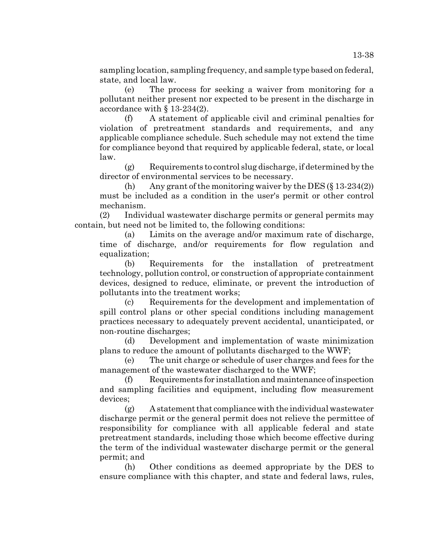sampling location, sampling frequency, and sample type based on federal, state, and local law.

(e) The process for seeking a waiver from monitoring for a pollutant neither present nor expected to be present in the discharge in accordance with § 13-234(2).

(f) A statement of applicable civil and criminal penalties for violation of pretreatment standards and requirements, and any applicable compliance schedule. Such schedule may not extend the time for compliance beyond that required by applicable federal, state, or local law.

(g) Requirements to control slug discharge, if determined by the director of environmental services to be necessary.

(h) Any grant of the monitoring waiver by the DES  $(\S 13-234(2))$ must be included as a condition in the user's permit or other control mechanism.

(2) Individual wastewater discharge permits or general permits may contain, but need not be limited to, the following conditions:

(a) Limits on the average and/or maximum rate of discharge, time of discharge, and/or requirements for flow regulation and equalization;

(b) Requirements for the installation of pretreatment technology, pollution control, or construction of appropriate containment devices, designed to reduce, eliminate, or prevent the introduction of pollutants into the treatment works;

(c) Requirements for the development and implementation of spill control plans or other special conditions including management practices necessary to adequately prevent accidental, unanticipated, or non-routine discharges;

(d) Development and implementation of waste minimization plans to reduce the amount of pollutants discharged to the WWF;

(e) The unit charge or schedule of user charges and fees for the management of the wastewater discharged to the WWF;

(f) Requirements for installation and maintenance of inspection and sampling facilities and equipment, including flow measurement devices;

(g) A statement that compliance with the individual wastewater discharge permit or the general permit does not relieve the permittee of responsibility for compliance with all applicable federal and state pretreatment standards, including those which become effective during the term of the individual wastewater discharge permit or the general permit; and

(h) Other conditions as deemed appropriate by the DES to ensure compliance with this chapter, and state and federal laws, rules,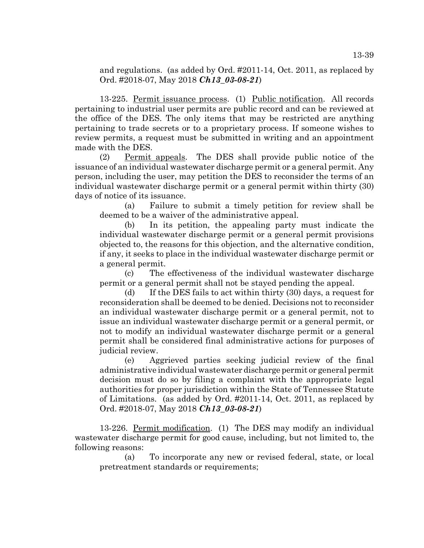and regulations. (as added by Ord. #2011-14, Oct. 2011, as replaced by Ord. #2018-07, May 2018 *Ch13\_03-08-21*)

13-225. Permit issuance process. (1) Public notification. All records pertaining to industrial user permits are public record and can be reviewed at the office of the DES. The only items that may be restricted are anything pertaining to trade secrets or to a proprietary process. If someone wishes to review permits, a request must be submitted in writing and an appointment made with the DES.

(2) Permit appeals. The DES shall provide public notice of the issuance of an individual wastewater discharge permit or a general permit. Any person, including the user, may petition the DES to reconsider the terms of an individual wastewater discharge permit or a general permit within thirty (30) days of notice of its issuance.

(a) Failure to submit a timely petition for review shall be deemed to be a waiver of the administrative appeal.

(b) In its petition, the appealing party must indicate the individual wastewater discharge permit or a general permit provisions objected to, the reasons for this objection, and the alternative condition, if any, it seeks to place in the individual wastewater discharge permit or a general permit.

(c) The effectiveness of the individual wastewater discharge permit or a general permit shall not be stayed pending the appeal.

(d) If the DES fails to act within thirty (30) days, a request for reconsideration shall be deemed to be denied. Decisions not to reconsider an individual wastewater discharge permit or a general permit, not to issue an individual wastewater discharge permit or a general permit, or not to modify an individual wastewater discharge permit or a general permit shall be considered final administrative actions for purposes of judicial review.

(e) Aggrieved parties seeking judicial review of the final administrative individual wastewater discharge permit or general permit decision must do so by filing a complaint with the appropriate legal authorities for proper jurisdiction within the State of Tennessee Statute of Limitations. (as added by Ord. #2011-14, Oct. 2011, as replaced by Ord. #2018-07, May 2018 *Ch13\_03-08-21*)

13-226. Permit modification. (1) The DES may modify an individual wastewater discharge permit for good cause, including, but not limited to, the following reasons:

(a) To incorporate any new or revised federal, state, or local pretreatment standards or requirements;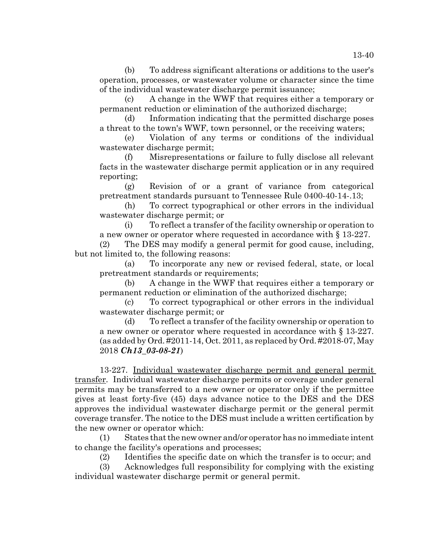(b) To address significant alterations or additions to the user's operation, processes, or wastewater volume or character since the time of the individual wastewater discharge permit issuance;

(c) A change in the WWF that requires either a temporary or permanent reduction or elimination of the authorized discharge;

(d) Information indicating that the permitted discharge poses a threat to the town's WWF, town personnel, or the receiving waters;

(e) Violation of any terms or conditions of the individual wastewater discharge permit;

(f) Misrepresentations or failure to fully disclose all relevant facts in the wastewater discharge permit application or in any required reporting;

(g) Revision of or a grant of variance from categorical pretreatment standards pursuant to Tennessee Rule 0400-40-14-.13;

(h) To correct typographical or other errors in the individual wastewater discharge permit; or

(i) To reflect a transfer of the facility ownership or operation to a new owner or operator where requested in accordance with § 13-227.

(2) The DES may modify a general permit for good cause, including, but not limited to, the following reasons:

(a) To incorporate any new or revised federal, state, or local pretreatment standards or requirements;

(b) A change in the WWF that requires either a temporary or permanent reduction or elimination of the authorized discharge;

(c) To correct typographical or other errors in the individual wastewater discharge permit; or

(d) To reflect a transfer of the facility ownership or operation to a new owner or operator where requested in accordance with § 13-227. (as added by Ord. #2011-14, Oct. 2011, as replaced by Ord. #2018-07, May 2018 *Ch13\_03-08-21*)

13-227. Individual wastewater discharge permit and general permit transfer. Individual wastewater discharge permits or coverage under general permits may be transferred to a new owner or operator only if the permittee gives at least forty-five (45) days advance notice to the DES and the DES approves the individual wastewater discharge permit or the general permit coverage transfer. The notice to the DES must include a written certification by the new owner or operator which:

(1) States that the new owner and/or operator has no immediate intent to change the facility's operations and processes;

(2) Identifies the specific date on which the transfer is to occur; and

(3) Acknowledges full responsibility for complying with the existing individual wastewater discharge permit or general permit.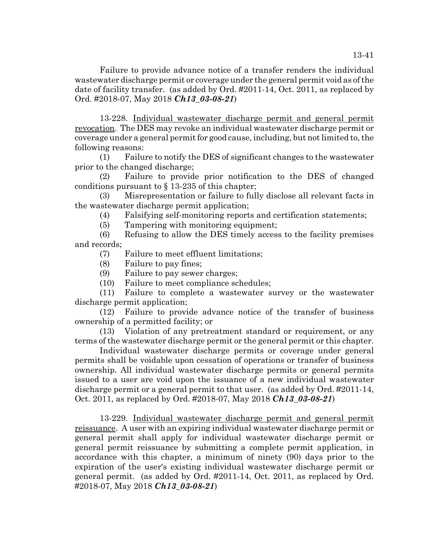Failure to provide advance notice of a transfer renders the individual wastewater discharge permit or coverage under the general permit void as of the date of facility transfer. (as added by Ord. #2011-14, Oct. 2011, as replaced by Ord. #2018-07, May 2018 *Ch13\_03-08-21*)

13-228. Individual wastewater discharge permit and general permit revocation. The DES may revoke an individual wastewater discharge permit or coverage under a general permit for good cause, including, but not limited to, the following reasons:

(1) Failure to notify the DES of significant changes to the wastewater prior to the changed discharge;

(2) Failure to provide prior notification to the DES of changed conditions pursuant to  $\S$  13-235 of this chapter;

(3) Misrepresentation or failure to fully disclose all relevant facts in the wastewater discharge permit application;

(4) Falsifying self-monitoring reports and certification statements;

(5) Tampering with monitoring equipment;

(6) Refusing to allow the DES timely access to the facility premises and records;

(7) Failure to meet effluent limitations;

(8) Failure to pay fines;

(9) Failure to pay sewer charges;

(10) Failure to meet compliance schedules;

(11) Failure to complete a wastewater survey or the wastewater discharge permit application;

(12) Failure to provide advance notice of the transfer of business ownership of a permitted facility; or

(13) Violation of any pretreatment standard or requirement, or any terms of the wastewater discharge permit or the general permit or this chapter.

Individual wastewater discharge permits or coverage under general permits shall be voidable upon cessation of operations or transfer of business ownership. All individual wastewater discharge permits or general permits issued to a user are void upon the issuance of a new individual wastewater discharge permit or a general permit to that user. (as added by Ord. #2011-14, Oct. 2011, as replaced by Ord. #2018-07, May 2018 *Ch13\_03-08-21*)

13-229. Individual wastewater discharge permit and general permit reissuance. A user with an expiring individual wastewater discharge permit or general permit shall apply for individual wastewater discharge permit or general permit reissuance by submitting a complete permit application, in accordance with this chapter, a minimum of ninety (90) days prior to the expiration of the user's existing individual wastewater discharge permit or general permit. (as added by Ord. #2011-14, Oct. 2011, as replaced by Ord. #2018-07, May 2018 *Ch13\_03-08-21*)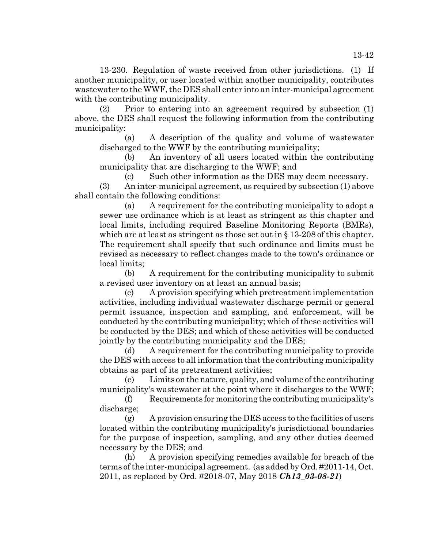13-230. Regulation of waste received from other jurisdictions. (1) If another municipality, or user located within another municipality, contributes wastewater to the WWF, the DES shall enter into an inter-municipal agreement with the contributing municipality.

(2) Prior to entering into an agreement required by subsection (1) above, the DES shall request the following information from the contributing municipality:

(a) A description of the quality and volume of wastewater discharged to the WWF by the contributing municipality;

(b) An inventory of all users located within the contributing municipality that are discharging to the WWF; and

(c) Such other information as the DES may deem necessary.

(3) An inter-municipal agreement, as required by subsection (1) above shall contain the following conditions:

(a) A requirement for the contributing municipality to adopt a sewer use ordinance which is at least as stringent as this chapter and local limits, including required Baseline Monitoring Reports (BMRs), which are at least as stringent as those set out in  $\S 13-208$  of this chapter. The requirement shall specify that such ordinance and limits must be revised as necessary to reflect changes made to the town's ordinance or local limits;

(b) A requirement for the contributing municipality to submit a revised user inventory on at least an annual basis;

(c) A provision specifying which pretreatment implementation activities, including individual wastewater discharge permit or general permit issuance, inspection and sampling, and enforcement, will be conducted by the contributing municipality; which of these activities will be conducted by the DES; and which of these activities will be conducted jointly by the contributing municipality and the DES;

(d) A requirement for the contributing municipality to provide the DES with access to all information that the contributing municipality obtains as part of its pretreatment activities;

(e) Limits on the nature, quality, and volume of the contributing municipality's wastewater at the point where it discharges to the WWF;

(f) Requirements for monitoring the contributing municipality's discharge;

(g) A provision ensuring the DES access to the facilities of users located within the contributing municipality's jurisdictional boundaries for the purpose of inspection, sampling, and any other duties deemed necessary by the DES; and

(h) A provision specifying remedies available for breach of the terms of the inter-municipal agreement. (as added by Ord. #2011-14, Oct. 2011, as replaced by Ord. #2018-07, May 2018 *Ch13\_03-08-21*)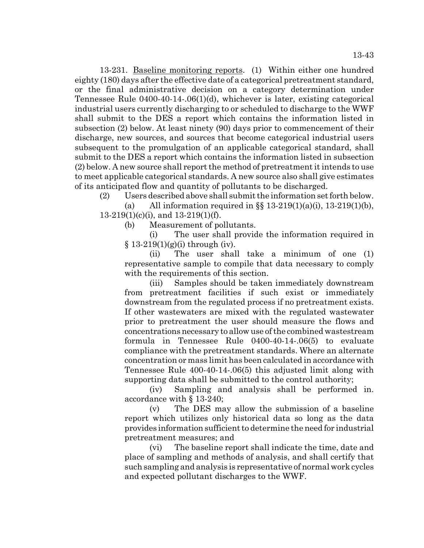13-231. Baseline monitoring reports. (1) Within either one hundred eighty (180) days after the effective date of a categorical pretreatment standard, or the final administrative decision on a category determination under Tennessee Rule 0400-40-14-.06(1)(d), whichever is later, existing categorical industrial users currently discharging to or scheduled to discharge to the WWF shall submit to the DES a report which contains the information listed in subsection (2) below. At least ninety (90) days prior to commencement of their discharge, new sources, and sources that become categorical industrial users subsequent to the promulgation of an applicable categorical standard, shall submit to the DES a report which contains the information listed in subsection (2) below. A new source shall report the method of pretreatment it intends to use to meet applicable categorical standards. A new source also shall give estimates of its anticipated flow and quantity of pollutants to be discharged.

(2) Users described above shall submit the information set forth below.

(a) All information required in  $\S$   $13-219(1)(a)(i)$ ,  $13-219(1)(b)$ , 13-219(1)(c)(i), and 13-219(1)(f).

(b) Measurement of pollutants.

(i) The user shall provide the information required in  $§ 13-219(1)(g)(i)$  through (iv).

(ii) The user shall take a minimum of one (1) representative sample to compile that data necessary to comply with the requirements of this section.

(iii) Samples should be taken immediately downstream from pretreatment facilities if such exist or immediately downstream from the regulated process if no pretreatment exists. If other wastewaters are mixed with the regulated wastewater prior to pretreatment the user should measure the flows and concentrations necessary to allow use of the combined wastestream formula in Tennessee Rule 0400-40-14-.06(5) to evaluate compliance with the pretreatment standards. Where an alternate concentration or mass limit has been calculated in accordance with Tennessee Rule 400-40-14-.06(5) this adjusted limit along with supporting data shall be submitted to the control authority;

(iv) Sampling and analysis shall be performed in. accordance with § 13-240;

(v) The DES may allow the submission of a baseline report which utilizes only historical data so long as the data provides information sufficient to determine the need for industrial pretreatment measures; and

(vi) The baseline report shall indicate the time, date and place of sampling and methods of analysis, and shall certify that such sampling and analysis is representative of normal work cycles and expected pollutant discharges to the WWF.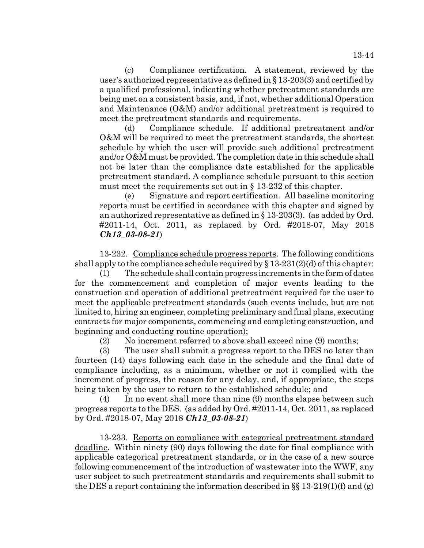(c) Compliance certification. A statement, reviewed by the user's authorized representative as defined in § 13-203(3) and certified by a qualified professional, indicating whether pretreatment standards are being met on a consistent basis, and, if not, whether additional Operation and Maintenance (O&M) and/or additional pretreatment is required to meet the pretreatment standards and requirements.

(d) Compliance schedule. If additional pretreatment and/or O&M will be required to meet the pretreatment standards, the shortest schedule by which the user will provide such additional pretreatment and/or O&M must be provided. The completion date in this schedule shall not be later than the compliance date established for the applicable pretreatment standard. A compliance schedule pursuant to this section must meet the requirements set out in § 13-232 of this chapter.

(e) Signature and report certification. All baseline monitoring reports must be certified in accordance with this chapter and signed by an authorized representative as defined in § 13-203(3). (as added by Ord. #2011-14, Oct. 2011, as replaced by Ord. #2018-07, May 2018 *Ch13\_03-08-21*)

13-232. Compliance schedule progress reports. The following conditions shall apply to the compliance schedule required by  $\S 13-231(2)(d)$  of this chapter:

(1) The schedule shall contain progress increments in the form of dates for the commencement and completion of major events leading to the construction and operation of additional pretreatment required for the user to meet the applicable pretreatment standards (such events include, but are not limited to, hiring an engineer, completing preliminary and final plans, executing contracts for major components, commencing and completing construction, and beginning and conducting routine operation);

(2) No increment referred to above shall exceed nine (9) months;

(3) The user shall submit a progress report to the DES no later than fourteen (14) days following each date in the schedule and the final date of compliance including, as a minimum, whether or not it complied with the increment of progress, the reason for any delay, and, if appropriate, the steps being taken by the user to return to the established schedule; and

(4) In no event shall more than nine (9) months elapse between such progress reports to the DES. (as added by Ord. #2011-14, Oct. 2011, as replaced by Ord. #2018-07, May 2018 *Ch13\_03-08-21*)

13-233. Reports on compliance with categorical pretreatment standard deadline. Within ninety (90) days following the date for final compliance with applicable categorical pretreatment standards, or in the case of a new source following commencement of the introduction of wastewater into the WWF, any user subject to such pretreatment standards and requirements shall submit to the DES a report containing the information described in  $\S\S 13-219(1)(f)$  and (g)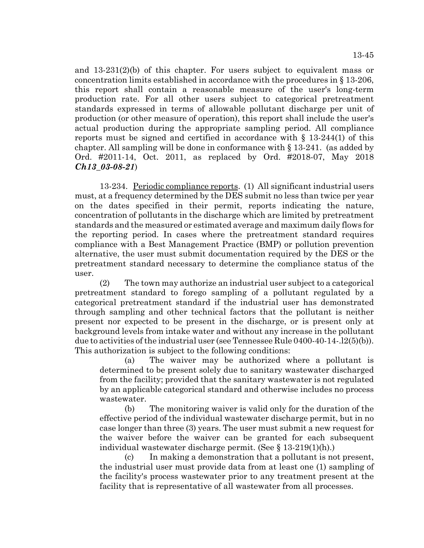and 13-231(2)(b) of this chapter. For users subject to equivalent mass or concentration limits established in accordance with the procedures in § 13-206, this report shall contain a reasonable measure of the user's long-term production rate. For all other users subject to categorical pretreatment standards expressed in terms of allowable pollutant discharge per unit of production (or other measure of operation), this report shall include the user's actual production during the appropriate sampling period. All compliance reports must be signed and certified in accordance with  $\S$  13-244(1) of this chapter. All sampling will be done in conformance with § 13-241. (as added by Ord. #2011-14, Oct. 2011, as replaced by Ord. #2018-07, May 2018 *Ch13\_03-08-21*)

13-234. Periodic compliance reports. (1) All significant industrial users must, at a frequency determined by the DES submit no less than twice per year on the dates specified in their permit, reports indicating the nature, concentration of pollutants in the discharge which are limited by pretreatment standards and the measured or estimated average and maximum daily flows for the reporting period. In cases where the pretreatment standard requires compliance with a Best Management Practice (BMP) or pollution prevention alternative, the user must submit documentation required by the DES or the pretreatment standard necessary to determine the compliance status of the user.

(2) The town may authorize an industrial user subject to a categorical pretreatment standard to forego sampling of a pollutant regulated by a categorical pretreatment standard if the industrial user has demonstrated through sampling and other technical factors that the pollutant is neither present nor expected to be present in the discharge, or is present only at background levels from intake water and without any increase in the pollutant due to activities of the industrial user (see Tennessee Rule 0400-40-14-.l2(5)(b)). This authorization is subject to the following conditions:

(a) The waiver may be authorized where a pollutant is determined to be present solely due to sanitary wastewater discharged from the facility; provided that the sanitary wastewater is not regulated by an applicable categorical standard and otherwise includes no process wastewater.

(b) The monitoring waiver is valid only for the duration of the effective period of the individual wastewater discharge permit, but in no case longer than three (3) years. The user must submit a new request for the waiver before the waiver can be granted for each subsequent individual wastewater discharge permit. (See § 13-219(1)(h).)

(c) In making a demonstration that a pollutant is not present, the industrial user must provide data from at least one (1) sampling of the facility's process wastewater prior to any treatment present at the facility that is representative of all wastewater from all processes.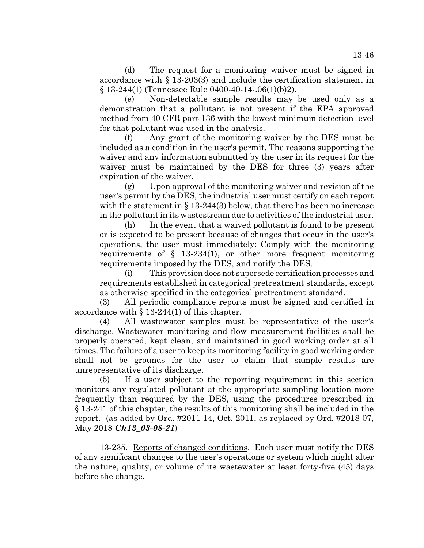(d) The request for a monitoring waiver must be signed in accordance with § 13-203(3) and include the certification statement in § 13-244(1) (Tennessee Rule 0400-40-14-.06(1)(b)2).

(e) Non-detectable sample results may be used only as a demonstration that a pollutant is not present if the EPA approved method from 40 CFR part 136 with the lowest minimum detection level for that pollutant was used in the analysis.

(f) Any grant of the monitoring waiver by the DES must be included as a condition in the user's permit. The reasons supporting the waiver and any information submitted by the user in its request for the waiver must be maintained by the DES for three (3) years after expiration of the waiver.

(g) Upon approval of the monitoring waiver and revision of the user's permit by the DES, the industrial user must certify on each report with the statement in  $\S 13-244(3)$  below, that there has been no increase in the pollutant in its wastestream due to activities of the industrial user.

(h) In the event that a waived pollutant is found to be present or is expected to be present because of changes that occur in the user's operations, the user must immediately: Comply with the monitoring requirements of § 13-234(1), or other more frequent monitoring requirements imposed by the DES, and notify the DES.

(i) This provision does not supersede certification processes and requirements established in categorical pretreatment standards, except as otherwise specified in the categorical pretreatment standard.

(3) All periodic compliance reports must be signed and certified in accordance with § 13-244(1) of this chapter.

(4) All wastewater samples must be representative of the user's discharge. Wastewater monitoring and flow measurement facilities shall be properly operated, kept clean, and maintained in good working order at all times. The failure of a user to keep its monitoring facility in good working order shall not be grounds for the user to claim that sample results are unrepresentative of its discharge.

(5) If a user subject to the reporting requirement in this section monitors any regulated pollutant at the appropriate sampling location more frequently than required by the DES, using the procedures prescribed in § 13-241 of this chapter, the results of this monitoring shall be included in the report. (as added by Ord. #2011-14, Oct. 2011, as replaced by Ord. #2018-07, May 2018 *Ch13\_03-08-21*)

13-235. Reports of changed conditions. Each user must notify the DES of any significant changes to the user's operations or system which might alter the nature, quality, or volume of its wastewater at least forty-five (45) days before the change.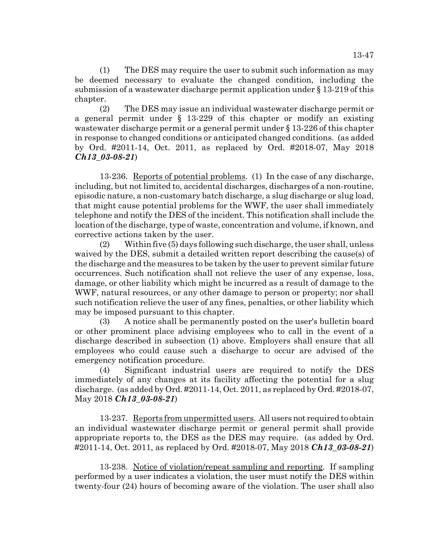(1) The DES may require the user to submit such information as may be deemed necessary to evaluate the changed condition, including the submission of a wastewater discharge permit application under § 13-219 of this chapter.

(2) The DES may issue an individual wastewater discharge permit or a general permit under § 13-229 of this chapter or modify an existing wastewater discharge permit or a general permit under § 13-226 of this chapter in response to changed conditions or anticipated changed conditions. (as added by Ord. #2011-14, Oct. 2011, as replaced by Ord. #2018-07, May 2018 *Ch13\_03-08-21*)

13-236. Reports of potential problems. (1) In the case of any discharge, including, but not limited to, accidental discharges, discharges of a non-routine, episodic nature, a non-customary batch discharge, a slug discharge or slug load, that might cause potential problems for the WWF, the user shall immediately telephone and notify the DES of the incident. This notification shall include the location of the discharge, type of waste, concentration and volume, if known, and corrective actions taken by the user.

(2) Within five (5) days following such discharge, the user shall, unless waived by the DES, submit a detailed written report describing the cause(s) of the discharge and the measures to be taken by the user to prevent similar future occurrences. Such notification shall not relieve the user of any expense, loss, damage, or other liability which might be incurred as a result of damage to the WWF, natural resources, or any other damage to person or property; nor shall such notification relieve the user of any fines, penalties, or other liability which may be imposed pursuant to this chapter.

(3) A notice shall be permanently posted on the user's bulletin board or other prominent place advising employees who to call in the event of a discharge described in subsection (1) above. Employers shall ensure that all employees who could cause such a discharge to occur are advised of the emergency notification procedure.

(4) Significant industrial users are required to notify the DES immediately of any changes at its facility affecting the potential for a slug discharge. (as added by Ord. #2011-14, Oct. 2011, as replaced by Ord. #2018-07, May 2018 *Ch13\_03-08-21*)

13-237. Reports from unpermitted users. All users not required to obtain an individual wastewater discharge permit or general permit shall provide appropriate reports to, the DES as the DES may require. (as added by Ord. #2011-14, Oct. 2011, as replaced by Ord. #2018-07, May 2018 *Ch13\_03-08-21*)

13-238. Notice of violation/repeat sampling and reporting. If sampling performed by a user indicates a violation, the user must notify the DES within twenty-four (24) hours of becoming aware of the violation. The user shall also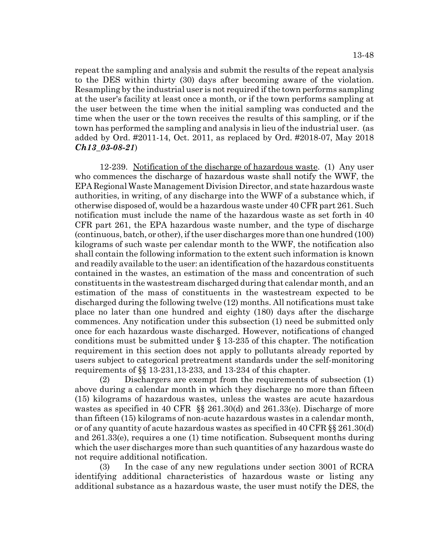repeat the sampling and analysis and submit the results of the repeat analysis to the DES within thirty (30) days after becoming aware of the violation. Resampling by the industrial user is not required if the town performs sampling at the user's facility at least once a month, or if the town performs sampling at the user between the time when the initial sampling was conducted and the time when the user or the town receives the results of this sampling, or if the town has performed the sampling and analysis in lieu of the industrial user. (as added by Ord. #2011-14, Oct. 2011, as replaced by Ord. #2018-07, May 2018 *Ch13\_03-08-21*)

12-239. Notification of the discharge of hazardous waste. (1) Any user who commences the discharge of hazardous waste shall notify the WWF, the EPA Regional Waste Management Division Director, and state hazardous waste authorities, in writing, of any discharge into the WWF of a substance which, if otherwise disposed of, would be a hazardous waste under 40 CFR part 261. Such notification must include the name of the hazardous waste as set forth in 40 CFR part 261, the EPA hazardous waste number, and the type of discharge (continuous, batch, or other), if the user discharges more than one hundred (100) kilograms of such waste per calendar month to the WWF, the notification also shall contain the following information to the extent such information is known and readily available to the user: an identification of the hazardous constituents contained in the wastes, an estimation of the mass and concentration of such constituents in the wastestream discharged during that calendar month, and an estimation of the mass of constituents in the wastestream expected to be discharged during the following twelve (12) months. All notifications must take place no later than one hundred and eighty (180) days after the discharge commences. Any notification under this subsection (1) need be submitted only once for each hazardous waste discharged. However, notifications of changed conditions must be submitted under § 13-235 of this chapter. The notification requirement in this section does not apply to pollutants already reported by users subject to categorical pretreatment standards under the self-monitoring requirements of §§ 13-231,13-233, and 13-234 of this chapter.

(2) Dischargers are exempt from the requirements of subsection (1) above during a calendar month in which they discharge no more than fifteen (15) kilograms of hazardous wastes, unless the wastes are acute hazardous wastes as specified in 40 CFR §§ 261.30(d) and 261.33(e). Discharge of more than fifteen (15) kilograms of non-acute hazardous wastes in a calendar month, or of any quantity of acute hazardous wastes as specified in 40 CFR §§ 261.30(d) and 261.33(e), requires a one (1) time notification. Subsequent months during which the user discharges more than such quantities of any hazardous waste do not require additional notification.

(3) In the case of any new regulations under section 3001 of RCRA identifying additional characteristics of hazardous waste or listing any additional substance as a hazardous waste, the user must notify the DES, the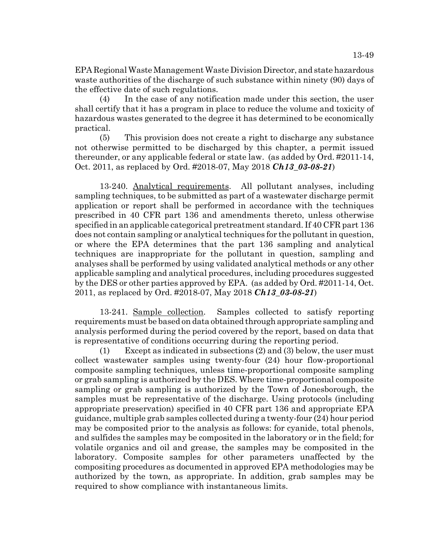EPA Regional Waste Management Waste Division Director, and state hazardous waste authorities of the discharge of such substance within ninety (90) days of

the effective date of such regulations. (4) In the case of any notification made under this section, the user shall certify that it has a program in place to reduce the volume and toxicity of hazardous wastes generated to the degree it has determined to be economically practical.

(5) This provision does not create a right to discharge any substance not otherwise permitted to be discharged by this chapter, a permit issued thereunder, or any applicable federal or state law. (as added by Ord. #2011-14, Oct. 2011, as replaced by Ord. #2018-07, May 2018 *Ch13\_03-08-21*)

13-240. Analytical requirements. All pollutant analyses, including sampling techniques, to be submitted as part of a wastewater discharge permit application or report shall be performed in accordance with the techniques prescribed in 40 CFR part 136 and amendments thereto, unless otherwise specified in an applicable categorical pretreatment standard. If 40 CFR part 136 does not contain sampling or analytical techniques for the pollutant in question, or where the EPA determines that the part 136 sampling and analytical techniques are inappropriate for the pollutant in question, sampling and analyses shall be performed by using validated analytical methods or any other applicable sampling and analytical procedures, including procedures suggested by the DES or other parties approved by EPA. (as added by Ord. #2011-14, Oct. 2011, as replaced by Ord. #2018-07, May 2018 *Ch13\_03-08-21*)

13-241. Sample collection. Samples collected to satisfy reporting requirements must be based on data obtained through appropriate sampling and analysis performed during the period covered by the report, based on data that is representative of conditions occurring during the reporting period.

(1) Except as indicated in subsections (2) and (3) below, the user must collect wastewater samples using twenty-four (24) hour flow-proportional composite sampling techniques, unless time-proportional composite sampling or grab sampling is authorized by the DES. Where time-proportional composite sampling or grab sampling is authorized by the Town of Jonesborough, the samples must be representative of the discharge. Using protocols (including appropriate preservation) specified in 40 CFR part 136 and appropriate EPA guidance, multiple grab samples collected during a twenty-four (24) hour period may be composited prior to the analysis as follows: for cyanide, total phenols, and sulfides the samples may be composited in the laboratory or in the field; for volatile organics and oil and grease, the samples may be composited in the laboratory. Composite samples for other parameters unaffected by the compositing procedures as documented in approved EPA methodologies may be authorized by the town, as appropriate. In addition, grab samples may be required to show compliance with instantaneous limits.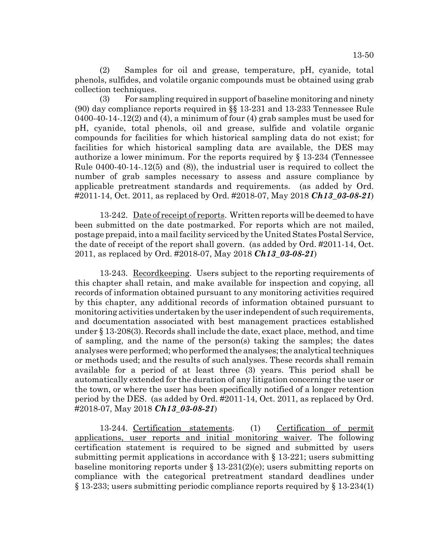(2) Samples for oil and grease, temperature, pH, cyanide, total phenols, sulfides, and volatile organic compounds must be obtained using grab collection techniques.

(3) For sampling required in support of baseline monitoring and ninety (90) day compliance reports required in §§ 13-231 and 13-233 Tennessee Rule 0400-40-14-.12(2) and (4), a minimum of four (4) grab samples must be used for pH, cyanide, total phenols, oil and grease, sulfide and volatile organic compounds for facilities for which historical sampling data do not exist; for facilities for which historical sampling data are available, the DES may authorize a lower minimum. For the reports required by § 13-234 (Tennessee Rule 0400-40-14-.12(5) and (8)), the industrial user is required to collect the number of grab samples necessary to assess and assure compliance by applicable pretreatment standards and requirements. (as added by Ord. #2011-14, Oct. 2011, as replaced by Ord. #2018-07, May 2018 *Ch13\_03-08-21*)

13-242. Date of receipt of reports. Written reports will be deemed to have been submitted on the date postmarked. For reports which are not mailed, postage prepaid, into a mail facility serviced by the United States Postal Service, the date of receipt of the report shall govern. (as added by Ord. #2011-14, Oct. 2011, as replaced by Ord. #2018-07, May 2018 *Ch13\_03-08-21*)

13-243. Recordkeeping. Users subject to the reporting requirements of this chapter shall retain, and make available for inspection and copying, all records of information obtained pursuant to any monitoring activities required by this chapter, any additional records of information obtained pursuant to monitoring activities undertaken by the user independent of such requirements, and documentation associated with best management practices established under § 13-208(3). Records shall include the date, exact place, method, and time of sampling, and the name of the person(s) taking the samples; the dates analyses were performed; who performed the analyses; the analytical techniques or methods used; and the results of such analyses. These records shall remain available for a period of at least three (3) years. This period shall be automatically extended for the duration of any litigation concerning the user or the town, or where the user has been specifically notified of a longer retention period by the DES. (as added by Ord. #2011-14, Oct. 2011, as replaced by Ord. #2018-07, May 2018 *Ch13\_03-08-21*)

13-244. Certification statements. (1) Certification of permit applications, user reports and initial monitoring waiver. The following certification statement is required to be signed and submitted by users submitting permit applications in accordance with  $\S 13-221$ ; users submitting baseline monitoring reports under § 13-231(2)(e); users submitting reports on compliance with the categorical pretreatment standard deadlines under § 13-233; users submitting periodic compliance reports required by § 13-234(1)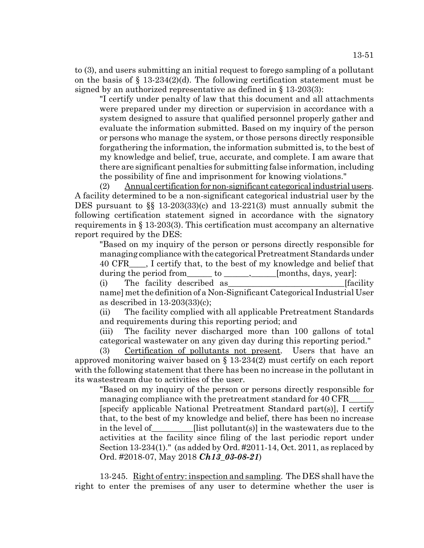signed by an authorized representative as defined in § 13-203(3): "I certify under penalty of law that this document and all attachments were prepared under my direction or supervision in accordance with a system designed to assure that qualified personnel properly gather and evaluate the information submitted. Based on my inquiry of the person or persons who manage the system, or those persons directly responsible forgathering the information, the information submitted is, to the best of my knowledge and belief, true, accurate, and complete. I am aware that there are significant penalties for submitting false information, including the possibility of fine and imprisonment for knowing violations."

(2) Annual certification for non-significant categorical industrial users. A facility determined to be a non-significant categorical industrial user by the DES pursuant to §§ 13-203(33)(c) and 13-221(3) must annually submit the following certification statement signed in accordance with the signatory requirements in § 13-203(3). This certification must accompany an alternative report required by the DES:

"Based on my inquiry of the person or persons directly responsible for managing compliance with the categorical Pretreatment Standards under 40 CFR\_\_\_\_, I certify that, to the best of my knowledge and belief that during the period from \_\_\_\_\_\_ to \_\_\_\_\_\_, \_\_\_\_\_[months, days, year]:

(i) The facility described as The facility state of the facility of  $\alpha$  is the facility

name] met the definition of a Non-Significant Categorical Industrial User as described in 13-203(33)(c);

(ii) The facility complied with all applicable Pretreatment Standards and requirements during this reporting period; and

(iii) The facility never discharged more than 100 gallons of total categorical wastewater on any given day during this reporting period."

(3) Certification of pollutants not present. Users that have an approved monitoring waiver based on § 13-234(2) must certify on each report with the following statement that there has been no increase in the pollutant in its wastestream due to activities of the user.

"Based on my inquiry of the person or persons directly responsible for managing compliance with the pretreatment standard for 40 CFR\_\_\_\_\_\_ [specify applicable National Pretreatment Standard part(s)], I certify that, to the best of my knowledge and belief, there has been no increase in the level of [1] [list pollutant(s)] in the wastewaters due to the activities at the facility since filing of the last periodic report under Section 13-234(1)." (as added by Ord. #2011-14, Oct. 2011, as replaced by Ord. #2018-07, May 2018 *Ch13\_03-08-21*)

13-245. Right of entry: inspection and sampling. The DES shall have the right to enter the premises of any user to determine whether the user is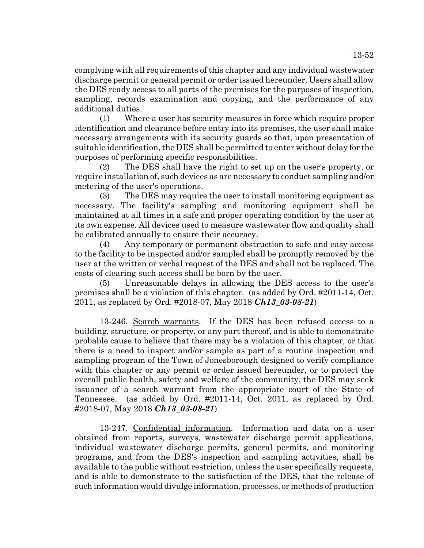complying with all requirements of this chapter and any individual wastewater discharge permit or general permit or order issued hereunder. Users shall allow the DES ready access to all parts of the premises for the purposes of inspection, sampling, records examination and copying, and the performance of any additional duties.

(1) Where a user has security measures in force which require proper identification and clearance before entry into its premises, the user shall make necessary arrangements with its security guards so that, upon presentation of suitable identification, the DES shall be permitted to enter without delay for the purposes of performing specific responsibilities.

(2) The DES shall have the right to set up on the user's property, or require installation of, such devices as are necessary to conduct sampling and/or metering of the user's operations.

(3) The DES may require the user to install monitoring equipment as necessary. The facility's sampling and monitoring equipment shall be maintained at all times in a safe and proper operating condition by the user at its own expense. All devices used to measure wastewater flow and quality shall be calibrated annually to ensure their accuracy.

(4) Any temporary or permanent obstruction to safe and easy access to the facility to be inspected and/or sampled shall be promptly removed by the user at the written or verbal request of the DES and shall not be replaced. The costs of clearing such access shall be born by the user.

(5) Unreasonable delays in allowing the DES access to the user's premises shall be a violation of this chapter. (as added by Ord. #2011-14, Oct. 2011, as replaced by Ord. #2018-07, May 2018 *Ch13\_03-08-21*)

13-246. Search warrants. If the DES has been refused access to a building, structure, or property, or any part thereof, and is able to demonstrate probable cause to believe that there may be a violation of this chapter, or that there is a need to inspect and/or sample as part of a routine inspection and sampling program of the Town of Jonesborough designed to verify compliance with this chapter or any permit or order issued hereunder, or to protect the overall public health, safety and welfare of the community, the DES may seek issuance of a search warrant from the appropriate court of the State of Tennessee. (as added by Ord. #2011-14, Oct. 2011, as replaced by Ord. #2018-07, May 2018 *Ch13\_03-08-21*)

13-247. Confidential information. Information and data on a user obtained from reports, surveys, wastewater discharge permit applications, individual wastewater discharge permits, general permits, and monitoring programs, and from the DES's inspection and sampling activities, shall be available to the public without restriction, unless the user specifically requests, and is able to demonstrate to the satisfaction of the DES, that the release of such information would divulge information, processes, or methods of production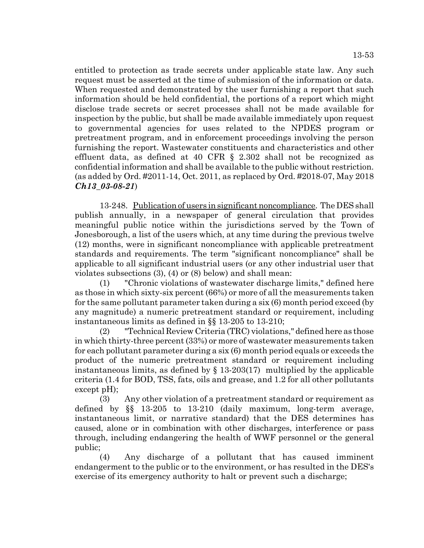entitled to protection as trade secrets under applicable state law. Any such request must be asserted at the time of submission of the information or data. When requested and demonstrated by the user furnishing a report that such information should be held confidential, the portions of a report which might disclose trade secrets or secret processes shall not be made available for inspection by the public, but shall be made available immediately upon request to governmental agencies for uses related to the NPDES program or pretreatment program, and in enforcement proceedings involving the person furnishing the report. Wastewater constituents and characteristics and other effluent data, as defined at 40 CFR § 2.302 shall not be recognized as confidential information and shall be available to the public without restriction. (as added by Ord. #2011-14, Oct. 2011, as replaced by Ord. #2018-07, May 2018

*Ch13\_03-08-21*)

13-248. Publication of users in significant noncompliance. The DES shall publish annually, in a newspaper of general circulation that provides meaningful public notice within the jurisdictions served by the Town of Jonesborough, a list of the users which, at any time during the previous twelve (12) months, were in significant noncompliance with applicable pretreatment standards and requirements. The term "significant noncompliance" shall be applicable to all significant industrial users (or any other industrial user that violates subsections (3), (4) or (8) below) and shall mean:

(1) "Chronic violations of wastewater discharge limits," defined here as those in which sixty-six percent (66%) or more of all the measurements taken for the same pollutant parameter taken during a six (6) month period exceed (by any magnitude) a numeric pretreatment standard or requirement, including instantaneous limits as defined in §§ 13-205 to 13-210;

(2) "Technical Review Criteria (TRC) violations," defined here as those in which thirty-three percent (33%) or more of wastewater measurements taken for each pollutant parameter during a six (6) month period equals or exceeds the product of the numeric pretreatment standard or requirement including instantaneous limits, as defined by  $\S$  13-203(17) multiplied by the applicable criteria (1.4 for BOD, TSS, fats, oils and grease, and 1.2 for all other pollutants except pH);

(3) Any other violation of a pretreatment standard or requirement as defined by §§ 13-205 to 13-210 (daily maximum, long-term average, instantaneous limit, or narrative standard) that the DES determines has caused, alone or in combination with other discharges, interference or pass through, including endangering the health of WWF personnel or the general public;

(4) Any discharge of a pollutant that has caused imminent endangerment to the public or to the environment, or has resulted in the DES's exercise of its emergency authority to halt or prevent such a discharge;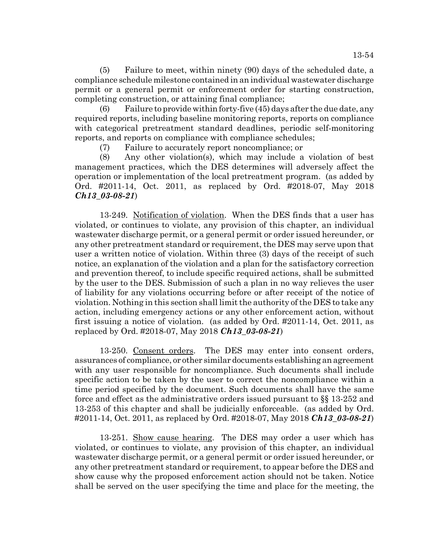(5) Failure to meet, within ninety (90) days of the scheduled date, a compliance schedule milestone contained in an individual wastewater discharge permit or a general permit or enforcement order for starting construction, completing construction, or attaining final compliance;

(6) Failure to provide within forty-five (45) days after the due date, any required reports, including baseline monitoring reports, reports on compliance with categorical pretreatment standard deadlines, periodic self-monitoring reports, and reports on compliance with compliance schedules;

(7) Failure to accurately report noncompliance; or

(8) Any other violation(s), which may include a violation of best management practices, which the DES determines will adversely affect the operation or implementation of the local pretreatment program. (as added by Ord. #2011-14, Oct. 2011, as replaced by Ord. #2018-07, May 2018 *Ch13\_03-08-21*)

13-249. Notification of violation. When the DES finds that a user has violated, or continues to violate, any provision of this chapter, an individual wastewater discharge permit, or a general permit or order issued hereunder, or any other pretreatment standard or requirement, the DES may serve upon that user a written notice of violation. Within three (3) days of the receipt of such notice, an explanation of the violation and a plan for the satisfactory correction and prevention thereof, to include specific required actions, shall be submitted by the user to the DES. Submission of such a plan in no way relieves the user of liability for any violations occurring before or after receipt of the notice of violation. Nothing in this section shall limit the authority of the DES to take any action, including emergency actions or any other enforcement action, without first issuing a notice of violation. (as added by Ord. #2011-14, Oct. 2011, as replaced by Ord. #2018-07, May 2018 *Ch13\_03-08-21*)

13-250. Consent orders. The DES may enter into consent orders, assurances of compliance, or other similar documents establishing an agreement with any user responsible for noncompliance. Such documents shall include specific action to be taken by the user to correct the noncompliance within a time period specified by the document. Such documents shall have the same force and effect as the administrative orders issued pursuant to §§ 13-252 and 13-253 of this chapter and shall be judicially enforceable. (as added by Ord. #2011-14, Oct. 2011, as replaced by Ord. #2018-07, May 2018 *Ch13\_03-08-21*)

13-251. Show cause hearing. The DES may order a user which has violated, or continues to violate, any provision of this chapter, an individual wastewater discharge permit, or a general permit or order issued hereunder, or any other pretreatment standard or requirement, to appear before the DES and show cause why the proposed enforcement action should not be taken. Notice shall be served on the user specifying the time and place for the meeting, the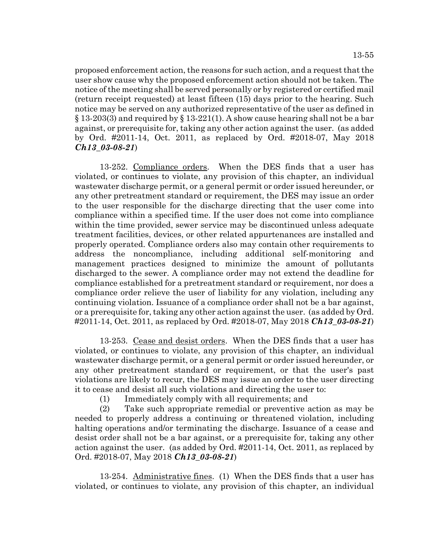proposed enforcement action, the reasons for such action, and a request that the user show cause why the proposed enforcement action should not be taken. The notice of the meeting shall be served personally or by registered or certified mail (return receipt requested) at least fifteen (15) days prior to the hearing. Such notice may be served on any authorized representative of the user as defined in  $\S 13-203(3)$  and required by  $\S 13-221(1)$ . A show cause hearing shall not be a bar against, or prerequisite for, taking any other action against the user. (as added by Ord. #2011-14, Oct. 2011, as replaced by Ord. #2018-07, May 2018 *Ch13\_03-08-21*)

13-252. Compliance orders. When the DES finds that a user has violated, or continues to violate, any provision of this chapter, an individual wastewater discharge permit, or a general permit or order issued hereunder, or any other pretreatment standard or requirement, the DES may issue an order to the user responsible for the discharge directing that the user come into compliance within a specified time. If the user does not come into compliance within the time provided, sewer service may be discontinued unless adequate treatment facilities, devices, or other related appurtenances are installed and properly operated. Compliance orders also may contain other requirements to address the noncompliance, including additional self-monitoring and management practices designed to minimize the amount of pollutants discharged to the sewer. A compliance order may not extend the deadline for compliance established for a pretreatment standard or requirement, nor does a compliance order relieve the user of liability for any violation, including any continuing violation. Issuance of a compliance order shall not be a bar against, or a prerequisite for, taking any other action against the user. (as added by Ord. #2011-14, Oct. 2011, as replaced by Ord. #2018-07, May 2018 *Ch13\_03-08-21*)

13-253. Cease and desist orders. When the DES finds that a user has violated, or continues to violate, any provision of this chapter, an individual wastewater discharge permit, or a general permit or order issued hereunder, or any other pretreatment standard or requirement, or that the user's past violations are likely to recur, the DES may issue an order to the user directing it to cease and desist all such violations and directing the user to:

(1) Immediately comply with all requirements; and

(2) Take such appropriate remedial or preventive action as may be needed to properly address a continuing or threatened violation, including halting operations and/or terminating the discharge. Issuance of a cease and desist order shall not be a bar against, or a prerequisite for, taking any other action against the user. (as added by Ord. #2011-14, Oct. 2011, as replaced by Ord. #2018-07, May 2018 *Ch13\_03-08-21*)

13-254. Administrative fines. (1) When the DES finds that a user has violated, or continues to violate, any provision of this chapter, an individual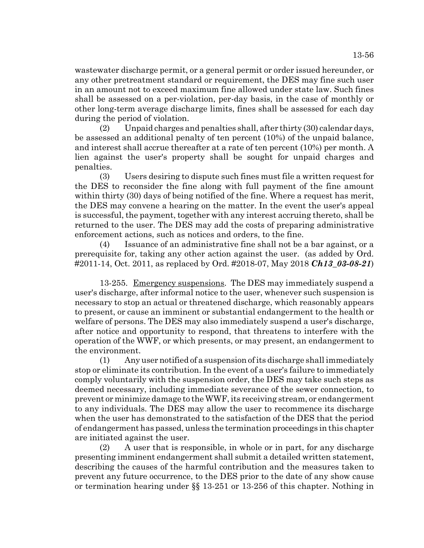wastewater discharge permit, or a general permit or order issued hereunder, or any other pretreatment standard or requirement, the DES may fine such user in an amount not to exceed maximum fine allowed under state law. Such fines shall be assessed on a per-violation, per-day basis, in the case of monthly or other long-term average discharge limits, fines shall be assessed for each day during the period of violation.

(2) Unpaid charges and penalties shall, after thirty (30) calendar days, be assessed an additional penalty of ten percent (10%) of the unpaid balance, and interest shall accrue thereafter at a rate of ten percent (10%) per month. A lien against the user's property shall be sought for unpaid charges and penalties.

(3) Users desiring to dispute such fines must file a written request for the DES to reconsider the fine along with full payment of the fine amount within thirty (30) days of being notified of the fine. Where a request has merit, the DES may convene a hearing on the matter. In the event the user's appeal is successful, the payment, together with any interest accruing thereto, shall be returned to the user. The DES may add the costs of preparing administrative enforcement actions, such as notices and orders, to the fine.

(4) Issuance of an administrative fine shall not be a bar against, or a prerequisite for, taking any other action against the user. (as added by Ord. #2011-14, Oct. 2011, as replaced by Ord. #2018-07, May 2018 *Ch13\_03-08-21*)

13-255. Emergency suspensions. The DES may immediately suspend a user's discharge, after informal notice to the user, whenever such suspension is necessary to stop an actual or threatened discharge, which reasonably appears to present, or cause an imminent or substantial endangerment to the health or welfare of persons. The DES may also immediately suspend a user's discharge, after notice and opportunity to respond, that threatens to interfere with the operation of the WWF, or which presents, or may present, an endangerment to the environment.

(1) Any user notified of a suspension of its discharge shall immediately stop or eliminate its contribution. In the event of a user's failure to immediately comply voluntarily with the suspension order, the DES may take such steps as deemed necessary, including immediate severance of the sewer connection, to prevent or minimize damage to the WWF, its receiving stream, or endangerment to any individuals. The DES may allow the user to recommence its discharge when the user has demonstrated to the satisfaction of the DES that the period of endangerment has passed, unless the termination proceedings in this chapter are initiated against the user.

(2) A user that is responsible, in whole or in part, for any discharge presenting imminent endangerment shall submit a detailed written statement, describing the causes of the harmful contribution and the measures taken to prevent any future occurrence, to the DES prior to the date of any show cause or termination hearing under §§ 13-251 or 13-256 of this chapter. Nothing in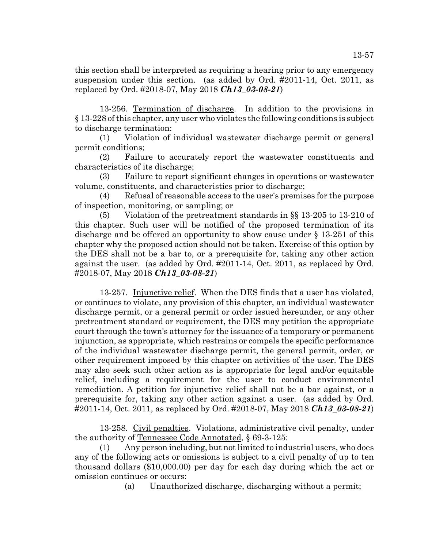this section shall be interpreted as requiring a hearing prior to any emergency suspension under this section. (as added by Ord. #2011-14, Oct. 2011, as replaced by Ord. #2018-07, May 2018 *Ch13\_03-08-21*)

13-256. Termination of discharge. In addition to the provisions in § 13-228 of this chapter, any user who violates the following conditions is subject to discharge termination:

(1) Violation of individual wastewater discharge permit or general permit conditions;

(2) Failure to accurately report the wastewater constituents and characteristics of its discharge;

(3) Failure to report significant changes in operations or wastewater volume, constituents, and characteristics prior to discharge;

(4) Refusal of reasonable access to the user's premises for the purpose of inspection, monitoring, or sampling; or

(5) Violation of the pretreatment standards in §§ 13-205 to 13-210 of this chapter. Such user will be notified of the proposed termination of its discharge and be offered an opportunity to show cause under § 13-251 of this chapter why the proposed action should not be taken. Exercise of this option by the DES shall not be a bar to, or a prerequisite for, taking any other action against the user. (as added by Ord. #2011-14, Oct. 2011, as replaced by Ord. #2018-07, May 2018 *Ch13\_03-08-21*)

13-257. Injunctive relief. When the DES finds that a user has violated, or continues to violate, any provision of this chapter, an individual wastewater discharge permit, or a general permit or order issued hereunder, or any other pretreatment standard or requirement, the DES may petition the appropriate court through the town's attorney for the issuance of a temporary or permanent injunction, as appropriate, which restrains or compels the specific performance of the individual wastewater discharge permit, the general permit, order, or other requirement imposed by this chapter on activities of the user. The DES may also seek such other action as is appropriate for legal and/or equitable relief, including a requirement for the user to conduct environmental remediation. A petition for injunctive relief shall not be a bar against, or a prerequisite for, taking any other action against a user. (as added by Ord. #2011-14, Oct. 2011, as replaced by Ord. #2018-07, May 2018 *Ch13\_03-08-21*)

13-258. Civil penalties. Violations, administrative civil penalty, under the authority of Tennessee Code Annotated, § 69-3-125:

(1) Any person including, but not limited to industrial users, who does any of the following acts or omissions is subject to a civil penalty of up to ten thousand dollars (\$10,000.00) per day for each day during which the act or omission continues or occurs:

(a) Unauthorized discharge, discharging without a permit;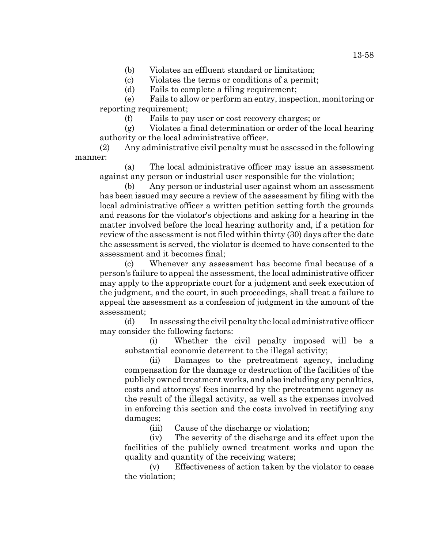(b) Violates an effluent standard or limitation;

(c) Violates the terms or conditions of a permit;

(d) Fails to complete a filing requirement;

(e) Fails to allow or perform an entry, inspection, monitoring or reporting requirement;

(f) Fails to pay user or cost recovery charges; or

(g) Violates a final determination or order of the local hearing authority or the local administrative officer.

(2) Any administrative civil penalty must be assessed in the following manner:

(a) The local administrative officer may issue an assessment against any person or industrial user responsible for the violation;

(b) Any person or industrial user against whom an assessment has been issued may secure a review of the assessment by filing with the local administrative officer a written petition setting forth the grounds and reasons for the violator's objections and asking for a hearing in the matter involved before the local hearing authority and, if a petition for review of the assessment is not filed within thirty (30) days after the date the assessment is served, the violator is deemed to have consented to the assessment and it becomes final;

(c) Whenever any assessment has become final because of a person's failure to appeal the assessment, the local administrative officer may apply to the appropriate court for a judgment and seek execution of the judgment, and the court, in such proceedings, shall treat a failure to appeal the assessment as a confession of judgment in the amount of the assessment;

(d) In assessing the civil penalty the local administrative officer may consider the following factors:

(i) Whether the civil penalty imposed will be a substantial economic deterrent to the illegal activity;

(ii) Damages to the pretreatment agency, including compensation for the damage or destruction of the facilities of the publicly owned treatment works, and also including any penalties, costs and attorneys' fees incurred by the pretreatment agency as the result of the illegal activity, as well as the expenses involved in enforcing this section and the costs involved in rectifying any damages;

(iii) Cause of the discharge or violation;

(iv) The severity of the discharge and its effect upon the facilities of the publicly owned treatment works and upon the quality and quantity of the receiving waters;

(v) Effectiveness of action taken by the violator to cease the violation;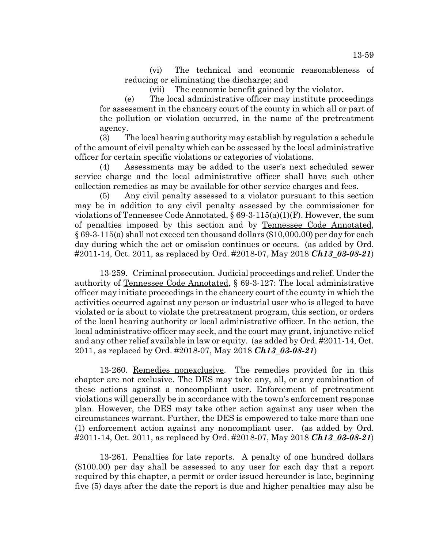(vi) The technical and economic reasonableness of reducing or eliminating the discharge; and

(vii) The economic benefit gained by the violator.

(e) The local administrative officer may institute proceedings for assessment in the chancery court of the county in which all or part of the pollution or violation occurred, in the name of the pretreatment agency.

(3) The local hearing authority may establish by regulation a schedule of the amount of civil penalty which can be assessed by the local administrative officer for certain specific violations or categories of violations.

(4) Assessments may be added to the user's next scheduled sewer service charge and the local administrative officer shall have such other collection remedies as may be available for other service charges and fees.

(5) Any civil penalty assessed to a violator pursuant to this section may be in addition to any civil penalty assessed by the commissioner for violations of <u>Tennessee Code Annotated</u>, § 69-3-115(a)(1)(F). However, the sum of penalties imposed by this section and by Tennessee Code Annotated, § 69-3-115(a) shall not exceed ten thousand dollars (\$10,000.00) per day for each day during which the act or omission continues or occurs. (as added by Ord. #2011-14, Oct. 2011, as replaced by Ord. #2018-07, May 2018 *Ch13\_03-08-21*)

13-259. Criminal prosecution. Judicial proceedings and relief. Under the authority of Tennessee Code Annotated, § 69-3-127: The local administrative officer may initiate proceedings in the chancery court of the county in which the activities occurred against any person or industrial user who is alleged to have violated or is about to violate the pretreatment program, this section, or orders of the local hearing authority or local administrative officer. In the action, the local administrative officer may seek, and the court may grant, injunctive relief and any other relief available in law or equity. (as added by Ord. #2011-14, Oct. 2011, as replaced by Ord. #2018-07, May 2018 *Ch13\_03-08-21*)

13-260. Remedies nonexclusive. The remedies provided for in this chapter are not exclusive. The DES may take any, all, or any combination of these actions against a noncompliant user. Enforcement of pretreatment violations will generally be in accordance with the town's enforcement response plan. However, the DES may take other action against any user when the circumstances warrant. Further, the DES is empowered to take more than one (1) enforcement action against any noncompliant user. (as added by Ord. #2011-14, Oct. 2011, as replaced by Ord. #2018-07, May 2018 *Ch13\_03-08-21*)

13-261. Penalties for late reports. A penalty of one hundred dollars (\$100.00) per day shall be assessed to any user for each day that a report required by this chapter, a permit or order issued hereunder is late, beginning five (5) days after the date the report is due and higher penalties may also be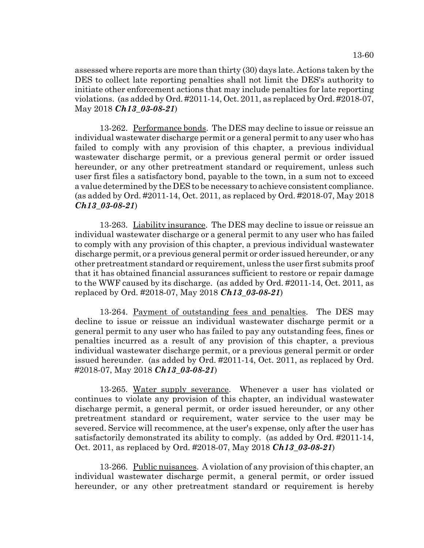assessed where reports are more than thirty (30) days late. Actions taken by the DES to collect late reporting penalties shall not limit the DES's authority to initiate other enforcement actions that may include penalties for late reporting violations. (as added by Ord. #2011-14, Oct. 2011, as replaced by Ord. #2018-07, May 2018 *Ch13\_03-08-21*)

13-262. Performance bonds. The DES may decline to issue or reissue an individual wastewater discharge permit or a general permit to any user who has failed to comply with any provision of this chapter, a previous individual wastewater discharge permit, or a previous general permit or order issued hereunder, or any other pretreatment standard or requirement, unless such user first files a satisfactory bond, payable to the town, in a sum not to exceed a value determined by the DES to be necessary to achieve consistent compliance. (as added by Ord. #2011-14, Oct. 2011, as replaced by Ord. #2018-07, May 2018 *Ch13\_03-08-21*)

13-263. Liability insurance. The DES may decline to issue or reissue an individual wastewater discharge or a general permit to any user who has failed to comply with any provision of this chapter, a previous individual wastewater discharge permit, or a previous general permit or order issued hereunder, or any other pretreatment standard or requirement, unless the user first submits proof that it has obtained financial assurances sufficient to restore or repair damage to the WWF caused by its discharge. (as added by Ord. #2011-14, Oct. 2011, as replaced by Ord. #2018-07, May 2018 *Ch13\_03-08-21*)

13-264. Payment of outstanding fees and penalties. The DES may decline to issue or reissue an individual wastewater discharge permit or a general permit to any user who has failed to pay any outstanding fees, fines or penalties incurred as a result of any provision of this chapter, a previous individual wastewater discharge permit, or a previous general permit or order issued hereunder. (as added by Ord. #2011-14, Oct. 2011, as replaced by Ord. #2018-07, May 2018 *Ch13\_03-08-21*)

13-265. Water supply severance. Whenever a user has violated or continues to violate any provision of this chapter, an individual wastewater discharge permit, a general permit, or order issued hereunder, or any other pretreatment standard or requirement, water service to the user may be severed. Service will recommence, at the user's expense, only after the user has satisfactorily demonstrated its ability to comply. (as added by Ord. #2011-14, Oct. 2011, as replaced by Ord. #2018-07, May 2018 *Ch13\_03-08-21*)

13-266. Public nuisances. A violation of any provision of this chapter, an individual wastewater discharge permit, a general permit, or order issued hereunder, or any other pretreatment standard or requirement is hereby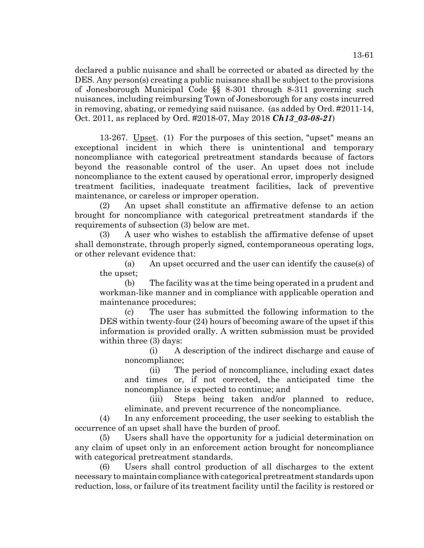declared a public nuisance and shall be corrected or abated as directed by the DES. Any person(s) creating a public nuisance shall be subject to the provisions of Jonesborough Municipal Code §§ 8-301 through 8-311 governing such nuisances, including reimbursing Town of Jonesborough for any costs incurred in removing, abating, or remedying said nuisance. (as added by Ord. #2011-14, Oct. 2011, as replaced by Ord. #2018-07, May 2018 *Ch13\_03-08-21*)

13-267. Upset. (1) For the purposes of this section, "upset" means an exceptional incident in which there is unintentional and temporary noncompliance with categorical pretreatment standards because of factors beyond the reasonable control of the user. An upset does not include noncompliance to the extent caused by operational error, improperly designed treatment facilities, inadequate treatment facilities, lack of preventive maintenance, or careless or improper operation.

(2) An upset shall constitute an affirmative defense to an action brought for noncompliance with categorical pretreatment standards if the requirements of subsection (3) below are met.

(3) A user who wishes to establish the affirmative defense of upset shall demonstrate, through properly signed, contemporaneous operating logs, or other relevant evidence that:

(a) An upset occurred and the user can identify the cause(s) of the upset;

(b) The facility was at the time being operated in a prudent and workman-like manner and in compliance with applicable operation and maintenance procedures;

(c) The user has submitted the following information to the DES within twenty-four (24) hours of becoming aware of the upset if this information is provided orally. A written submission must be provided within three (3) days:

(i) A description of the indirect discharge and cause of noncompliance;

(ii) The period of noncompliance, including exact dates and times or, if not corrected, the anticipated time the noncompliance is expected to continue; and

(iii) Steps being taken and/or planned to reduce, eliminate, and prevent recurrence of the noncompliance.

(4) In any enforcement proceeding, the user seeking to establish the occurrence of an upset shall have the burden of proof.

(5) Users shall have the opportunity for a judicial determination on any claim of upset only in an enforcement action brought for noncompliance with categorical pretreatment standards.

(6) Users shall control production of all discharges to the extent necessary to maintain compliance with categorical pretreatment standards upon reduction, loss, or failure of its treatment facility until the facility is restored or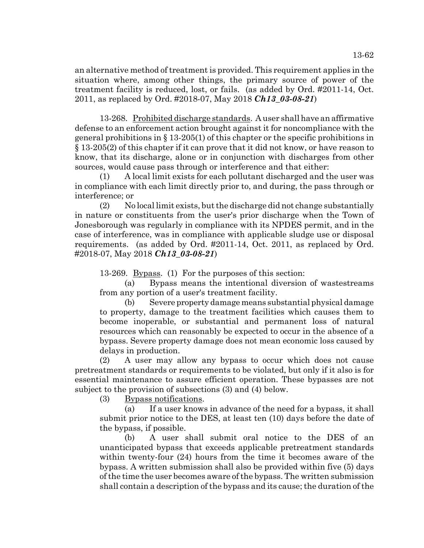13-268. Prohibited discharge standards. A user shall have an affirmative defense to an enforcement action brought against it for noncompliance with the general prohibitions in  $\S 13-205(1)$  of this chapter or the specific prohibitions in § 13-205(2) of this chapter if it can prove that it did not know, or have reason to know, that its discharge, alone or in conjunction with discharges from other sources, would cause pass through or interference and that either:

(1) A local limit exists for each pollutant discharged and the user was in compliance with each limit directly prior to, and during, the pass through or interference; or

(2) No local limit exists, but the discharge did not change substantially in nature or constituents from the user's prior discharge when the Town of Jonesborough was regularly in compliance with its NPDES permit, and in the case of interference, was in compliance with applicable sludge use or disposal requirements. (as added by Ord. #2011-14, Oct. 2011, as replaced by Ord. #2018-07, May 2018 *Ch13\_03-08-21*)

13-269. Bypass. (1) For the purposes of this section:

(a) Bypass means the intentional diversion of wastestreams from any portion of a user's treatment facility.

(b) Severe property damage means substantial physical damage to property, damage to the treatment facilities which causes them to become inoperable, or substantial and permanent loss of natural resources which can reasonably be expected to occur in the absence of a bypass. Severe property damage does not mean economic loss caused by delays in production.

(2) A user may allow any bypass to occur which does not cause pretreatment standards or requirements to be violated, but only if it also is for essential maintenance to assure efficient operation. These bypasses are not subject to the provision of subsections (3) and (4) below.

(3) Bypass notifications.

(a) If a user knows in advance of the need for a bypass, it shall submit prior notice to the DES, at least ten (10) days before the date of the bypass, if possible.

(b) A user shall submit oral notice to the DES of an unanticipated bypass that exceeds applicable pretreatment standards within twenty-four (24) hours from the time it becomes aware of the bypass. A written submission shall also be provided within five (5) days of the time the user becomes aware of the bypass. The written submission shall contain a description of the bypass and its cause; the duration of the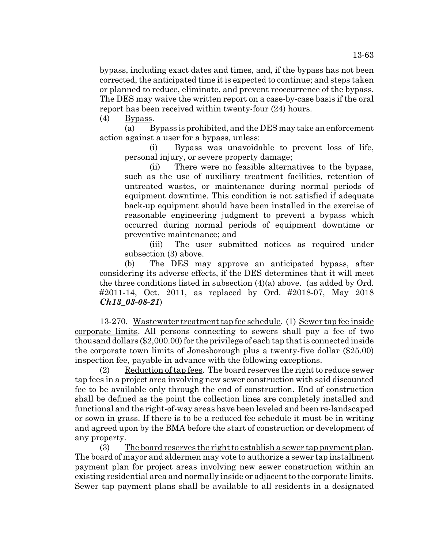bypass, including exact dates and times, and, if the bypass has not been corrected, the anticipated time it is expected to continue; and steps taken or planned to reduce, eliminate, and prevent reoccurrence of the bypass. The DES may waive the written report on a case-by-case basis if the oral report has been received within twenty-four (24) hours.

(4) Bypass.

(a) Bypass is prohibited, and the DES may take an enforcement action against a user for a bypass, unless:

(i) Bypass was unavoidable to prevent loss of life, personal injury, or severe property damage;

(ii) There were no feasible alternatives to the bypass, such as the use of auxiliary treatment facilities, retention of untreated wastes, or maintenance during normal periods of equipment downtime. This condition is not satisfied if adequate back-up equipment should have been installed in the exercise of reasonable engineering judgment to prevent a bypass which occurred during normal periods of equipment downtime or preventive maintenance; and

(iii) The user submitted notices as required under subsection (3) above.

(b) The DES may approve an anticipated bypass, after considering its adverse effects, if the DES determines that it will meet the three conditions listed in subsection (4)(a) above. (as added by Ord. #2011-14, Oct. 2011, as replaced by Ord. #2018-07, May 2018 *Ch13\_03-08-21*)

13-270. Wastewater treatment tap fee schedule. (1) Sewer tap fee inside corporate limits. All persons connecting to sewers shall pay a fee of two thousand dollars (\$2,000.00) for the privilege of each tap that is connected inside the corporate town limits of Jonesborough plus a twenty-five dollar (\$25.00) inspection fee, payable in advance with the following exceptions.

(2) Reduction of tap fees. The board reserves the right to reduce sewer tap fees in a project area involving new sewer construction with said discounted fee to be available only through the end of construction. End of construction shall be defined as the point the collection lines are completely installed and functional and the right-of-way areas have been leveled and been re-landscaped or sown in grass. If there is to be a reduced fee schedule it must be in writing and agreed upon by the BMA before the start of construction or development of any property.

(3) The board reserves the right to establish a sewer tap payment plan. The board of mayor and aldermen may vote to authorize a sewer tap installment payment plan for project areas involving new sewer construction within an existing residential area and normally inside or adjacent to the corporate limits. Sewer tap payment plans shall be available to all residents in a designated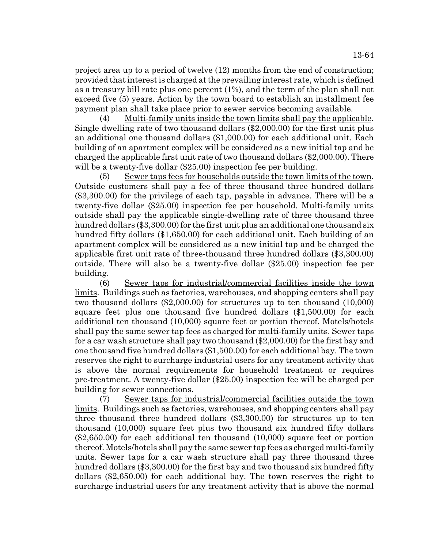project area up to a period of twelve (12) months from the end of construction; provided that interest is charged at the prevailing interest rate, which is defined as a treasury bill rate plus one percent (1%), and the term of the plan shall not exceed five (5) years. Action by the town board to establish an installment fee payment plan shall take place prior to sewer service becoming available.

(4) Multi-family units inside the town limits shall pay the applicable. Single dwelling rate of two thousand dollars (\$2,000.00) for the first unit plus an additional one thousand dollars (\$1,000.00) for each additional unit. Each building of an apartment complex will be considered as a new initial tap and be charged the applicable first unit rate of two thousand dollars (\$2,000.00). There will be a twenty-five dollar (\$25.00) inspection fee per building.

(5) Sewer taps fees for households outside the town limits of the town. Outside customers shall pay a fee of three thousand three hundred dollars (\$3,300.00) for the privilege of each tap, payable in advance. There will be a twenty-five dollar (\$25.00) inspection fee per household. Multi-family units outside shall pay the applicable single-dwelling rate of three thousand three hundred dollars (\$3,300.00) for the first unit plus an additional one thousand six hundred fifty dollars (\$1,650.00) for each additional unit. Each building of an apartment complex will be considered as a new initial tap and be charged the applicable first unit rate of three-thousand three hundred dollars (\$3,300.00) outside. There will also be a twenty-five dollar (\$25.00) inspection fee per building.

(6) Sewer taps for industrial/commercial facilities inside the town limits. Buildings such as factories, warehouses, and shopping centers shall pay two thousand dollars (\$2,000.00) for structures up to ten thousand (10,000) square feet plus one thousand five hundred dollars (\$1,500.00) for each additional ten thousand (10,000) square feet or portion thereof. Motels/hotels shall pay the same sewer tap fees as charged for multi-family units. Sewer taps for a car wash structure shall pay two thousand (\$2,000.00) for the first bay and one thousand five hundred dollars (\$1,500.00) for each additional bay. The town reserves the right to surcharge industrial users for any treatment activity that is above the normal requirements for household treatment or requires pre-treatment. A twenty-five dollar (\$25.00) inspection fee will be charged per building for sewer connections.

(7) Sewer taps for industrial/commercial facilities outside the town limits. Buildings such as factories, warehouses, and shopping centers shall pay three thousand three hundred dollars (\$3,300.00) for structures up to ten thousand (10,000) square feet plus two thousand six hundred fifty dollars (\$2,650.00) for each additional ten thousand (10,000) square feet or portion thereof. Motels/hotels shall pay the same sewer tap fees as charged multi-family units. Sewer taps for a car wash structure shall pay three thousand three hundred dollars (\$3,300.00) for the first bay and two thousand six hundred fifty dollars (\$2,650.00) for each additional bay. The town reserves the right to surcharge industrial users for any treatment activity that is above the normal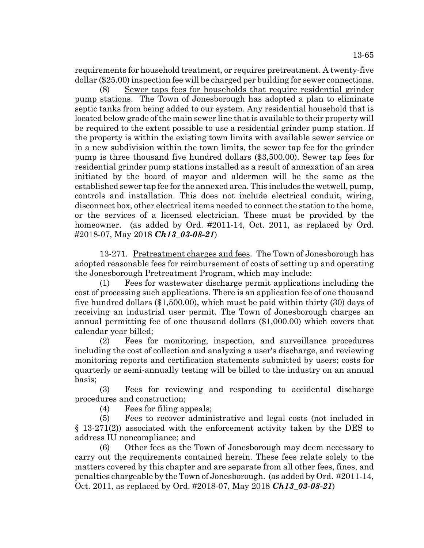requirements for household treatment, or requires pretreatment. A twenty-five dollar (\$25.00) inspection fee will be charged per building for sewer connections.

(8) Sewer taps fees for households that require residential grinder pump stations. The Town of Jonesborough has adopted a plan to eliminate septic tanks from being added to our system. Any residential household that is located below grade of the main sewer line that is available to their property will be required to the extent possible to use a residential grinder pump station. If the property is within the existing town limits with available sewer service or in a new subdivision within the town limits, the sewer tap fee for the grinder pump is three thousand five hundred dollars (\$3,500.00). Sewer tap fees for residential grinder pump stations installed as a result of annexation of an area initiated by the board of mayor and aldermen will be the same as the established sewer tap fee for the annexed area. This includes the wetwell, pump, controls and installation. This does not include electrical conduit, wiring, disconnect box, other electrical items needed to connect the station to the home, or the services of a licensed electrician. These must be provided by the homeowner. (as added by Ord. #2011-14, Oct. 2011, as replaced by Ord. #2018-07, May 2018 *Ch13\_03-08-21*)

13-271. Pretreatment charges and fees. The Town of Jonesborough has adopted reasonable fees for reimbursement of costs of setting up and operating the Jonesborough Pretreatment Program, which may include:

(1) Fees for wastewater discharge permit applications including the cost of processing such applications. There is an application fee of one thousand five hundred dollars (\$1,500.00), which must be paid within thirty (30) days of receiving an industrial user permit. The Town of Jonesborough charges an annual permitting fee of one thousand dollars (\$1,000.00) which covers that calendar year billed;

(2) Fees for monitoring, inspection, and surveillance procedures including the cost of collection and analyzing a user's discharge, and reviewing monitoring reports and certification statements submitted by users; costs for quarterly or semi-annually testing will be billed to the industry on an annual basis;

(3) Fees for reviewing and responding to accidental discharge procedures and construction;

(4) Fees for filing appeals;

(5) Fees to recover administrative and legal costs (not included in § 13-271(2)) associated with the enforcement activity taken by the DES to address IU noncompliance; and

(6) Other fees as the Town of Jonesborough may deem necessary to carry out the requirements contained herein. These fees relate solely to the matters covered by this chapter and are separate from all other fees, fines, and penalties chargeable by the Town of Jonesborough. (as added by Ord. #2011-14, Oct. 2011, as replaced by Ord. #2018-07, May 2018 *Ch13\_03-08-21*)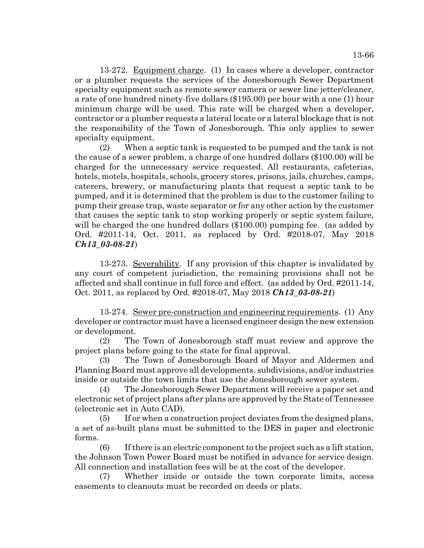13-272. Equipment charge. (1) In cases where a developer, contractor or a plumber requests the services of the Jonesborough Sewer Department specialty equipment such as remote sewer camera or sewer line jetter/cleaner, a rate of one hundred ninety-five dollars (\$195.00) per hour with a one (1) hour minimum charge will be used. This rate will be charged when a developer, contractor or a plumber requests a lateral locate or a lateral blockage that is not the responsibility of the Town of Jonesborough. This only applies to sewer specialty equipment.

(2) When a septic tank is requested to be pumped and the tank is not the cause of a sewer problem, a charge of one hundred dollars (\$100.00) will be charged for the unnecessary service requested. All restaurants, cafeterias, hotels, motels, hospitals, schools, grocery stores, prisons, jails, churches, camps, caterers, brewery, or manufacturing plants that request a septic tank to be pumped, and it is determined that the problem is due to the customer failing to pump their grease trap, waste separator or for any other action by the customer that causes the septic tank to stop working properly or septic system failure, will be charged the one hundred dollars (\$100.00) pumping fee. (as added by Ord. #2011-14, Oct. 2011, as replaced by Ord. #2018-07, May 2018 *Ch13\_03-08-21*)

13-273. Severability. If any provision of this chapter is invalidated by any court of competent jurisdiction, the remaining provisions shall not be affected and shall continue in full force and effect. (as added by Ord. #2011-14, Oct. 2011, as replaced by Ord. #2018-07, May 2018 *Ch13\_03-08-21*)

13-274. Sewer pre-construction and engineering requirements. (1) Any developer or contractor must have a licensed engineer design the new extension or development.

(2) The Town of Jonesborough staff must review and approve the project plans before going to the state for final approval.

(3) The Town of Jonesborough Board of Mayor and Aldermen and Planning Board must approve all developments, subdivisions, and/or industries inside or outside the town limits that use the Jonesborough sewer system.

(4) The Jonesborough Sewer Department will receive a paper set and electronic set of project plans after plans are approved by the State of Tennessee (electronic set in Auto CAD).

(5) If or when a construction project deviates from the designed plans, a set of as-built plans must be submitted to the DES in paper and electronic forms.

(6) If there is an electric component to the project such as a lift station, the Johnson Town Power Board must be notified in advance for service design. All connection and installation fees will be at the cost of the developer.

(7) Whether inside or outside the town corporate limits, access easements to cleanouts must be recorded on deeds or plats.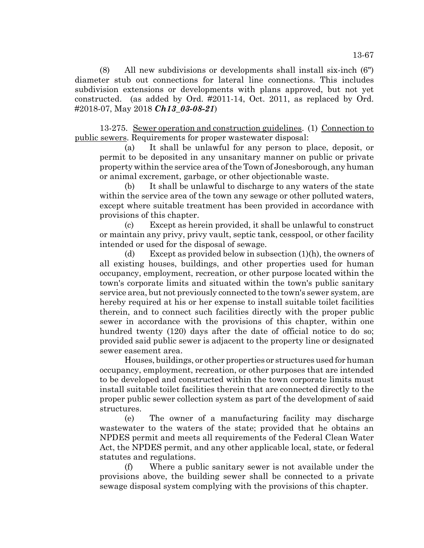(8) All new subdivisions or developments shall install six-inch (6") diameter stub out connections for lateral line connections. This includes subdivision extensions or developments with plans approved, but not yet constructed. (as added by Ord. #2011-14, Oct. 2011, as replaced by Ord. #2018-07, May 2018 *Ch13\_03-08-21*)

13-275. Sewer operation and construction guidelines. (1) Connection to public sewers. Requirements for proper wastewater disposal:

(a) It shall be unlawful for any person to place, deposit, or permit to be deposited in any unsanitary manner on public or private property within the service area of the Town of Jonesborough, any human or animal excrement, garbage, or other objectionable waste.

(b) It shall be unlawful to discharge to any waters of the state within the service area of the town any sewage or other polluted waters, except where suitable treatment has been provided in accordance with provisions of this chapter.

(c) Except as herein provided, it shall be unlawful to construct or maintain any privy, privy vault, septic tank, cesspool, or other facility intended or used for the disposal of sewage.

(d) Except as provided below in subsection (1)(h), the owners of all existing houses, buildings, and other properties used for human occupancy, employment, recreation, or other purpose located within the town's corporate limits and situated within the town's public sanitary service area, but not previously connected to the town's sewer system, are hereby required at his or her expense to install suitable toilet facilities therein, and to connect such facilities directly with the proper public sewer in accordance with the provisions of this chapter, within one hundred twenty (120) days after the date of official notice to do so; provided said public sewer is adjacent to the property line or designated sewer easement area.

Houses, buildings, or other properties or structures used for human occupancy, employment, recreation, or other purposes that are intended to be developed and constructed within the town corporate limits must install suitable toilet facilities therein that are connected directly to the proper public sewer collection system as part of the development of said structures.

(e) The owner of a manufacturing facility may discharge wastewater to the waters of the state; provided that he obtains an NPDES permit and meets all requirements of the Federal Clean Water Act, the NPDES permit, and any other applicable local, state, or federal statutes and regulations.

(f) Where a public sanitary sewer is not available under the provisions above, the building sewer shall be connected to a private sewage disposal system complying with the provisions of this chapter.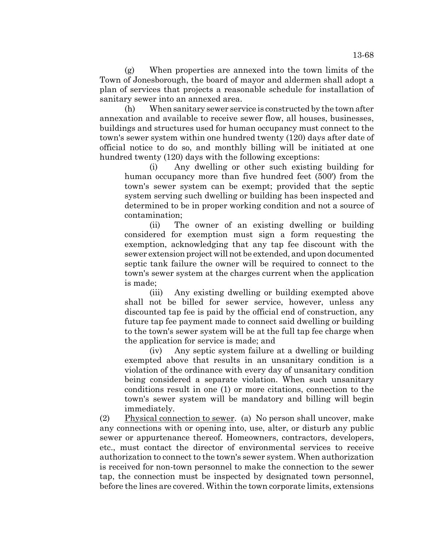(g) When properties are annexed into the town limits of the Town of Jonesborough, the board of mayor and aldermen shall adopt a plan of services that projects a reasonable schedule for installation of sanitary sewer into an annexed area.

(h) When sanitary sewer service is constructed by the town after annexation and available to receive sewer flow, all houses, businesses, buildings and structures used for human occupancy must connect to the town's sewer system within one hundred twenty (120) days after date of official notice to do so, and monthly billing will be initiated at one hundred twenty (120) days with the following exceptions:

(i) Any dwelling or other such existing building for human occupancy more than five hundred feet (500') from the town's sewer system can be exempt; provided that the septic system serving such dwelling or building has been inspected and determined to be in proper working condition and not a source of contamination;

(ii) The owner of an existing dwelling or building considered for exemption must sign a form requesting the exemption, acknowledging that any tap fee discount with the sewer extension project will not be extended, and upon documented septic tank failure the owner will be required to connect to the town's sewer system at the charges current when the application is made;

(iii) Any existing dwelling or building exempted above shall not be billed for sewer service, however, unless any discounted tap fee is paid by the official end of construction, any future tap fee payment made to connect said dwelling or building to the town's sewer system will be at the full tap fee charge when the application for service is made; and

(iv) Any septic system failure at a dwelling or building exempted above that results in an unsanitary condition is a violation of the ordinance with every day of unsanitary condition being considered a separate violation. When such unsanitary conditions result in one (1) or more citations, connection to the town's sewer system will be mandatory and billing will begin immediately.

(2) Physical connection to sewer. (a) No person shall uncover, make any connections with or opening into, use, alter, or disturb any public sewer or appurtenance thereof. Homeowners, contractors, developers, etc., must contact the director of environmental services to receive authorization to connect to the town's sewer system. When authorization is received for non-town personnel to make the connection to the sewer tap, the connection must be inspected by designated town personnel, before the lines are covered. Within the town corporate limits, extensions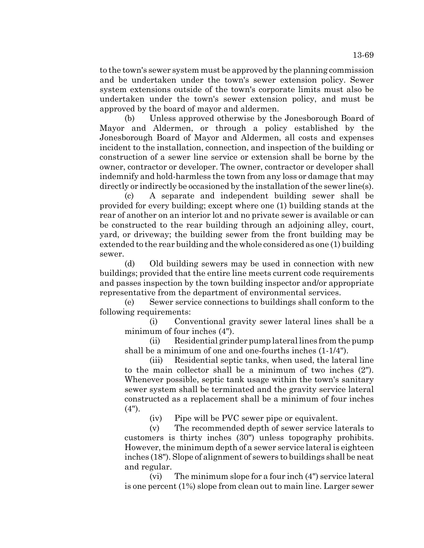to the town's sewer system must be approved by the planning commission and be undertaken under the town's sewer extension policy. Sewer system extensions outside of the town's corporate limits must also be undertaken under the town's sewer extension policy, and must be approved by the board of mayor and aldermen.

(b) Unless approved otherwise by the Jonesborough Board of Mayor and Aldermen, or through a policy established by the Jonesborough Board of Mayor and Aldermen, all costs and expenses incident to the installation, connection, and inspection of the building or construction of a sewer line service or extension shall be borne by the owner, contractor or developer. The owner, contractor or developer shall indemnify and hold-harmless the town from any loss or damage that may directly or indirectly be occasioned by the installation of the sewer line(s).

(c) A separate and independent building sewer shall be provided for every building; except where one (1) building stands at the rear of another on an interior lot and no private sewer is available or can be constructed to the rear building through an adjoining alley, court, yard, or driveway; the building sewer from the front building may be extended to the rear building and the whole considered as one (1) building sewer.

(d) Old building sewers may be used in connection with new buildings; provided that the entire line meets current code requirements and passes inspection by the town building inspector and/or appropriate representative from the department of environmental services.

(e) Sewer service connections to buildings shall conform to the following requirements:

(i) Conventional gravity sewer lateral lines shall be a minimum of four inches (4").

(ii) Residential grinder pump lateral lines from the pump shall be a minimum of one and one-fourths inches (1-1/4").

(iii) Residential septic tanks, when used, the lateral line to the main collector shall be a minimum of two inches (2"). Whenever possible, septic tank usage within the town's sanitary sewer system shall be terminated and the gravity service lateral constructed as a replacement shall be a minimum of four inches (4").

(iv) Pipe will be PVC sewer pipe or equivalent.

(v) The recommended depth of sewer service laterals to customers is thirty inches (30") unless topography prohibits. However, the minimum depth of a sewer service lateral is eighteen inches (18"). Slope of alignment of sewers to buildings shall be neat and regular.

(vi) The minimum slope for a four inch (4") service lateral is one percent (1%) slope from clean out to main line. Larger sewer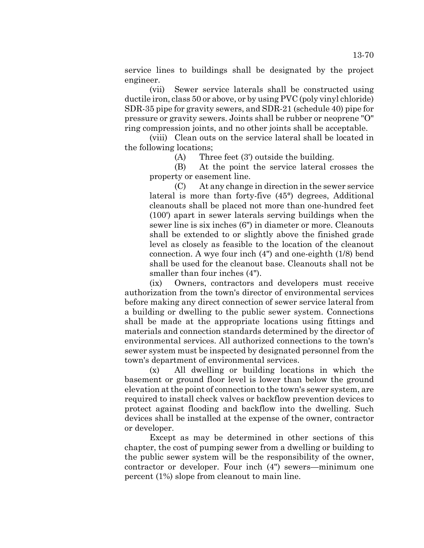service lines to buildings shall be designated by the project engineer.

(vii) Sewer service laterals shall be constructed using ductile iron, class 50 or above, or by using PVC (poly vinyl chloride) SDR-35 pipe for gravity sewers, and SDR-21 (schedule 40) pipe for pressure or gravity sewers. Joints shall be rubber or neoprene "O" ring compression joints, and no other joints shall be acceptable.

(viii) Clean outs on the service lateral shall be located in the following locations;

(A) Three feet (3') outside the building.

(B) At the point the service lateral crosses the property or easement line.

(C) At any change in direction in the sewer service lateral is more than forty-five (45°) degrees, Additional cleanouts shall be placed not more than one-hundred feet (100') apart in sewer laterals serving buildings when the sewer line is six inches (6") in diameter or more. Cleanouts shall be extended to or slightly above the finished grade level as closely as feasible to the location of the cleanout connection. A wye four inch (4") and one-eighth (1/8) bend shall be used for the cleanout base. Cleanouts shall not be smaller than four inches (4").

(ix) Owners, contractors and developers must receive authorization from the town's director of environmental services before making any direct connection of sewer service lateral from a building or dwelling to the public sewer system. Connections shall be made at the appropriate locations using fittings and materials and connection standards determined by the director of environmental services. All authorized connections to the town's sewer system must be inspected by designated personnel from the town's department of environmental services.

(x) All dwelling or building locations in which the basement or ground floor level is lower than below the ground elevation at the point of connection to the town's sewer system, are required to install check valves or backflow prevention devices to protect against flooding and backflow into the dwelling. Such devices shall be installed at the expense of the owner, contractor or developer.

Except as may be determined in other sections of this chapter, the cost of pumping sewer from a dwelling or building to the public sewer system will be the responsibility of the owner, contractor or developer. Four inch (4") sewers—minimum one percent (1%) slope from cleanout to main line.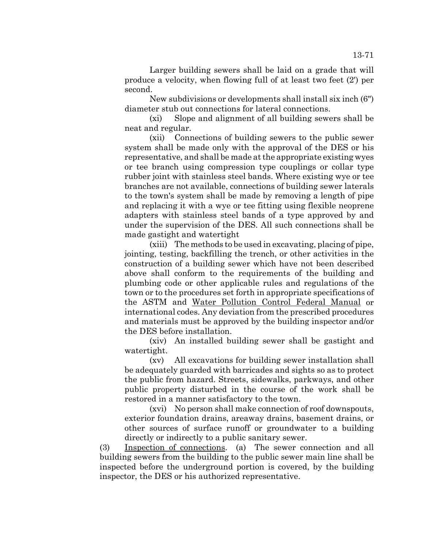Larger building sewers shall be laid on a grade that will produce a velocity, when flowing full of at least two feet (2') per second.

New subdivisions or developments shall install six inch (6") diameter stub out connections for lateral connections.

(xi) Slope and alignment of all building sewers shall be neat and regular.

(xii) Connections of building sewers to the public sewer system shall be made only with the approval of the DES or his representative, and shall be made at the appropriate existing wyes or tee branch using compression type couplings or collar type rubber joint with stainless steel bands. Where existing wye or tee branches are not available, connections of building sewer laterals to the town's system shall be made by removing a length of pipe and replacing it with a wye or tee fitting using flexible neoprene adapters with stainless steel bands of a type approved by and under the supervision of the DES. All such connections shall be made gastight and watertight

(xiii) The methods to be used in excavating, placing of pipe, jointing, testing, backfilling the trench, or other activities in the construction of a building sewer which have not been described above shall conform to the requirements of the building and plumbing code or other applicable rules and regulations of the town or to the procedures set forth in appropriate specifications of the ASTM and Water Pollution Control Federal Manual or international codes. Any deviation from the prescribed procedures and materials must be approved by the building inspector and/or the DES before installation.

(xiv) An installed building sewer shall be gastight and watertight.

(xv) All excavations for building sewer installation shall be adequately guarded with barricades and sights so as to protect the public from hazard. Streets, sidewalks, parkways, and other public property disturbed in the course of the work shall be restored in a manner satisfactory to the town.

(xvi) No person shall make connection of roof downspouts, exterior foundation drains, areaway drains, basement drains, or other sources of surface runoff or groundwater to a building directly or indirectly to a public sanitary sewer.

(3) Inspection of connections. (a) The sewer connection and all building sewers from the building to the public sewer main line shall be inspected before the underground portion is covered, by the building inspector, the DES or his authorized representative.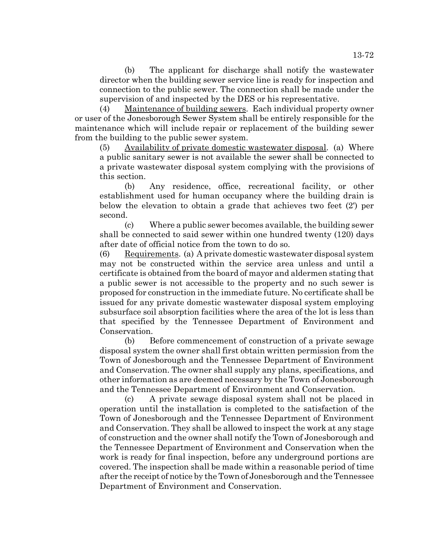(b) The applicant for discharge shall notify the wastewater director when the building sewer service line is ready for inspection and connection to the public sewer. The connection shall be made under the supervision of and inspected by the DES or his representative.

(4) Maintenance of building sewers. Each individual property owner or user of the Jonesborough Sewer System shall be entirely responsible for the maintenance which will include repair or replacement of the building sewer from the building to the public sewer system.

(5) Availability of private domestic wastewater disposal. (a) Where a public sanitary sewer is not available the sewer shall be connected to a private wastewater disposal system complying with the provisions of this section.

(b) Any residence, office, recreational facility, or other establishment used for human occupancy where the building drain is below the elevation to obtain a grade that achieves two feet (2') per second.

(c) Where a public sewer becomes available, the building sewer shall be connected to said sewer within one hundred twenty (120) days after date of official notice from the town to do so.

(6) Requirements. (a) A private domestic wastewater disposal system may not be constructed within the service area unless and until a certificate is obtained from the board of mayor and aldermen stating that a public sewer is not accessible to the property and no such sewer is proposed for construction in the immediate future. No certificate shall be issued for any private domestic wastewater disposal system employing subsurface soil absorption facilities where the area of the lot is less than that specified by the Tennessee Department of Environment and Conservation.

(b) Before commencement of construction of a private sewage disposal system the owner shall first obtain written permission from the Town of Jonesborough and the Tennessee Department of Environment and Conservation. The owner shall supply any plans, specifications, and other information as are deemed necessary by the Town of Jonesborough and the Tennessee Department of Environment and Conservation.

(c) A private sewage disposal system shall not be placed in operation until the installation is completed to the satisfaction of the Town of Jonesborough and the Tennessee Department of Environment and Conservation. They shall be allowed to inspect the work at any stage of construction and the owner shall notify the Town of Jonesborough and the Tennessee Department of Environment and Conservation when the work is ready for final inspection, before any underground portions are covered. The inspection shall be made within a reasonable period of time after the receipt of notice by the Town of Jonesborough and the Tennessee Department of Environment and Conservation.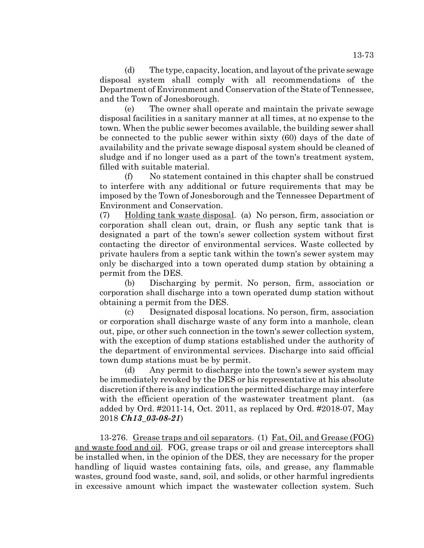(d) The type, capacity, location, and layout of the private sewage disposal system shall comply with all recommendations of the Department of Environment and Conservation of the State of Tennessee, and the Town of Jonesborough.

(e) The owner shall operate and maintain the private sewage disposal facilities in a sanitary manner at all times, at no expense to the town. When the public sewer becomes available, the building sewer shall be connected to the public sewer within sixty (60) days of the date of availability and the private sewage disposal system should be cleaned of sludge and if no longer used as a part of the town's treatment system, filled with suitable material.

(f) No statement contained in this chapter shall be construed to interfere with any additional or future requirements that may be imposed by the Town of Jonesborough and the Tennessee Department of Environment and Conservation.

(7) Holding tank waste disposal. (a) No person, firm, association or corporation shall clean out, drain, or flush any septic tank that is designated a part of the town's sewer collection system without first contacting the director of environmental services. Waste collected by private haulers from a septic tank within the town's sewer system may only be discharged into a town operated dump station by obtaining a permit from the DES.

(b) Discharging by permit. No person, firm, association or corporation shall discharge into a town operated dump station without obtaining a permit from the DES.

(c) Designated disposal locations. No person, firm, association or corporation shall discharge waste of any form into a manhole, clean out, pipe, or other such connection in the town's sewer collection system, with the exception of dump stations established under the authority of the department of environmental services. Discharge into said official town dump stations must be by permit.

(d) Any permit to discharge into the town's sewer system may be immediately revoked by the DES or his representative at his absolute discretion if there is any indication the permitted discharge may interfere with the efficient operation of the wastewater treatment plant. (as added by Ord. #2011-14, Oct. 2011, as replaced by Ord. #2018-07, May 2018 *Ch13\_03-08-21*)

13-276. Grease traps and oil separators. (1) Fat, Oil, and Grease (FOG) and waste food and oil. FOG, grease traps or oil and grease interceptors shall be installed when, in the opinion of the DES, they are necessary for the proper handling of liquid wastes containing fats, oils, and grease, any flammable wastes, ground food waste, sand, soil, and solids, or other harmful ingredients in excessive amount which impact the wastewater collection system. Such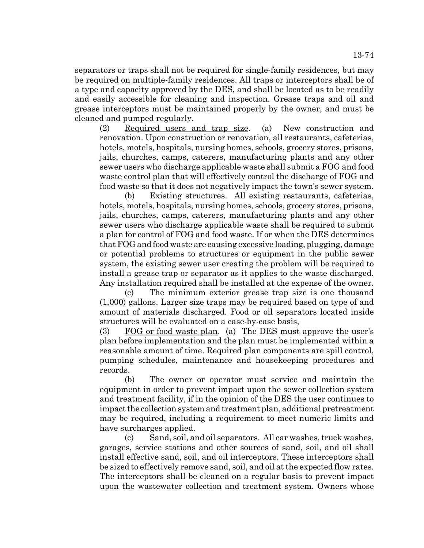separators or traps shall not be required for single-family residences, but may be required on multiple-family residences. All traps or interceptors shall be of a type and capacity approved by the DES, and shall be located as to be readily and easily accessible for cleaning and inspection. Grease traps and oil and grease interceptors must be maintained properly by the owner, and must be cleaned and pumped regularly.

(2) Required users and trap size. (a) New construction and renovation. Upon construction or renovation, all restaurants, cafeterias, hotels, motels, hospitals, nursing homes, schools, grocery stores, prisons, jails, churches, camps, caterers, manufacturing plants and any other sewer users who discharge applicable waste shall submit a FOG and food waste control plan that will effectively control the discharge of FOG and food waste so that it does not negatively impact the town's sewer system.

(b) Existing structures. All existing restaurants, cafeterias, hotels, motels, hospitals, nursing homes, schools, grocery stores, prisons, jails, churches, camps, caterers, manufacturing plants and any other sewer users who discharge applicable waste shall be required to submit a plan for control of FOG and food waste. If or when the DES determines that FOG and food waste are causing excessive loading, plugging, damage or potential problems to structures or equipment in the public sewer system, the existing sewer user creating the problem will be required to install a grease trap or separator as it applies to the waste discharged. Any installation required shall be installed at the expense of the owner.

(c) The minimum exterior grease trap size is one thousand (1,000) gallons. Larger size traps may be required based on type of and amount of materials discharged. Food or oil separators located inside structures will be evaluated on a case-by-case basis,

(3) FOG or food waste plan. (a) The DES must approve the user's plan before implementation and the plan must be implemented within a reasonable amount of time. Required plan components are spill control, pumping schedules, maintenance and housekeeping procedures and records.

(b) The owner or operator must service and maintain the equipment in order to prevent impact upon the sewer collection system and treatment facility, if in the opinion of the DES the user continues to impact the collection system and treatment plan, additional pretreatment may be required, including a requirement to meet numeric limits and have surcharges applied.

(c) Sand, soil, and oil separators. All car washes, truck washes, garages, service stations and other sources of sand, soil, and oil shall install effective sand, soil, and oil interceptors. These interceptors shall be sized to effectively remove sand, soil, and oil at the expected flow rates. The interceptors shall be cleaned on a regular basis to prevent impact upon the wastewater collection and treatment system. Owners whose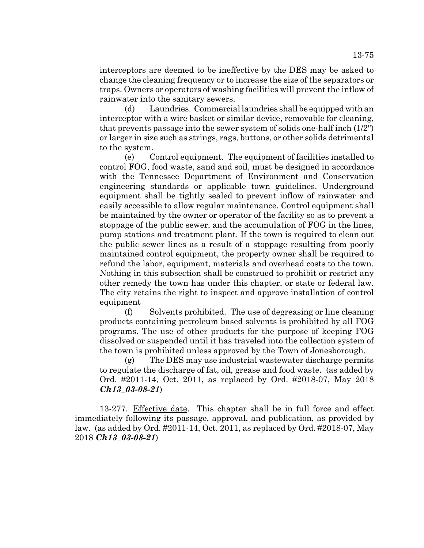interceptors are deemed to be ineffective by the DES may be asked to change the cleaning frequency or to increase the size of the separators or traps. Owners or operators of washing facilities will prevent the inflow of rainwater into the sanitary sewers.

(d) Laundries. Commercial laundries shall be equipped with an interceptor with a wire basket or similar device, removable for cleaning, that prevents passage into the sewer system of solids one-half inch (1/2") or larger in size such as strings, rags, buttons, or other solids detrimental to the system.

(e) Control equipment. The equipment of facilities installed to control FOG, food waste, sand and soil, must be designed in accordance with the Tennessee Department of Environment and Conservation engineering standards or applicable town guidelines. Underground equipment shall be tightly sealed to prevent inflow of rainwater and easily accessible to allow regular maintenance. Control equipment shall be maintained by the owner or operator of the facility so as to prevent a stoppage of the public sewer, and the accumulation of FOG in the lines, pump stations and treatment plant. If the town is required to clean out the public sewer lines as a result of a stoppage resulting from poorly maintained control equipment, the property owner shall be required to refund the labor, equipment, materials and overhead costs to the town. Nothing in this subsection shall be construed to prohibit or restrict any other remedy the town has under this chapter, or state or federal law. The city retains the right to inspect and approve installation of control equipment

(f) Solvents prohibited. The use of degreasing or line cleaning products containing petroleum based solvents is prohibited by all FOG programs. The use of other products for the purpose of keeping FOG dissolved or suspended until it has traveled into the collection system of the town is prohibited unless approved by the Town of Jonesborough.

(g) The DES may use industrial wastewater discharge permits to regulate the discharge of fat, oil, grease and food waste. (as added by Ord. #2011-14, Oct. 2011, as replaced by Ord. #2018-07, May 2018 *Ch13\_03-08-21*)

13-277. Effective date. This chapter shall be in full force and effect immediately following its passage, approval, and publication, as provided by law. (as added by Ord. #2011-14, Oct. 2011, as replaced by Ord. #2018-07, May 2018 *Ch13\_03-08-21*)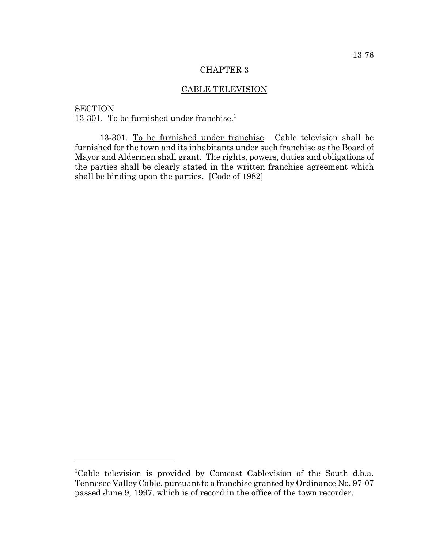## CHAPTER 3

# CABLE TELEVISION

**SECTION** 13-301. To be furnished under franchise.<sup>1</sup>

13-301. To be furnished under franchise. Cable television shall be furnished for the town and its inhabitants under such franchise as the Board of Mayor and Aldermen shall grant. The rights, powers, duties and obligations of the parties shall be clearly stated in the written franchise agreement which shall be binding upon the parties. [Code of 1982]

<sup>&</sup>lt;sup>1</sup>Cable television is provided by Comcast Cablevision of the South d.b.a. Tennesee Valley Cable, pursuant to a franchise granted by Ordinance No. 97-07 passed June 9, 1997, which is of record in the office of the town recorder.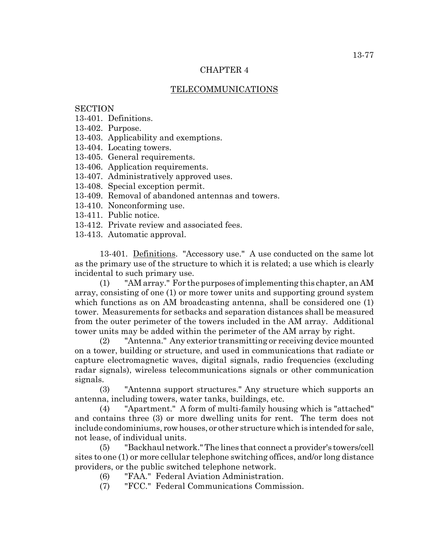## CHAPTER 4

## TELECOMMUNICATIONS

## **SECTION**

- 13-401. Definitions.
- 13-402. Purpose.
- 13-403. Applicability and exemptions.
- 13-404. Locating towers.
- 13-405. General requirements.
- 13-406. Application requirements.
- 13-407. Administratively approved uses.
- 13-408. Special exception permit.
- 13-409. Removal of abandoned antennas and towers.
- 13-410. Nonconforming use.
- 13-411. Public notice.
- 13-412. Private review and associated fees.
- 13-413. Automatic approval.

13-401. Definitions. "Accessory use." A use conducted on the same lot as the primary use of the structure to which it is related; a use which is clearly incidental to such primary use.

(1) "AM array." For the purposes of implementing this chapter, an AM array, consisting of one (1) or more tower units and supporting ground system which functions as on AM broadcasting antenna, shall be considered one (1) tower. Measurements for setbacks and separation distances shall be measured from the outer perimeter of the towers included in the AM array. Additional tower units may be added within the perimeter of the AM array by right.

(2) "Antenna." Any exterior transmitting or receiving device mounted on a tower, building or structure, and used in communications that radiate or capture electromagnetic waves, digital signals, radio frequencies (excluding radar signals), wireless telecommunications signals or other communication signals.

(3) "Antenna support structures." Any structure which supports an antenna, including towers, water tanks, buildings, etc.

(4) "Apartment." A form of multi-family housing which is "attached" and contains three (3) or more dwelling units for rent. The term does not include condominiums, row houses, or other structure which is intended for sale, not lease, of individual units.

(5) "Backhaul network." The lines that connect a provider's towers/cell sites to one (1) or more cellular telephone switching offices, and/or long distance providers, or the public switched telephone network.

- (6) "FAA." Federal Aviation Administration.
- (7) "FCC." Federal Communications Commission.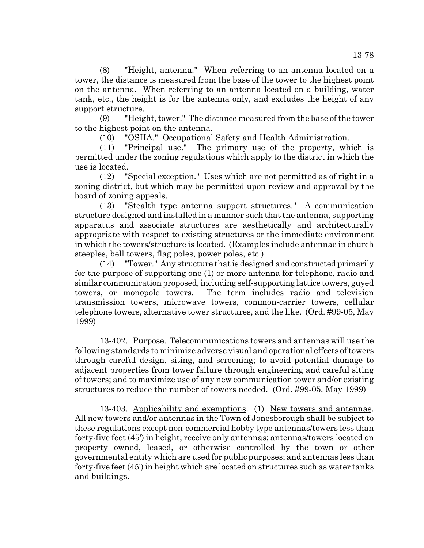(8) "Height, antenna." When referring to an antenna located on a tower, the distance is measured from the base of the tower to the highest point on the antenna. When referring to an antenna located on a building, water tank, etc., the height is for the antenna only, and excludes the height of any support structure.

(9) "Height, tower." The distance measured from the base of the tower to the highest point on the antenna.

(10) "OSHA." Occupational Safety and Health Administration.

(11) "Principal use." The primary use of the property, which is permitted under the zoning regulations which apply to the district in which the use is located.

(12) "Special exception." Uses which are not permitted as of right in a zoning district, but which may be permitted upon review and approval by the board of zoning appeals.

(13) "Stealth type antenna support structures." A communication structure designed and installed in a manner such that the antenna, supporting apparatus and associate structures are aesthetically and architecturally appropriate with respect to existing structures or the immediate environment in which the towers/structure is located. (Examples include antennae in church steeples, bell towers, flag poles, power poles, etc.)

(14) "Tower." Any structure that is designed and constructed primarily for the purpose of supporting one (1) or more antenna for telephone, radio and similar communication proposed, including self-supporting lattice towers, guyed towers, or monopole towers. The term includes radio and television transmission towers, microwave towers, common-carrier towers, cellular telephone towers, alternative tower structures, and the like. (Ord. #99-05, May 1999)

13-402. Purpose. Telecommunications towers and antennas will use the following standards to minimize adverse visual and operational effects of towers through careful design, siting, and screening; to avoid potential damage to adjacent properties from tower failure through engineering and careful siting of towers; and to maximize use of any new communication tower and/or existing structures to reduce the number of towers needed. (Ord. #99-05, May 1999)

13-403. Applicability and exemptions. (1) New towers and antennas. All new towers and/or antennas in the Town of Jonesborough shall be subject to these regulations except non-commercial hobby type antennas/towers less than forty-five feet (45') in height; receive only antennas; antennas/towers located on property owned, leased, or otherwise controlled by the town or other governmental entity which are used for public purposes; and antennas less than forty-five feet (45') in height which are located on structures such as water tanks and buildings.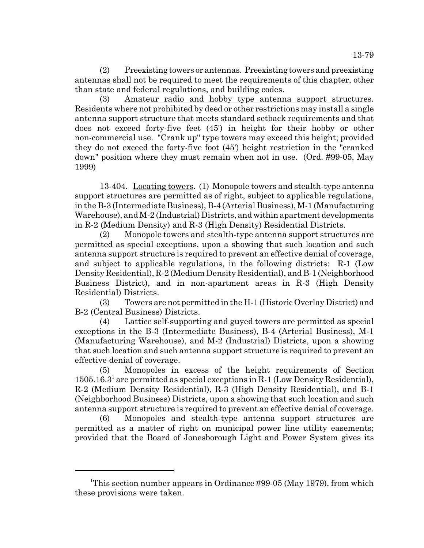(2) Preexisting towers or antennas. Preexisting towers and preexisting antennas shall not be required to meet the requirements of this chapter, other than state and federal regulations, and building codes.

(3) Amateur radio and hobby type antenna support structures. Residents where not prohibited by deed or other restrictions may install a single antenna support structure that meets standard setback requirements and that does not exceed forty-five feet (45') in height for their hobby or other non-commercial use. "Crank up" type towers may exceed this height; provided they do not exceed the forty-five foot (45') height restriction in the "cranked down" position where they must remain when not in use. (Ord. #99-05, May 1999)

13-404. Locating towers. (1) Monopole towers and stealth-type antenna support structures are permitted as of right, subject to applicable regulations, in the B-3 (Intermediate Business), B-4 (Arterial Business), M-1 (Manufacturing Warehouse), and M-2 (Industrial) Districts, and within apartment developments in R-2 (Medium Density) and R-3 (High Density) Residential Districts.

(2) Monopole towers and stealth-type antenna support structures are permitted as special exceptions, upon a showing that such location and such antenna support structure is required to prevent an effective denial of coverage, and subject to applicable regulations, in the following districts: R-1 (Low Density Residential), R-2 (Medium Density Residential), and B-1 (Neighborhood Business District), and in non-apartment areas in R-3 (High Density Residential) Districts.

(3) Towers are not permitted in the H-1 (Historic Overlay District) and B-2 (Central Business) Districts.

(4) Lattice self-supporting and guyed towers are permitted as special exceptions in the B-3 (Intermediate Business), B-4 (Arterial Business), M-1 (Manufacturing Warehouse), and M-2 (Industrial) Districts, upon a showing that such location and such antenna support structure is required to prevent an effective denial of coverage.

(5) Monopoles in excess of the height requirements of Section  $1505.16.3<sup>1</sup>$  are permitted as special exceptions in R-1 (Low Density Residential), R-2 (Medium Density Residential), R-3 (High Density Residential), and B-1 (Neighborhood Business) Districts, upon a showing that such location and such antenna support structure is required to prevent an effective denial of coverage.

(6) Monopoles and stealth-type antenna support structures are permitted as a matter of right on municipal power line utility easements; provided that the Board of Jonesborough Light and Power System gives its

<sup>&</sup>lt;sup>1</sup>This section number appears in Ordinance #99-05 (May 1979), from which these provisions were taken.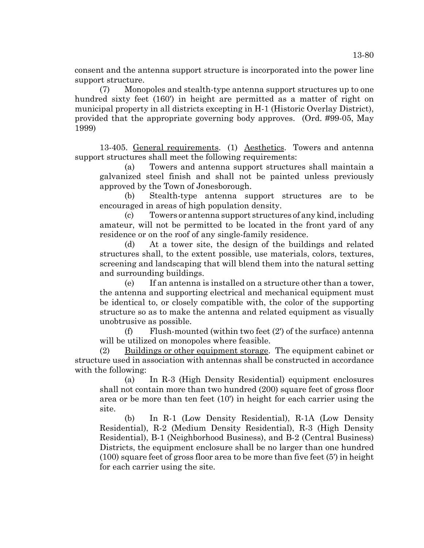consent and the antenna support structure is incorporated into the power line support structure.

(7) Monopoles and stealth-type antenna support structures up to one hundred sixty feet (160') in height are permitted as a matter of right on municipal property in all districts excepting in H-1 (Historic Overlay District), provided that the appropriate governing body approves. (Ord. #99-05, May 1999)

13-405. General requirements. (1) Aesthetics. Towers and antenna support structures shall meet the following requirements:

(a) Towers and antenna support structures shall maintain a galvanized steel finish and shall not be painted unless previously approved by the Town of Jonesborough.

(b) Stealth-type antenna support structures are to be encouraged in areas of high population density.

(c) Towers or antenna support structures of any kind, including amateur, will not be permitted to be located in the front yard of any residence or on the roof of any single-family residence.

(d) At a tower site, the design of the buildings and related structures shall, to the extent possible, use materials, colors, textures, screening and landscaping that will blend them into the natural setting and surrounding buildings.

(e) If an antenna is installed on a structure other than a tower, the antenna and supporting electrical and mechanical equipment must be identical to, or closely compatible with, the color of the supporting structure so as to make the antenna and related equipment as visually unobtrusive as possible.

(f) Flush-mounted (within two feet (2') of the surface) antenna will be utilized on monopoles where feasible.

(2) Buildings or other equipment storage. The equipment cabinet or structure used in association with antennas shall be constructed in accordance with the following:

(a) In R-3 (High Density Residential) equipment enclosures shall not contain more than two hundred (200) square feet of gross floor area or be more than ten feet (10') in height for each carrier using the site.

(b) In R-1 (Low Density Residential), R-1A (Low Density Residential), R-2 (Medium Density Residential), R-3 (High Density Residential), B-1 (Neighborhood Business), and B-2 (Central Business) Districts, the equipment enclosure shall be no larger than one hundred (100) square feet of gross floor area to be more than five feet (5') in height for each carrier using the site.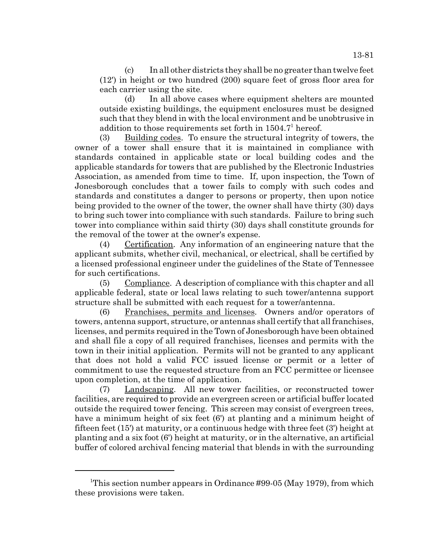(c) In all other districts they shall be no greater than twelve feet (12') in height or two hundred (200) square feet of gross floor area for each carrier using the site.

(d) In all above cases where equipment shelters are mounted outside existing buildings, the equipment enclosures must be designed such that they blend in with the local environment and be unobtrusive in addition to those requirements set forth in  $1504.7<sup>1</sup>$  hereof.

(3) Building codes. To ensure the structural integrity of towers, the owner of a tower shall ensure that it is maintained in compliance with standards contained in applicable state or local building codes and the applicable standards for towers that are published by the Electronic Industries Association, as amended from time to time. If, upon inspection, the Town of Jonesborough concludes that a tower fails to comply with such codes and standards and constitutes a danger to persons or property, then upon notice being provided to the owner of the tower, the owner shall have thirty (30) days to bring such tower into compliance with such standards. Failure to bring such tower into compliance within said thirty (30) days shall constitute grounds for the removal of the tower at the owner's expense.

(4) Certification. Any information of an engineering nature that the applicant submits, whether civil, mechanical, or electrical, shall be certified by a licensed professional engineer under the guidelines of the State of Tennessee for such certifications.

(5) Compliance. A description of compliance with this chapter and all applicable federal, state or local laws relating to such tower/antenna support structure shall be submitted with each request for a tower/antenna.

(6) Franchises, permits and licenses. Owners and/or operators of towers, antenna support, structure, or antennas shall certify that all franchises, licenses, and permits required in the Town of Jonesborough have been obtained and shall file a copy of all required franchises, licenses and permits with the town in their initial application. Permits will not be granted to any applicant that does not hold a valid FCC issued license or permit or a letter of commitment to use the requested structure from an FCC permittee or licensee upon completion, at the time of application.

(7) Landscaping. All new tower facilities, or reconstructed tower facilities, are required to provide an evergreen screen or artificial buffer located outside the required tower fencing. This screen may consist of evergreen trees, have a minimum height of six feet (6') at planting and a minimum height of fifteen feet (15') at maturity, or a continuous hedge with three feet (3') height at planting and a six foot (6') height at maturity, or in the alternative, an artificial buffer of colored archival fencing material that blends in with the surrounding

<sup>&</sup>lt;sup>1</sup>This section number appears in Ordinance #99-05 (May 1979), from which these provisions were taken.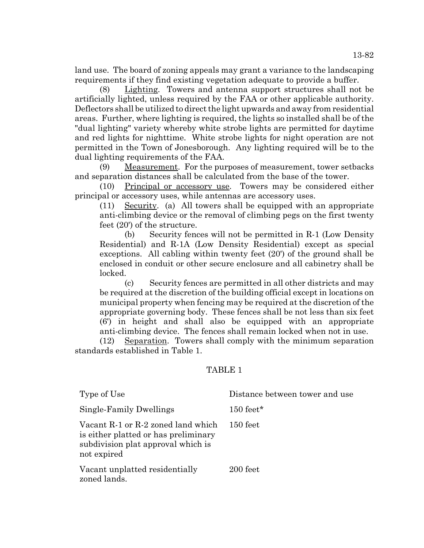land use. The board of zoning appeals may grant a variance to the landscaping requirements if they find existing vegetation adequate to provide a buffer.

(8) Lighting. Towers and antenna support structures shall not be artificially lighted, unless required by the FAA or other applicable authority. Deflectors shall be utilized to direct the light upwards and away from residential areas. Further, where lighting is required, the lights so installed shall be of the "dual lighting" variety whereby white strobe lights are permitted for daytime and red lights for nighttime. White strobe lights for night operation are not permitted in the Town of Jonesborough. Any lighting required will be to the dual lighting requirements of the FAA.

(9) Measurement. For the purposes of measurement, tower setbacks and separation distances shall be calculated from the base of the tower.

(10) Principal or accessory use. Towers may be considered either principal or accessory uses, while antennas are accessory uses.

(11) Security. (a) All towers shall be equipped with an appropriate anti-climbing device or the removal of climbing pegs on the first twenty feet (20') of the structure.

(b) Security fences will not be permitted in R-1 (Low Density Residential) and R-1A (Low Density Residential) except as special exceptions. All cabling within twenty feet (20') of the ground shall be enclosed in conduit or other secure enclosure and all cabinetry shall be locked.

(c) Security fences are permitted in all other districts and may be required at the discretion of the building official except in locations on municipal property when fencing may be required at the discretion of the appropriate governing body. These fences shall be not less than six feet (6') in height and shall also be equipped with an appropriate anti-climbing device. The fences shall remain locked when not in use.

(12) Separation. Towers shall comply with the minimum separation standards established in Table 1.

## TABLE 1

| Type of Use                                                                                                                     | Distance between tower and use |
|---------------------------------------------------------------------------------------------------------------------------------|--------------------------------|
| Single-Family Dwellings                                                                                                         | $150$ feet*                    |
| Vacant R-1 or R-2 zoned land which<br>is either platted or has preliminary<br>subdivision plat approval which is<br>not expired | $150 \text{ feet}$             |
| Vacant unplatted residentially<br>zoned lands.                                                                                  | 200 feet                       |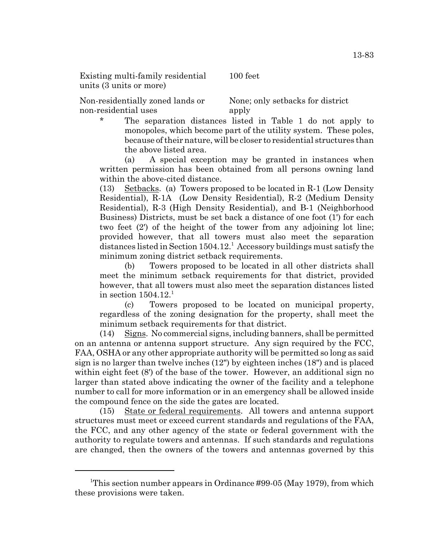Existing multi-family residential units (3 units or more)

100 feet

Non-residentially zoned lands or non-residential uses

None; only setbacks for district apply

The separation distances listed in Table 1 do not apply to monopoles, which become part of the utility system. These poles, because of their nature, will be closer to residential structures than the above listed area.

(a) A special exception may be granted in instances when written permission has been obtained from all persons owning land within the above-cited distance.

(13) Setbacks. (a) Towers proposed to be located in R-1 (Low Density Residential), R-1A (Low Density Residential), R-2 (Medium Density Residential), R-3 (High Density Residential), and B-1 (Neighborhood Business) Districts, must be set back a distance of one foot (1') for each two feet (2') of the height of the tower from any adjoining lot line; provided however, that all towers must also meet the separation distances listed in Section  $1504.12$ <sup>1</sup> Accessory buildings must satisfy the minimum zoning district setback requirements.

(b) Towers proposed to be located in all other districts shall meet the minimum setback requirements for that district, provided however, that all towers must also meet the separation distances listed in section  $1504.12<sup>1</sup>$ 

(c) Towers proposed to be located on municipal property, regardless of the zoning designation for the property, shall meet the minimum setback requirements for that district.

(14) Signs. No commercial signs, including banners, shall be permitted on an antenna or antenna support structure. Any sign required by the FCC, FAA, OSHA or any other appropriate authority will be permitted so long as said sign is no larger than twelve inches (12") by eighteen inches (18") and is placed within eight feet  $(8')$  of the base of the tower. However, an additional sign no larger than stated above indicating the owner of the facility and a telephone number to call for more information or in an emergency shall be allowed inside the compound fence on the side the gates are located.

(15) State or federal requirements. All towers and antenna support structures must meet or exceed current standards and regulations of the FAA, the FCC, and any other agency of the state or federal government with the authority to regulate towers and antennas. If such standards and regulations are changed, then the owners of the towers and antennas governed by this

<sup>&</sup>lt;sup>1</sup>This section number appears in Ordinance #99-05 (May 1979), from which these provisions were taken.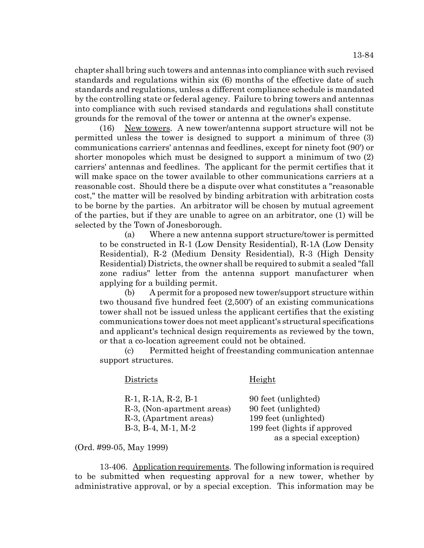chapter shall bring such towers and antennas into compliance with such revised standards and regulations within six (6) months of the effective date of such standards and regulations, unless a different compliance schedule is mandated by the controlling state or federal agency. Failure to bring towers and antennas into compliance with such revised standards and regulations shall constitute grounds for the removal of the tower or antenna at the owner's expense.

(16) New towers. A new tower/antenna support structure will not be permitted unless the tower is designed to support a minimum of three (3) communications carriers' antennas and feedlines, except for ninety foot (90') or shorter monopoles which must be designed to support a minimum of two (2) carriers' antennas and feedlines. The applicant for the permit certifies that it will make space on the tower available to other communications carriers at a reasonable cost. Should there be a dispute over what constitutes a "reasonable cost," the matter will be resolved by binding arbitration with arbitration costs to be borne by the parties. An arbitrator will be chosen by mutual agreement of the parties, but if they are unable to agree on an arbitrator, one (1) will be selected by the Town of Jonesborough.

(a) Where a new antenna support structure/tower is permitted to be constructed in R-1 (Low Density Residential), R-1A (Low Density Residential), R-2 (Medium Density Residential), R-3 (High Density Residential) Districts, the owner shall be required to submit a sealed "fall zone radius" letter from the antenna support manufacturer when applying for a building permit.

(b) A permit for a proposed new tower/support structure within two thousand five hundred feet (2,500') of an existing communications tower shall not be issued unless the applicant certifies that the existing communications tower does not meet applicant's structural specifications and applicant's technical design requirements as reviewed by the town, or that a co-location agreement could not be obtained.

(c) Permitted height of freestanding communication antennae support structures.

### Districts Height

R-1, R-1A, R-2, B-1 90 feet (unlighted) R-3, (Non-apartment areas) 90 feet (unlighted) R-3, (Apartment areas) 199 feet (unlighted) B-3, B-4, M-1, M-2 199 feet (lights if approved

as a special exception)

(Ord. #99-05, May 1999)

13-406. Application requirements. The following information is required to be submitted when requesting approval for a new tower, whether by administrative approval, or by a special exception. This information may be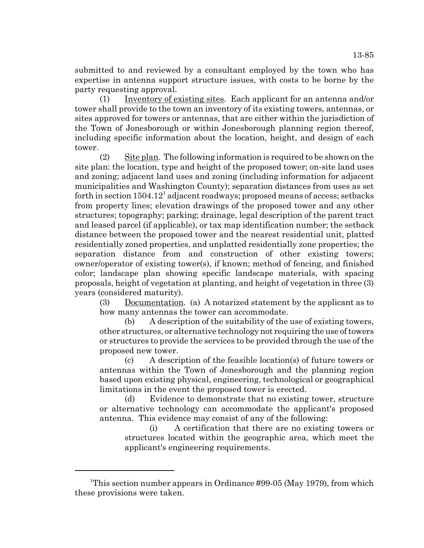submitted to and reviewed by a consultant employed by the town who has expertise in antenna support structure issues, with costs to be borne by the party requesting approval.

(1) Inventory of existing sites. Each applicant for an antenna and/or tower shall provide to the town an inventory of its existing towers, antennas, or sites approved for towers or antennas, that are either within the jurisdiction of the Town of Jonesborough or within Jonesborough planning region thereof, including specific information about the location, height, and design of each tower.

(2) Site plan. The following information is required to be shown on the site plan: the location, type and height of the proposed tower; on-site land uses and zoning; adjacent land uses and zoning (including information for adjacent municipalities and Washington County); separation distances from uses as set forth in section  $1504.12^1$  adjacent roadways; proposed means of access; setbacks from property lines; elevation drawings of the proposed tower and any other structures; topography; parking; drainage, legal description of the parent tract and leased parcel (if applicable), or tax map identification number; the setback distance between the proposed tower and the nearest residential unit, platted residentially zoned properties, and unplatted residentially zone properties; the separation distance from and construction of other existing towers; owner/operator of existing tower(s), if known; method of fencing, and finished color; landscape plan showing specific landscape materials, with spacing proposals, height of vegetation at planting, and height of vegetation in three (3) years (considered maturity).

(3) Documentation. (a) A notarized statement by the applicant as to how many antennas the tower can accommodate.

(b) A description of the suitability of the use of existing towers, other structures, or alternative technology not requiring the use of towers or structures to provide the services to be provided through the use of the proposed new tower.

(c) A description of the feasible location(s) of future towers or antennas within the Town of Jonesborough and the planning region based upon existing physical, engineering, technological or geographical limitations in the event the proposed tower is erected.

(d) Evidence to demonstrate that no existing tower, structure or alternative technology can accommodate the applicant's proposed antenna. This evidence may consist of any of the following:

(i) A certification that there are no existing towers or structures located within the geographic area, which meet the applicant's engineering requirements.

<sup>&</sup>lt;sup>1</sup>This section number appears in Ordinance #99-05 (May 1979), from which these provisions were taken.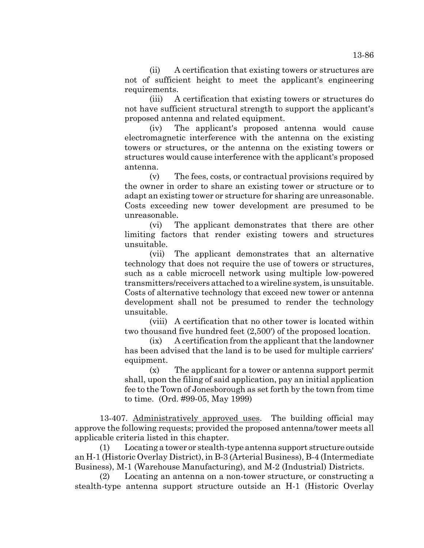(ii) A certification that existing towers or structures are not of sufficient height to meet the applicant's engineering requirements.

(iii) A certification that existing towers or structures do not have sufficient structural strength to support the applicant's proposed antenna and related equipment.

(iv) The applicant's proposed antenna would cause electromagnetic interference with the antenna on the existing towers or structures, or the antenna on the existing towers or structures would cause interference with the applicant's proposed antenna.

(v) The fees, costs, or contractual provisions required by the owner in order to share an existing tower or structure or to adapt an existing tower or structure for sharing are unreasonable. Costs exceeding new tower development are presumed to be unreasonable.

(vi) The applicant demonstrates that there are other limiting factors that render existing towers and structures unsuitable.

(vii) The applicant demonstrates that an alternative technology that does not require the use of towers or structures, such as a cable microcell network using multiple low-powered transmitters/receivers attached to a wireline system, is unsuitable. Costs of alternative technology that exceed new tower or antenna development shall not be presumed to render the technology unsuitable.

(viii) A certification that no other tower is located within two thousand five hundred feet (2,500') of the proposed location.

(ix) A certification from the applicant that the landowner has been advised that the land is to be used for multiple carriers' equipment.

(x) The applicant for a tower or antenna support permit shall, upon the filing of said application, pay an initial application fee to the Town of Jonesborough as set forth by the town from time to time. (Ord. #99-05, May 1999)

13-407. Administratively approved uses. The building official may approve the following requests; provided the proposed antenna/tower meets all applicable criteria listed in this chapter.

(1) Locating a tower or stealth-type antenna support structure outside an H-1 (Historic Overlay District), in B-3 (Arterial Business), B-4 (Intermediate Business), M-1 (Warehouse Manufacturing), and M-2 (Industrial) Districts.

(2) Locating an antenna on a non-tower structure, or constructing a stealth-type antenna support structure outside an H-1 (Historic Overlay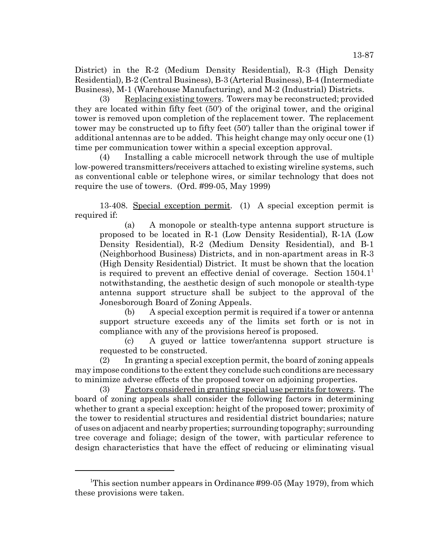District) in the R-2 (Medium Density Residential), R-3 (High Density Residential), B-2 (Central Business), B-3 (Arterial Business), B-4 (Intermediate Business), M-1 (Warehouse Manufacturing), and M-2 (Industrial) Districts.

(3) Replacing existing towers. Towers may be reconstructed; provided they are located within fifty feet (50') of the original tower, and the original tower is removed upon completion of the replacement tower. The replacement tower may be constructed up to fifty feet (50') taller than the original tower if additional antennas are to be added. This height change may only occur one (1) time per communication tower within a special exception approval.

(4) Installing a cable microcell network through the use of multiple low-powered transmitters/receivers attached to existing wireline systems, such as conventional cable or telephone wires, or similar technology that does not require the use of towers. (Ord. #99-05, May 1999)

13-408. Special exception permit. (1) A special exception permit is required if:

(a) A monopole or stealth-type antenna support structure is proposed to be located in R-1 (Low Density Residential), R-1A (Low Density Residential), R-2 (Medium Density Residential), and B-1 (Neighborhood Business) Districts, and in non-apartment areas in R-3 (High Density Residential) District. It must be shown that the location is required to prevent an effective denial of coverage. Section  $1504.1<sup>1</sup>$ notwithstanding, the aesthetic design of such monopole or stealth-type antenna support structure shall be subject to the approval of the Jonesborough Board of Zoning Appeals.

(b) A special exception permit is required if a tower or antenna support structure exceeds any of the limits set forth or is not in compliance with any of the provisions hereof is proposed.

(c) A guyed or lattice tower/antenna support structure is requested to be constructed.

(2) In granting a special exception permit, the board of zoning appeals may impose conditions to the extent they conclude such conditions are necessary to minimize adverse effects of the proposed tower on adjoining properties.

(3) Factors considered in granting special use permits for towers. The board of zoning appeals shall consider the following factors in determining whether to grant a special exception: height of the proposed tower; proximity of the tower to residential structures and residential district boundaries; nature of uses on adjacent and nearby properties; surrounding topography; surrounding tree coverage and foliage; design of the tower, with particular reference to design characteristics that have the effect of reducing or eliminating visual

<sup>&</sup>lt;sup>1</sup>This section number appears in Ordinance #99-05 (May 1979), from which these provisions were taken.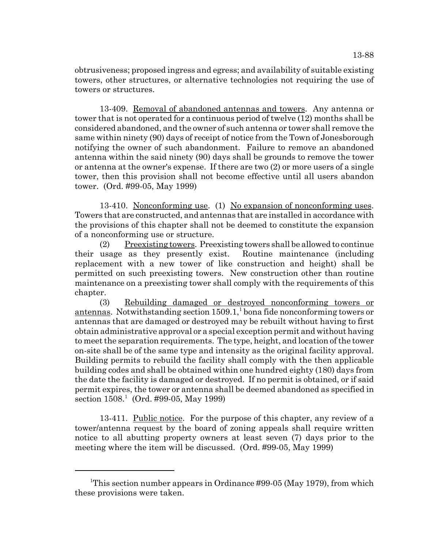obtrusiveness; proposed ingress and egress; and availability of suitable existing towers, other structures, or alternative technologies not requiring the use of towers or structures.

13-409. Removal of abandoned antennas and towers. Any antenna or tower that is not operated for a continuous period of twelve (12) months shall be considered abandoned, and the owner of such antenna or tower shall remove the same within ninety (90) days of receipt of notice from the Town of Jonesborough notifying the owner of such abandonment. Failure to remove an abandoned antenna within the said ninety (90) days shall be grounds to remove the tower or antenna at the owner's expense. If there are two (2) or more users of a single tower, then this provision shall not become effective until all users abandon tower. (Ord. #99-05, May 1999)

13-410. Nonconforming use. (1) No expansion of nonconforming uses. Towers that are constructed, and antennas that are installed in accordance with the provisions of this chapter shall not be deemed to constitute the expansion of a nonconforming use or structure.

(2) Preexisting towers. Preexisting towers shall be allowed to continue their usage as they presently exist. Routine maintenance (including replacement with a new tower of like construction and height) shall be permitted on such preexisting towers. New construction other than routine maintenance on a preexisting tower shall comply with the requirements of this chapter.

(3) Rebuilding damaged or destroyed nonconforming towers or antennas. Notwithstanding section  $1509.1$ , bona fide nonconforming towers or antennas that are damaged or destroyed may be rebuilt without having to first obtain administrative approval or a special exception permit and without having to meet the separation requirements. The type, height, and location of the tower on-site shall be of the same type and intensity as the original facility approval. Building permits to rebuild the facility shall comply with the then applicable building codes and shall be obtained within one hundred eighty (180) days from the date the facility is damaged or destroyed. If no permit is obtained, or if said permit expires, the tower or antenna shall be deemed abandoned as specified in section 1508.<sup>1</sup> (Ord. #99-05, May 1999)

13-411. Public notice. For the purpose of this chapter, any review of a tower/antenna request by the board of zoning appeals shall require written notice to all abutting property owners at least seven (7) days prior to the meeting where the item will be discussed. (Ord. #99-05, May 1999)

<sup>&</sup>lt;sup>1</sup>This section number appears in Ordinance #99-05 (May 1979), from which these provisions were taken.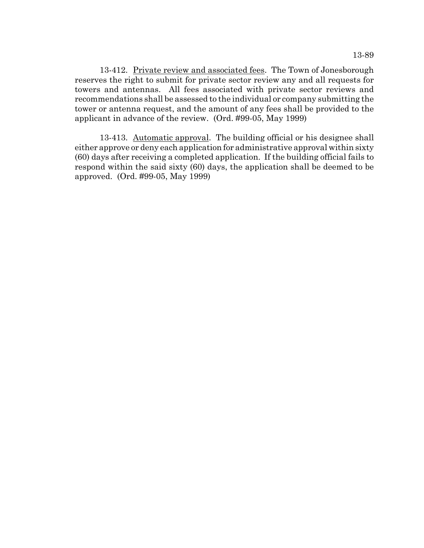13-412. Private review and associated fees. The Town of Jonesborough reserves the right to submit for private sector review any and all requests for towers and antennas. All fees associated with private sector reviews and recommendations shall be assessed to the individual or company submitting the tower or antenna request, and the amount of any fees shall be provided to the applicant in advance of the review. (Ord. #99-05, May 1999)

13-413. Automatic approval. The building official or his designee shall either approve or deny each application for administrative approval within sixty (60) days after receiving a completed application. If the building official fails to respond within the said sixty (60) days, the application shall be deemed to be approved. (Ord. #99-05, May 1999)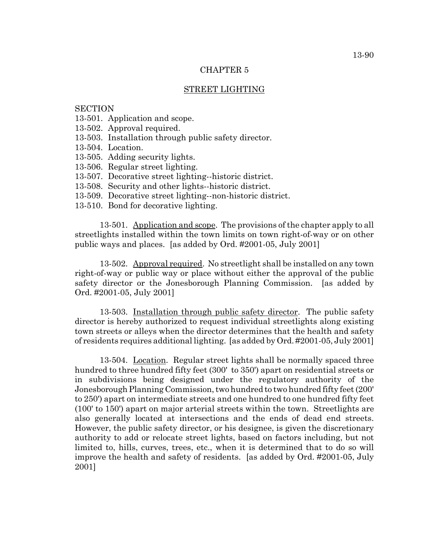### CHAPTER 5

### STREET LIGHTING

## **SECTION**

- 13-501. Application and scope.
- 13-502. Approval required.
- 13-503. Installation through public safety director.
- 13-504. Location.
- 13-505. Adding security lights.
- 13-506. Regular street lighting.
- 13-507. Decorative street lighting--historic district.
- 13-508. Security and other lights--historic district.
- 13-509. Decorative street lighting--non-historic district.
- 13-510. Bond for decorative lighting.

13-501. Application and scope. The provisions of the chapter apply to all streetlights installed within the town limits on town right-of-way or on other public ways and places. [as added by Ord. #2001-05, July 2001]

13-502. Approval required. No streetlight shall be installed on any town right-of-way or public way or place without either the approval of the public safety director or the Jonesborough Planning Commission. [as added by Ord. #2001-05, July 2001]

13-503. Installation through public safety director. The public safety director is hereby authorized to request individual streetlights along existing town streets or alleys when the director determines that the health and safety of residents requires additional lighting. [as added by Ord. #2001-05, July 2001]

13-504. Location. Regular street lights shall be normally spaced three hundred to three hundred fifty feet (300' to 350') apart on residential streets or in subdivisions being designed under the regulatory authority of the Jonesborough Planning Commission, two hundred to two hundred fifty feet (200' to 250') apart on intermediate streets and one hundred to one hundred fifty feet (100' to 150') apart on major arterial streets within the town. Streetlights are also generally located at intersections and the ends of dead end streets. However, the public safety director, or his designee, is given the discretionary authority to add or relocate street lights, based on factors including, but not limited to, hills, curves, trees, etc., when it is determined that to do so will improve the health and safety of residents. [as added by Ord. #2001-05, July 2001]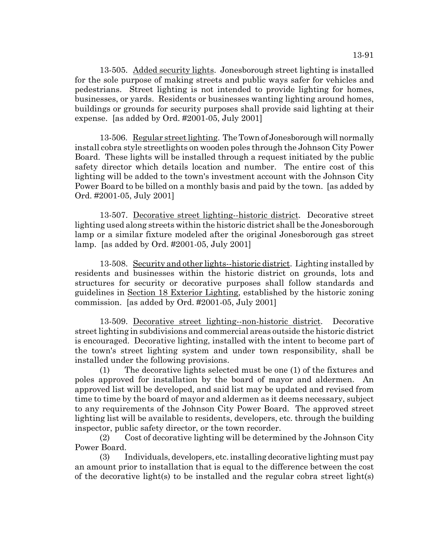13-505. Added security lights. Jonesborough street lighting is installed for the sole purpose of making streets and public ways safer for vehicles and pedestrians. Street lighting is not intended to provide lighting for homes, businesses, or yards. Residents or businesses wanting lighting around homes, buildings or grounds for security purposes shall provide said lighting at their expense. [as added by Ord. #2001-05, July 2001]

13-506. Regular street lighting. The Town of Jonesborough will normally install cobra style streetlights on wooden poles through the Johnson City Power Board. These lights will be installed through a request initiated by the public safety director which details location and number. The entire cost of this lighting will be added to the town's investment account with the Johnson City Power Board to be billed on a monthly basis and paid by the town. [as added by Ord. #2001-05, July 2001]

13-507. Decorative street lighting--historic district. Decorative street lighting used along streets within the historic district shall be the Jonesborough lamp or a similar fixture modeled after the original Jonesborough gas street lamp. [as added by Ord. #2001-05, July 2001]

13-508. Security and other lights--historic district. Lighting installed by residents and businesses within the historic district on grounds, lots and structures for security or decorative purposes shall follow standards and guidelines in Section 18 Exterior Lighting, established by the historic zoning commission. [as added by Ord. #2001-05, July 2001]

13-509. Decorative street lighting--non-historic district. Decorative street lighting in subdivisions and commercial areas outside the historic district is encouraged. Decorative lighting, installed with the intent to become part of the town's street lighting system and under town responsibility, shall be installed under the following provisions.

(1) The decorative lights selected must be one (1) of the fixtures and poles approved for installation by the board of mayor and aldermen. An approved list will be developed, and said list may be updated and revised from time to time by the board of mayor and aldermen as it deems necessary, subject to any requirements of the Johnson City Power Board. The approved street lighting list will be available to residents, developers, etc. through the building inspector, public safety director, or the town recorder.

(2) Cost of decorative lighting will be determined by the Johnson City Power Board.

(3) Individuals, developers, etc. installing decorative lighting must pay an amount prior to installation that is equal to the difference between the cost of the decorative light(s) to be installed and the regular cobra street light(s)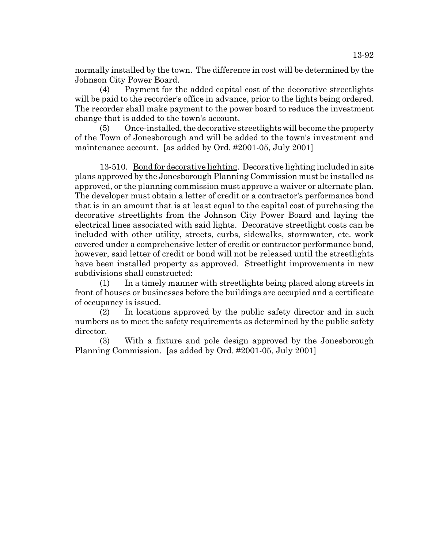normally installed by the town. The difference in cost will be determined by the Johnson City Power Board.

(4) Payment for the added capital cost of the decorative streetlights will be paid to the recorder's office in advance, prior to the lights being ordered. The recorder shall make payment to the power board to reduce the investment change that is added to the town's account.

(5) Once-installed, the decorative streetlights will become the property of the Town of Jonesborough and will be added to the town's investment and maintenance account. [as added by Ord. #2001-05, July 2001]

13-510. Bond for decorative lighting. Decorative lighting included in site plans approved by the Jonesborough Planning Commission must be installed as approved, or the planning commission must approve a waiver or alternate plan. The developer must obtain a letter of credit or a contractor's performance bond that is in an amount that is at least equal to the capital cost of purchasing the decorative streetlights from the Johnson City Power Board and laying the electrical lines associated with said lights. Decorative streetlight costs can be included with other utility, streets, curbs, sidewalks, stormwater, etc. work covered under a comprehensive letter of credit or contractor performance bond, however, said letter of credit or bond will not be released until the streetlights have been installed property as approved. Streetlight improvements in new subdivisions shall constructed:

(1) In a timely manner with streetlights being placed along streets in front of houses or businesses before the buildings are occupied and a certificate of occupancy is issued.

(2) In locations approved by the public safety director and in such numbers as to meet the safety requirements as determined by the public safety director.

(3) With a fixture and pole design approved by the Jonesborough Planning Commission. [as added by Ord. #2001-05, July 2001]